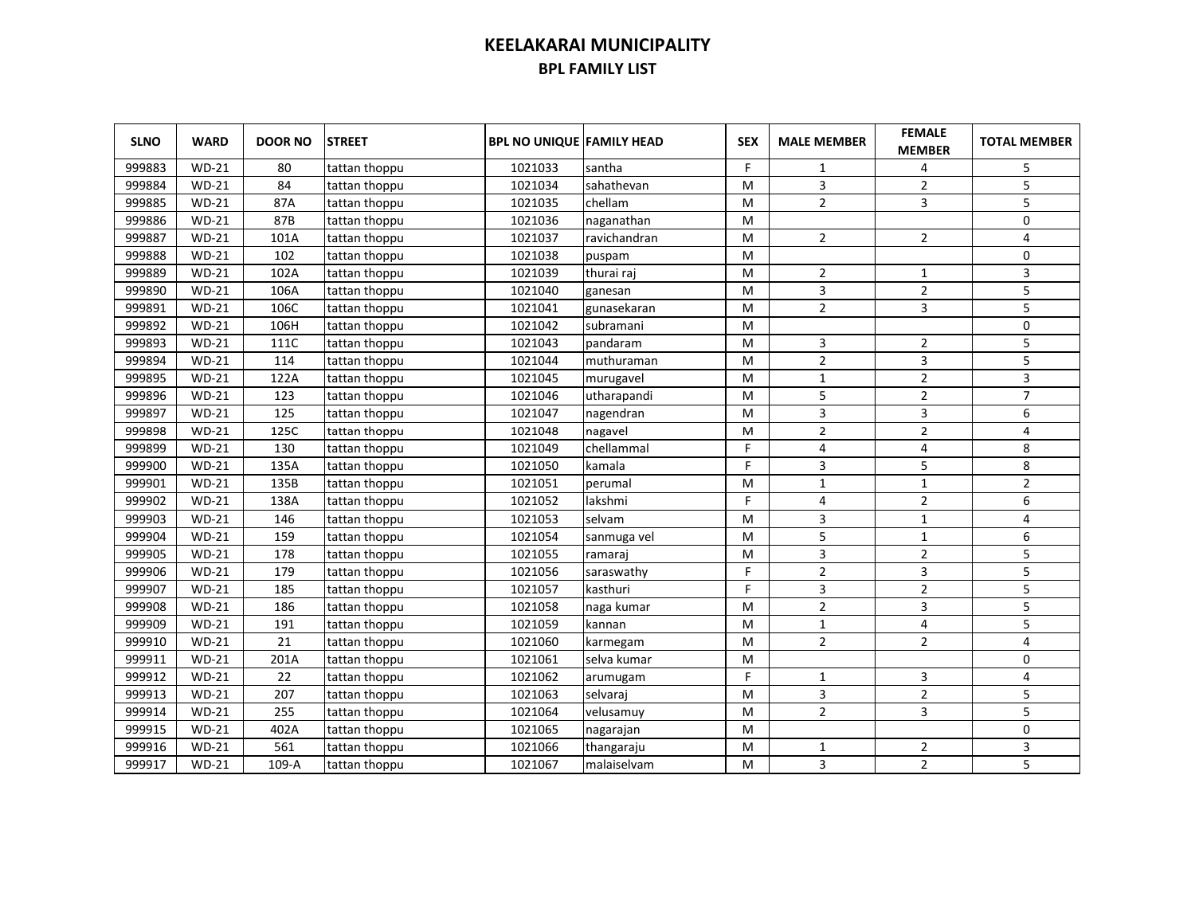| <b>SLNO</b> | <b>WARD</b>  | <b>DOOR NO</b> | <b>STREET</b> | <b>BPL NO UNIQUE FAMILY HEAD</b> |              | <b>SEX</b> | <b>MALE MEMBER</b> | <b>FEMALE</b><br><b>MEMBER</b> | <b>TOTAL MEMBER</b> |
|-------------|--------------|----------------|---------------|----------------------------------|--------------|------------|--------------------|--------------------------------|---------------------|
| 999883      | $WD-21$      | 80             | tattan thoppu | 1021033                          | santha       | F          | 1                  | 4                              | 5                   |
| 999884      | $WD-21$      | 84             | tattan thoppu | 1021034                          | sahathevan   | M          | 3                  | $\overline{2}$                 | 5                   |
| 999885      | <b>WD-21</b> | 87A            | tattan thoppu | 1021035                          | chellam      | м          | $\overline{2}$     | 3                              | 5                   |
| 999886      | $WD-21$      | 87B            | tattan thoppu | 1021036                          | naganathan   | м          |                    |                                | 0                   |
| 999887      | $WD-21$      | 101A           | tattan thoppu | 1021037                          | ravichandran | м          | $\overline{2}$     | $\overline{2}$                 | $\sqrt{4}$          |
| 999888      | $WD-21$      | 102            | tattan thoppu | 1021038                          | puspam       | M          |                    |                                | 0                   |
| 999889      | $WD-21$      | 102A           | tattan thoppu | 1021039                          | thurai raj   | M          | $\overline{2}$     | $\mathbf{1}$                   | 3                   |
| 999890      | $WD-21$      | 106A           | tattan thoppu | 1021040                          | ganesan      | M          | 3                  | $\overline{2}$                 | 5                   |
| 999891      | $WD-21$      | 106C           | tattan thoppu | 1021041                          | gunasekaran  | M          | $\overline{2}$     | 3                              | 5                   |
| 999892      | $WD-21$      | 106H           | tattan thoppu | 1021042                          | subramani    | M          |                    |                                | $\mathbf 0$         |
| 999893      | $WD-21$      | 111C           | tattan thoppu | 1021043                          | pandaram     | M          | 3                  | 2                              | 5                   |
| 999894      | $WD-21$      | 114            | tattan thoppu | 1021044                          | muthuraman   | м          | $\overline{2}$     | 3                              | 5                   |
| 999895      | $WD-21$      | 122A           | tattan thoppu | 1021045                          | murugavel    | M          | $\mathbf{1}$       | $\overline{2}$                 | 3                   |
| 999896      | $WD-21$      | 123            | tattan thoppu | 1021046                          | utharapandi  | M          | 5                  | 2                              | $\overline{7}$      |
| 999897      | $WD-21$      | 125            | tattan thoppu | 1021047                          | nagendran    | M          | 3                  | 3                              | 6                   |
| 999898      | $WD-21$      | 125C           | tattan thoppu | 1021048                          | nagavel      | M          | $\overline{2}$     | $\overline{2}$                 | 4                   |
| 999899      | $WD-21$      | 130            | tattan thoppu | 1021049                          | chellammal   | F          | 4                  | 4                              | 8                   |
| 999900      | $WD-21$      | 135A           | tattan thoppu | 1021050                          | kamala       | F          | 3                  | 5                              | 8                   |
| 999901      | $WD-21$      | 135B           | tattan thoppu | 1021051                          | perumal      | M          | $\mathbf{1}$       | $\mathbf{1}$                   | $\overline{2}$      |
| 999902      | $WD-21$      | 138A           | tattan thoppu | 1021052                          | lakshmi      | F.         | 4                  | $\overline{2}$                 | 6                   |
| 999903      | $WD-21$      | 146            | tattan thoppu | 1021053                          | selvam       | M          | 3                  | $\mathbf{1}$                   | 4                   |
| 999904      | $WD-21$      | 159            | tattan thoppu | 1021054                          | sanmuga vel  | M          | 5                  | $\mathbf{1}$                   | 6                   |
| 999905      | $WD-21$      | 178            | tattan thoppu | 1021055                          | ramaraj      | M          | 3                  | $\overline{2}$                 | 5                   |
| 999906      | $WD-21$      | 179            | tattan thoppu | 1021056                          | saraswathy   | F          | 2                  | 3                              | 5                   |
| 999907      | $WD-21$      | 185            | tattan thoppu | 1021057                          | kasthuri     | F          | 3                  | $\overline{2}$                 | 5                   |
| 999908      | $WD-21$      | 186            | tattan thoppu | 1021058                          | naga kumar   | M          | $\overline{2}$     | 3                              | 5                   |
| 999909      | $WD-21$      | 191            | tattan thoppu | 1021059                          | kannan       | M          | $\mathbf{1}$       | 4                              | 5                   |
| 999910      | $WD-21$      | 21             | tattan thoppu | 1021060                          | karmegam     | M          | $\overline{2}$     | $\overline{2}$                 | 4                   |
| 999911      | $WD-21$      | 201A           | tattan thoppu | 1021061                          | selva kumar  | M          |                    |                                | 0                   |
| 999912      | $WD-21$      | 22             | tattan thoppu | 1021062                          | arumugam     | F          | $\mathbf{1}$       | 3                              | 4                   |
| 999913      | $WD-21$      | 207            | tattan thoppu | 1021063                          | selvaraj     | M          | 3                  | $\overline{2}$                 | 5                   |
| 999914      | $WD-21$      | 255            | tattan thoppu | 1021064                          | velusamuy    | M          | $\overline{2}$     | 3                              | 5                   |
| 999915      | $WD-21$      | 402A           | tattan thoppu | 1021065                          | nagarajan    | M          |                    |                                | 0                   |
| 999916      | $WD-21$      | 561            | tattan thoppu | 1021066                          | thangaraju   | M          | 1                  | 2                              | 3                   |
| 999917      | $WD-21$      | 109-A          | tattan thoppu | 1021067                          | malaiselvam  | M          | 3                  | $\overline{2}$                 | 5                   |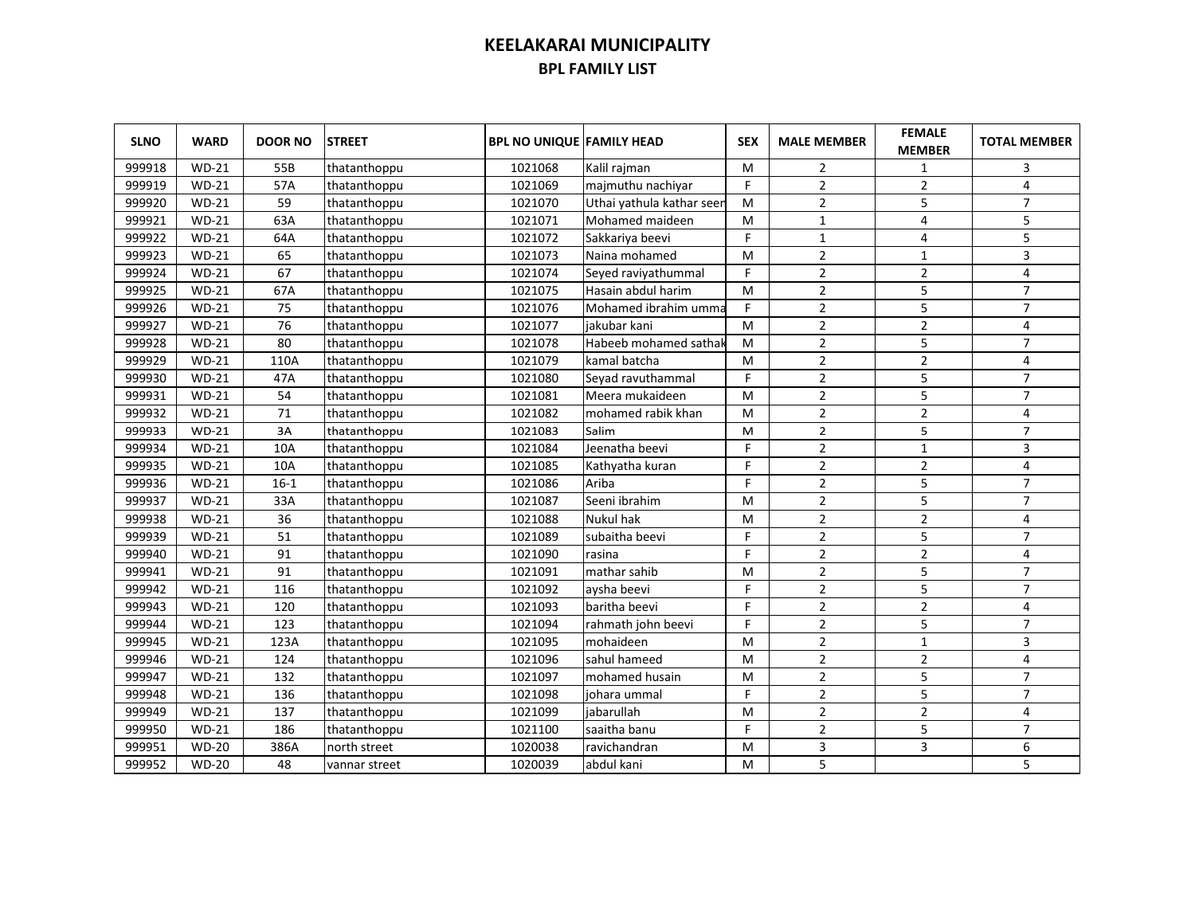| <b>SLNO</b> | <b>WARD</b>  | <b>DOOR NO</b> | <b>STREET</b> | <b>BPL NO UNIQUE FAMILY HEAD</b> |                           | <b>SEX</b> | <b>MALE MEMBER</b> | <b>FEMALE</b><br><b>MEMBER</b> | <b>TOTAL MEMBER</b>     |
|-------------|--------------|----------------|---------------|----------------------------------|---------------------------|------------|--------------------|--------------------------------|-------------------------|
| 999918      | <b>WD-21</b> | 55B            | thatanthoppu  | 1021068                          | Kalil rajman              | м          | 2                  | 1                              | 3                       |
| 999919      | <b>WD-21</b> | 57A            | thatanthoppu  | 1021069                          | majmuthu nachiyar         | F.         | $\overline{2}$     | $\overline{2}$                 | 4                       |
| 999920      | $WD-21$      | 59             | thatanthoppu  | 1021070                          | Uthai yathula kathar seen | м          | $\overline{2}$     | 5                              | $\overline{7}$          |
| 999921      | <b>WD-21</b> | 63A            | thatanthoppu  | 1021071                          | Mohamed maideen           | м          | $\mathbf{1}$       | 4                              | 5                       |
| 999922      | $WD-21$      | 64A            | thatanthoppu  | 1021072                          | Sakkariya beevi           | F          | $\mathbf{1}$       | 4                              | 5                       |
| 999923      | $WD-21$      | 65             | thatanthoppu  | 1021073                          | Naina mohamed             | M          | $\overline{2}$     | $\mathbf{1}$                   | $\overline{\mathbf{3}}$ |
| 999924      | $WD-21$      | 67             | thatanthoppu  | 1021074                          | Seyed raviyathummal       | F          | $\overline{2}$     | $\overline{2}$                 | $\overline{4}$          |
| 999925      | $WD-21$      | 67A            | thatanthoppu  | 1021075                          | Hasain abdul harim        | M          | $\overline{2}$     | 5                              | $\overline{7}$          |
| 999926      | $WD-21$      | 75             | thatanthoppu  | 1021076                          | Mohamed ibrahim umma      | F.         | $\overline{2}$     | 5                              | $\overline{7}$          |
| 999927      | $WD-21$      | 76             | thatanthoppu  | 1021077                          | iakubar kani              | M          | $\overline{2}$     | $\overline{2}$                 | 4                       |
| 999928      | $WD-21$      | 80             | thatanthoppu  | 1021078                          | Habeeb mohamed sathak     | м          | $\overline{2}$     | 5                              | $\overline{7}$          |
| 999929      | $WD-21$      | 110A           | thatanthoppu  | 1021079                          | kamal batcha              | M          | $\overline{2}$     | $\overline{2}$                 | 4                       |
| 999930      | $WD-21$      | 47A            | thatanthoppu  | 1021080                          | Seyad ravuthammal         | F          | 2                  | 5                              | $\overline{7}$          |
| 999931      | $WD-21$      | 54             | thatanthoppu  | 1021081                          | Meera mukaideen           | м          | $\overline{2}$     | 5                              | $\overline{7}$          |
| 999932      | $WD-21$      | 71             | thatanthoppu  | 1021082                          | mohamed rabik khan        | M          | $\overline{2}$     | $\overline{2}$                 | 4                       |
| 999933      | $WD-21$      | 3A             | thatanthoppu  | 1021083                          | Salim                     | M          | $\overline{2}$     | 5                              | $\overline{7}$          |
| 999934      | $WD-21$      | 10A            | thatanthoppu  | 1021084                          | Jeenatha beevi            | F          | $\mathbf{2}$       | $\mathbf 1$                    | 3                       |
| 999935      | $WD-21$      | 10A            | thatanthoppu  | 1021085                          | Kathyatha kuran           | F          | $\overline{2}$     | $\overline{2}$                 | 4                       |
| 999936      | $WD-21$      | $16-1$         | thatanthoppu  | 1021086                          | Ariba                     | F          | $\overline{2}$     | 5                              | $\overline{7}$          |
| 999937      | $WD-21$      | 33A            | thatanthoppu  | 1021087                          | Seeni ibrahim             | м          | $\overline{2}$     | 5                              | $\overline{7}$          |
| 999938      | $WD-21$      | 36             | thatanthoppu  | 1021088                          | Nukul hak                 | M          | $\overline{2}$     | $\overline{2}$                 | 4                       |
| 999939      | $WD-21$      | 51             | thatanthoppu  | 1021089                          | subaitha beevi            | F.         | 2                  | 5                              | $\overline{7}$          |
| 999940      | $WD-21$      | 91             | thatanthoppu  | 1021090                          | rasina                    | F          | $\overline{2}$     | $\overline{2}$                 | $\overline{4}$          |
| 999941      | $WD-21$      | 91             | thatanthoppu  | 1021091                          | mathar sahib              | M          | $\overline{2}$     | 5                              | $\overline{7}$          |
| 999942      | $WD-21$      | 116            | thatanthoppu  | 1021092                          | aysha beevi               | F          | 2                  | 5                              | $\overline{7}$          |
| 999943      | $WD-21$      | 120            | thatanthoppu  | 1021093                          | baritha beevi             | F.         | $\overline{2}$     | $\overline{2}$                 | $\overline{4}$          |
| 999944      | $WD-21$      | 123            | thatanthoppu  | 1021094                          | rahmath john beevi        | F          | $\overline{2}$     | 5                              | $\overline{7}$          |
| 999945      | $WD-21$      | 123A           | thatanthoppu  | 1021095                          | mohaideen                 | M          | $\overline{2}$     | $\mathbf{1}$                   | 3                       |
| 999946      | $WD-21$      | 124            | thatanthoppu  | 1021096                          | sahul hameed              | M          | $\overline{2}$     | $\overline{2}$                 | $\overline{4}$          |
| 999947      | $WD-21$      | 132            | thatanthoppu  | 1021097                          | mohamed husain            | M          | 2                  | 5                              | $\overline{7}$          |
| 999948      | $WD-21$      | 136            | thatanthoppu  | 1021098                          | johara ummal              | F          | $\overline{2}$     | 5                              | $\overline{7}$          |
| 999949      | $WD-21$      | 137            | thatanthoppu  | 1021099                          | jabarullah                | M          | 2                  | $\overline{2}$                 | 4                       |
| 999950      | $WD-21$      | 186            | thatanthoppu  | 1021100                          | saaitha banu              | F          | 2                  | 5                              | $\overline{7}$          |
| 999951      | <b>WD-20</b> | 386A           | north street  | 1020038                          | ravichandran              | M          | 3                  | 3                              | 6                       |
| 999952      | <b>WD-20</b> | 48             | vannar street | 1020039                          | abdul kani                | M          | 5                  |                                | 5                       |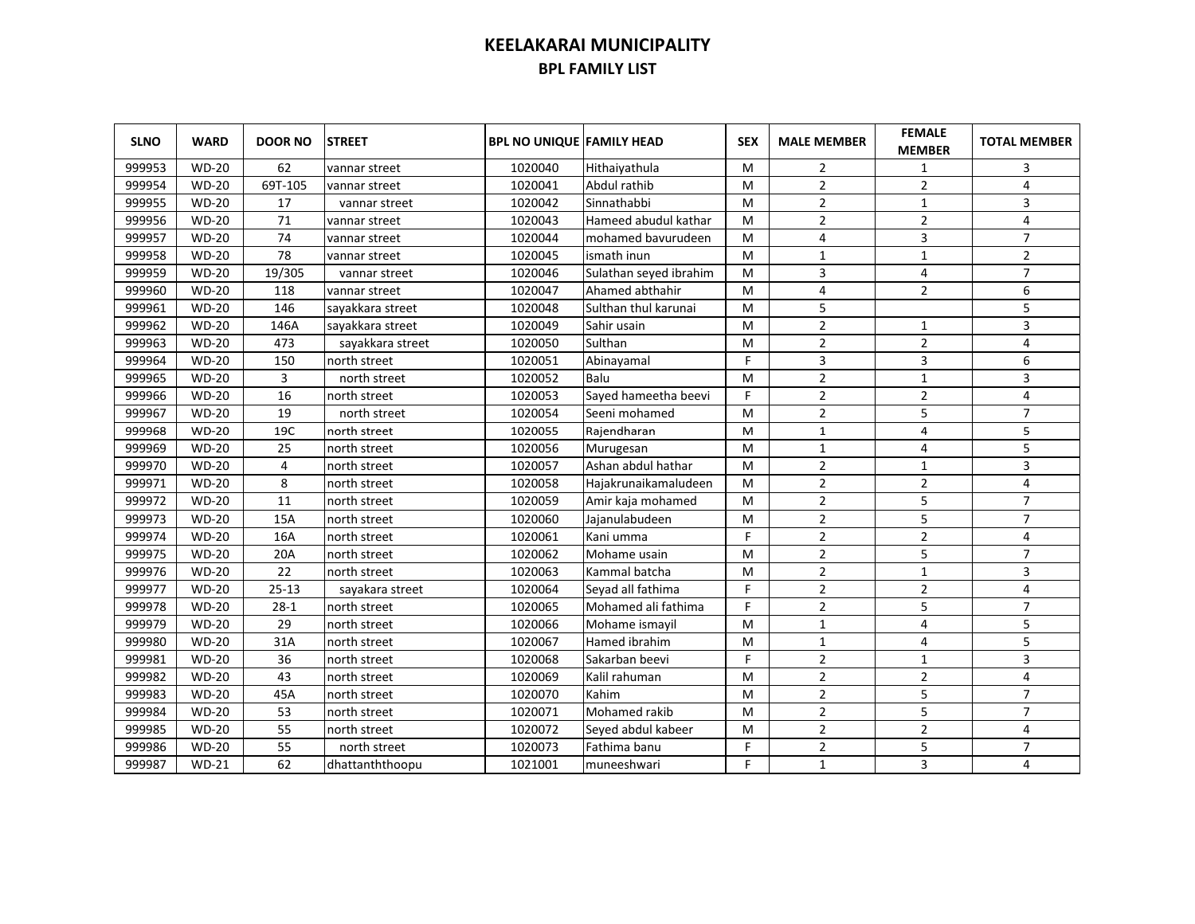| <b>SLNO</b> | <b>WARD</b>  | <b>DOOR NO</b> | <b>STREET</b>    | <b>BPL NO UNIQUE FAMILY HEAD</b> |                        | <b>SEX</b> | <b>MALE MEMBER</b> | <b>FEMALE</b><br><b>MEMBER</b> | <b>TOTAL MEMBER</b> |
|-------------|--------------|----------------|------------------|----------------------------------|------------------------|------------|--------------------|--------------------------------|---------------------|
| 999953      | <b>WD-20</b> | 62             | vannar street    | 1020040                          | Hithaiyathula          | м          | 2                  | 1                              | 3                   |
| 999954      | <b>WD-20</b> | 69T-105        | vannar street    | 1020041                          | Abdul rathib           | M          | $\overline{2}$     | $\overline{2}$                 | 4                   |
| 999955      | <b>WD-20</b> | 17             | vannar street    | 1020042                          | Sinnathabbi            | м          | $\overline{2}$     | $\mathbf{1}$                   | 3                   |
| 999956      | <b>WD-20</b> | 71             | vannar street    | 1020043                          | Hameed abudul kathar   | M          | 2                  | $\mathbf 2$                    | 4                   |
| 999957      | <b>WD-20</b> | 74             | vannar street    | 1020044                          | mohamed bavurudeen     | м          | 4                  | 3                              | $\overline{7}$      |
| 999958      | <b>WD-20</b> | 78             | vannar street    | 1020045                          | ismath inun            | м          | $\mathbf{1}$       | $\mathbf{1}$                   | $\mathbf 2$         |
| 999959      | <b>WD-20</b> | 19/305         | vannar street    | 1020046                          | Sulathan seyed ibrahim | M          | 3                  | 4                              | $\overline{7}$      |
| 999960      | <b>WD-20</b> | 118            | vannar street    | 1020047                          | Ahamed abthahir        | м          | 4                  | $\overline{2}$                 | 6                   |
| 999961      | <b>WD-20</b> | 146            | sayakkara street | 1020048                          | Sulthan thul karunai   | M          | 5                  |                                | 5                   |
| 999962      | <b>WD-20</b> | 146A           | sayakkara street | 1020049                          | Sahir usain            | м          | $\overline{2}$     | 1                              | 3                   |
| 999963      | <b>WD-20</b> | 473            | sayakkara street | 1020050                          | Sulthan                | M          | $\overline{2}$     | $\overline{2}$                 | $\overline{4}$      |
| 999964      | <b>WD-20</b> | 150            | north street     | 1020051                          | Abinayamal             | F          | 3                  | 3                              | 6                   |
| 999965      | <b>WD-20</b> | 3              | north street     | 1020052                          | Balu                   | м          | $\overline{2}$     | $\mathbf 1$                    | 3                   |
| 999966      | <b>WD-20</b> | 16             | north street     | 1020053                          | Sayed hameetha beevi   | F          | $\overline{2}$     | $\overline{2}$                 | 4                   |
| 999967      | <b>WD-20</b> | 19             | north street     | 1020054                          | Seeni mohamed          | м          | $\overline{2}$     | 5                              | $\overline{7}$      |
| 999968      | <b>WD-20</b> | 19C            | north street     | 1020055                          | Rajendharan            | M          | $\mathbf{1}$       | 4                              | 5                   |
| 999969      | <b>WD-20</b> | 25             | north street     | 1020056                          | Murugesan              | M          | $\mathbf{1}$       | 4                              | 5                   |
| 999970      | <b>WD-20</b> | 4              | north street     | 1020057                          | Ashan abdul hathar     | M          | $\overline{2}$     | $\mathbf{1}$                   | 3                   |
| 999971      | <b>WD-20</b> | 8              | north street     | 1020058                          | Hajakrunaikamaludeen   | M          | $\overline{2}$     | $\overline{2}$                 | 4                   |
| 999972      | <b>WD-20</b> | 11             | north street     | 1020059                          | Amir kaja mohamed      | M          | $\overline{2}$     | 5                              | $\overline{7}$      |
| 999973      | <b>WD-20</b> | 15A            | north street     | 1020060                          | Jajanulabudeen         | м          | $\overline{2}$     | 5                              | $\overline{7}$      |
| 999974      | <b>WD-20</b> | 16A            | north street     | 1020061                          | Kani umma              | F.         | $\overline{2}$     | $\overline{2}$                 | 4                   |
| 999975      | $WD-20$      | 20A            | north street     | 1020062                          | Mohame usain           | M          | $\overline{2}$     | 5                              | $\overline{7}$      |
| 999976      | <b>WD-20</b> | 22             | north street     | 1020063                          | Kammal batcha          | M          | $\overline{2}$     | $\mathbf{1}$                   | 3                   |
| 999977      | <b>WD-20</b> | $25 - 13$      | sayakara street  | 1020064                          | Seyad all fathima      | F          | $\overline{2}$     | $\overline{2}$                 | $\overline{4}$      |
| 999978      | <b>WD-20</b> | $28-1$         | north street     | 1020065                          | Mohamed ali fathima    | F          | $\overline{2}$     | 5                              | $\overline{7}$      |
| 999979      | <b>WD-20</b> | 29             | north street     | 1020066                          | Mohame ismayil         | M          | $\mathbf{1}$       | 4                              | 5                   |
| 999980      | <b>WD-20</b> | 31A            | north street     | 1020067                          | Hamed ibrahim          | M          | $\mathbf{1}$       | 4                              | 5                   |
| 999981      | <b>WD-20</b> | 36             | north street     | 1020068                          | Sakarban beevi         | F          | $\overline{2}$     | $\mathbf{1}$                   | 3                   |
| 999982      | <b>WD-20</b> | 43             | north street     | 1020069                          | Kalil rahuman          | M          | $\overline{2}$     | $\overline{2}$                 | 4                   |
| 999983      | <b>WD-20</b> | 45A            | north street     | 1020070                          | Kahim                  | M          | $\overline{2}$     | 5                              | $\overline{7}$      |
| 999984      | <b>WD-20</b> | 53             | north street     | 1020071                          | Mohamed rakib          | M          | $\overline{2}$     | 5                              | $\overline{7}$      |
| 999985      | <b>WD-20</b> | 55             | north street     | 1020072                          | Seyed abdul kabeer     | M          | $\overline{2}$     | $\overline{2}$                 | 4                   |
| 999986      | <b>WD-20</b> | 55             | north street     | 1020073                          | Fathima banu           | F          | $\overline{2}$     | 5                              | $\overline{7}$      |
| 999987      | $WD-21$      | 62             | dhattanththoopu  | 1021001                          | muneeshwari            | F          | $\mathbf{1}$       | 3                              | 4                   |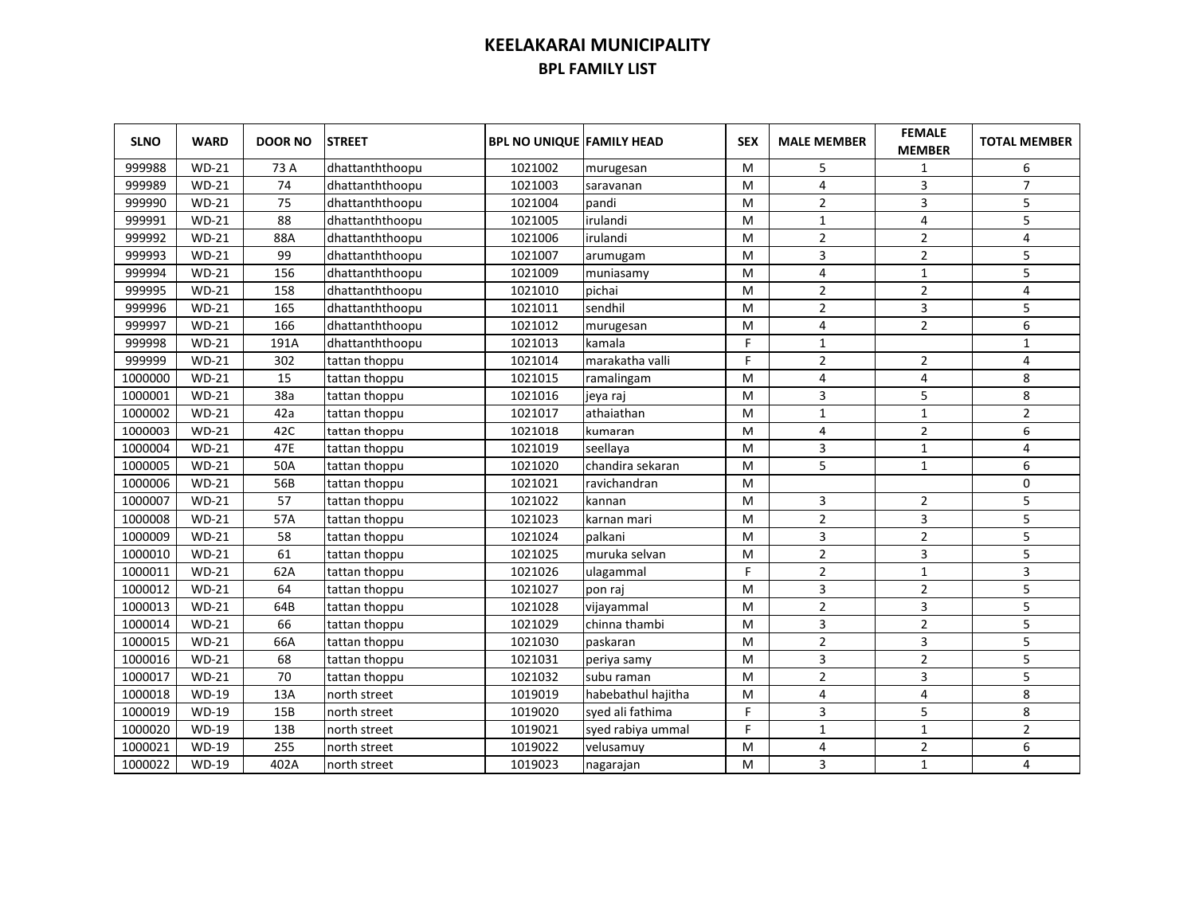| <b>SLNO</b> | <b>WARD</b>  | <b>DOOR NO</b> | <b>STREET</b>   | <b>BPL NO UNIQUE FAMILY HEAD</b> |                    | <b>SEX</b> | <b>MALE MEMBER</b> | <b>FEMALE</b><br><b>MEMBER</b> | <b>TOTAL MEMBER</b>     |
|-------------|--------------|----------------|-----------------|----------------------------------|--------------------|------------|--------------------|--------------------------------|-------------------------|
| 999988      | $WD-21$      | 73 A           | dhattanththoopu | 1021002                          | murugesan          | M          | 5                  | 1                              | 6                       |
| 999989      | $WD-21$      | 74             | dhattanththoopu | 1021003                          | saravanan          | M          | 4                  | 3                              | $\overline{7}$          |
| 999990      | $WD-21$      | 75             | dhattanththoopu | 1021004                          | pandi              | M          | $\overline{2}$     | 3                              | 5                       |
| 999991      | $WD-21$      | 88             | dhattanththoopu | 1021005                          | irulandi           | M          | $\mathbf{1}$       | 4                              | 5                       |
| 999992      | $WD-21$      | 88A            | dhattanththoopu | 1021006                          | irulandi           | м          | $\overline{2}$     | $\overline{2}$                 | $\overline{\mathbf{4}}$ |
| 999993      | $WD-21$      | 99             | dhattanththoopu | 1021007                          | arumugam           | м          | 3                  | $\mathbf 2$                    | 5                       |
| 999994      | $WD-21$      | 156            | dhattanththoopu | 1021009                          | muniasamy          | м          | 4                  | $1\,$                          | 5                       |
| 999995      | $WD-21$      | 158            | dhattanththoopu | 1021010                          | pichai             | M          | $\overline{2}$     | $\overline{2}$                 | $\overline{4}$          |
| 999996      | $WD-21$      | 165            | dhattanththoopu | 1021011                          | sendhil            | M          | $\overline{2}$     | 3                              | 5                       |
| 999997      | $WD-21$      | 166            | dhattanththoopu | 1021012                          | murugesan          | M          | 4                  | $\overline{2}$                 | 6                       |
| 999998      | $WD-21$      | 191A           | dhattanththoopu | 1021013                          | kamala             | F          | $\mathbf{1}$       |                                | $\mathbf{1}$            |
| 999999      | $WD-21$      | 302            | tattan thoppu   | 1021014                          | marakatha valli    | F.         | $\overline{2}$     | $\overline{2}$                 | 4                       |
| 1000000     | $WD-21$      | 15             | tattan thoppu   | 1021015                          | ramalingam         | M          | 4                  | 4                              | 8                       |
| 1000001     | $WD-21$      | 38a            | tattan thoppu   | 1021016                          | jeya raj           | M          | 3                  | 5                              | 8                       |
| 1000002     | $WD-21$      | 42a            | tattan thoppu   | 1021017                          | athaiathan         | M          | $\mathbf 1$        | $\mathbf{1}$                   | $\overline{2}$          |
| 1000003     | $WD-21$      | 42C            | tattan thoppu   | 1021018                          | kumaran            | M          | 4                  | $\overline{2}$                 | 6                       |
| 1000004     | $WD-21$      | 47E            | tattan thoppu   | 1021019                          | seellaya           | M          | 3                  | $\mathbf{1}$                   | 4                       |
| 1000005     | $WD-21$      | 50A            | tattan thoppu   | 1021020                          | chandira sekaran   | M          | 5                  | $\mathbf{1}$                   | 6                       |
| 1000006     | $WD-21$      | 56B            | tattan thoppu   | 1021021                          | ravichandran       | M          |                    |                                | 0                       |
| 1000007     | $WD-21$      | 57             | tattan thoppu   | 1021022                          | kannan             | M          | 3                  | 2                              | 5                       |
| 1000008     | $WD-21$      | 57A            | tattan thoppu   | 1021023                          | karnan mari        | M          | $\overline{2}$     | 3                              | 5                       |
| 1000009     | $WD-21$      | 58             | tattan thoppu   | 1021024                          | palkani            | M          | 3                  | $\overline{2}$                 | 5                       |
| 1000010     | $WD-21$      | 61             | tattan thoppu   | 1021025                          | Imuruka selvan     | M          | $\overline{2}$     | 3                              | 5                       |
| 1000011     | $WD-21$      | 62A            | tattan thoppu   | 1021026                          | ulagammal          | F          | 2                  | $\mathbf{1}$                   | 3                       |
| 1000012     | $WD-21$      | 64             | tattan thoppu   | 1021027                          | pon raj            | M          | 3                  | $\overline{2}$                 | 5                       |
| 1000013     | $WD-21$      | 64B            | tattan thoppu   | 1021028                          | vijayammal         | M          | $\overline{2}$     | 3                              | 5                       |
| 1000014     | $WD-21$      | 66             | tattan thoppu   | 1021029                          | chinna thambi      | M          | 3                  | $\overline{2}$                 | 5                       |
| 1000015     | $WD-21$      | 66A            | tattan thoppu   | 1021030                          | paskaran           | M          | $\overline{2}$     | 3                              | 5                       |
| 1000016     | $WD-21$      | 68             | tattan thoppu   | 1021031                          | periya samy        | M          | 3                  | $\overline{2}$                 | 5                       |
| 1000017     | $WD-21$      | 70             | tattan thoppu   | 1021032                          | subu raman         | M          | $\overline{2}$     | 3                              | 5                       |
| 1000018     | <b>WD-19</b> | 13A            | north street    | 1019019                          | habebathul hajitha | M          | 4                  | 4                              | 8                       |
| 1000019     | <b>WD-19</b> | 15B            | north street    | 1019020                          | syed ali fathima   | F          | 3                  | 5                              | 8                       |
| 1000020     | <b>WD-19</b> | 13B            | north street    | 1019021                          | syed rabiya ummal  | F          | $\mathbf{1}$       | $\mathbf{1}$                   | $\overline{2}$          |
| 1000021     | WD-19        | 255            | north street    | 1019022                          | velusamuy          | M          | 4                  | $\overline{2}$                 | 6                       |
| 1000022     | <b>WD-19</b> | 402A           | north street    | 1019023                          | nagarajan          | M          | 3                  | $\mathbf{1}$                   | 4                       |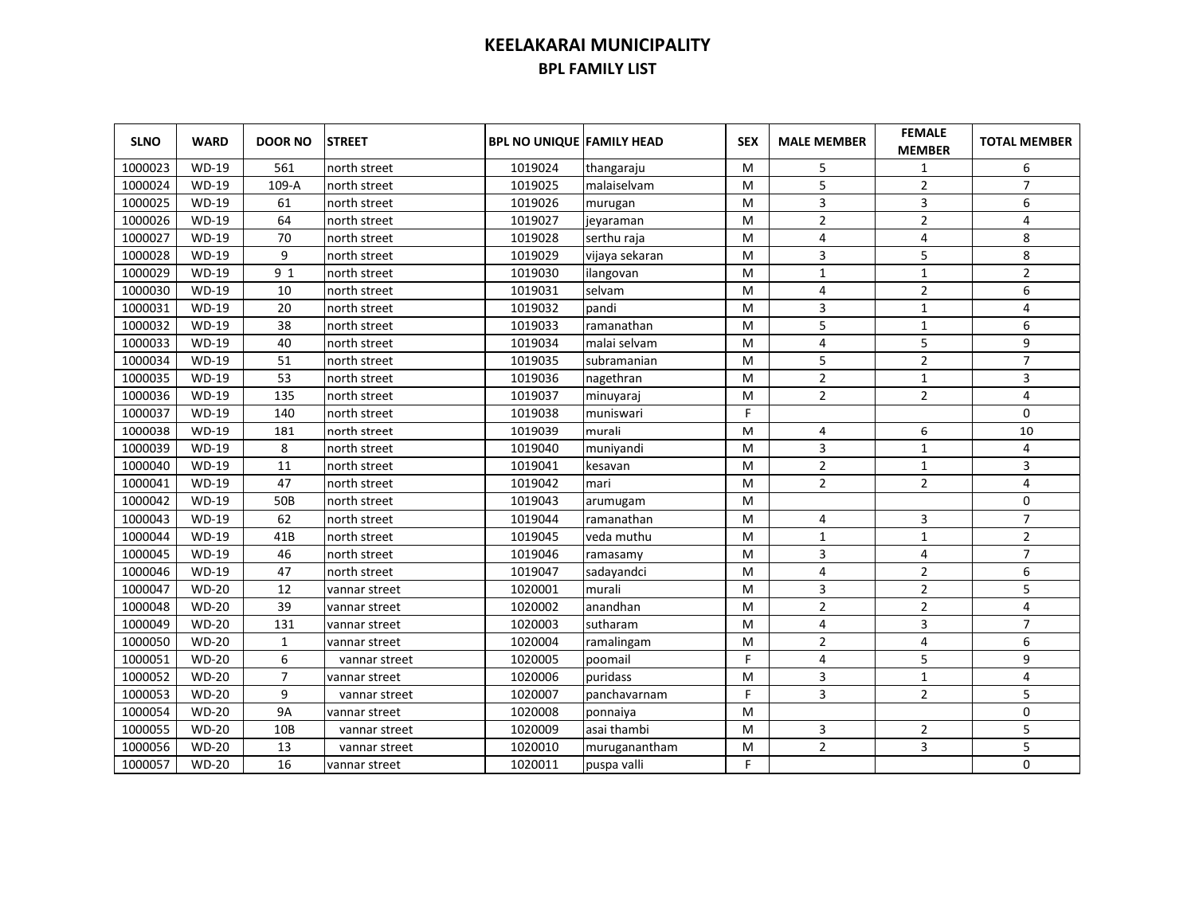| <b>SLNO</b> | <b>WARD</b>  | <b>DOOR NO</b>  | <b>STREET</b> | <b>BPL NO UNIQUE FAMILY HEAD</b> |                | <b>SEX</b> | <b>MALE MEMBER</b> | <b>FEMALE</b><br><b>MEMBER</b> | <b>TOTAL MEMBER</b> |
|-------------|--------------|-----------------|---------------|----------------------------------|----------------|------------|--------------------|--------------------------------|---------------------|
| 1000023     | <b>WD-19</b> | 561             | north street  | 1019024                          | thangaraju     | м          | 5                  | 1                              | 6                   |
| 1000024     | <b>WD-19</b> | 109-A           | north street  | 1019025                          | malaiselvam    | M          | 5                  | $\overline{2}$                 | $\overline{7}$      |
| 1000025     | <b>WD-19</b> | 61              | north street  | 1019026                          | murugan        | м          | 3                  | 3                              | 6                   |
| 1000026     | <b>WD-19</b> | 64              | north street  | 1019027                          | jeyaraman      | M          | $\overline{2}$     | $\overline{2}$                 | 4                   |
| 1000027     | <b>WD-19</b> | 70              | north street  | 1019028                          | serthu raja    | м          | 4                  | $\overline{4}$                 | 8                   |
| 1000028     | WD-19        | 9               | north street  | 1019029                          | vijaya sekaran | M          | 3                  | 5                              | 8                   |
| 1000029     | WD-19        | 9 1             | north street  | 1019030                          | ilangovan      | м          | $\mathbf{1}$       | $\mathbf 1$                    | $\overline{2}$      |
| 1000030     | WD-19        | 10              | north street  | 1019031                          | selvam         | м          | $\overline{4}$     | $\overline{2}$                 | 6                   |
| 1000031     | <b>WD-19</b> | 20              | north street  | 1019032                          | pandi          | M          | 3                  | $\mathbf{1}$                   | 4                   |
| 1000032     | <b>WD-19</b> | 38              | north street  | 1019033                          | ramanathan     | M          | 5                  | $\mathbf{1}$                   | 6                   |
| 1000033     | <b>WD-19</b> | 40              | north street  | 1019034                          | malai selvam   | M          | 4                  | 5                              | 9                   |
| 1000034     | <b>WD-19</b> | 51              | north street  | 1019035                          | subramanian    | M          | 5                  | $\overline{2}$                 | $\overline{7}$      |
| 1000035     | <b>WD-19</b> | 53              | north street  | 1019036                          | nagethran      | м          | $\overline{2}$     | $\mathbf{1}$                   | 3                   |
| 1000036     | <b>WD-19</b> | 135             | north street  | 1019037                          | minuyaraj      | M          | $\overline{2}$     | $\overline{2}$                 | 4                   |
| 1000037     | <b>WD-19</b> | 140             | north street  | 1019038                          | muniswari      | F          |                    |                                | $\mathbf 0$         |
| 1000038     | WD-19        | 181             | north street  | 1019039                          | murali         | M          | 4                  | 6                              | 10                  |
| 1000039     | WD-19        | 8               | north street  | 1019040                          | muniyandi      | M          | 3                  | $\mathbf{1}$                   | 4                   |
| 1000040     | WD-19        | 11              | north street  | 1019041                          | kesavan        | M          | $\mathbf{2}$       | $\mathbf{1}$                   | 3                   |
| 1000041     | <b>WD-19</b> | 47              | north street  | 1019042                          | mari           | M          | $\overline{2}$     | $\overline{2}$                 | 4                   |
| 1000042     | <b>WD-19</b> | 50 <sub>B</sub> | north street  | 1019043                          | arumugam       | м          |                    |                                | $\Omega$            |
| 1000043     | <b>WD-19</b> | 62              | north street  | 1019044                          | ramanathan     | M          | 4                  | 3                              | $\overline{7}$      |
| 1000044     | <b>WD-19</b> | 41B             | north street  | 1019045                          | veda muthu     | M          | $\mathbf{1}$       | $\mathbf{1}$                   | $\overline{2}$      |
| 1000045     | <b>WD-19</b> | 46              | north street  | 1019046                          | ramasamy       | M          | 3                  | 4                              | $\overline{7}$      |
| 1000046     | WD-19        | 47              | north street  | 1019047                          | sadayandci     | M          | 4                  | $\overline{2}$                 | 6                   |
| 1000047     | $WD-20$      | 12              | vannar street | 1020001                          | murali         | M          | 3                  | $\overline{2}$                 | 5                   |
| 1000048     | $WD-20$      | 39              | vannar street | 1020002                          | anandhan       | M          | $\overline{2}$     | $\overline{2}$                 | 4                   |
| 1000049     | $WD-20$      | 131             | vannar street | 1020003                          | sutharam       | M          | 4                  | 3                              | $\overline{7}$      |
| 1000050     | <b>WD-20</b> | $\mathbf{1}$    | vannar street | 1020004                          | ramalingam     | M          | $\overline{2}$     | 4                              | 6                   |
| 1000051     | <b>WD-20</b> | 6               | vannar street | 1020005                          | poomail        | F          | 4                  | 5                              | 9                   |
| 1000052     | <b>WD-20</b> | $\overline{7}$  | vannar street | 1020006                          | puridass       | M          | 3                  | $\mathbf{1}$                   | 4                   |
| 1000053     | <b>WD-20</b> | 9               | vannar street | 1020007                          | panchavarnam   | F          | 3                  | $\overline{2}$                 | 5                   |
| 1000054     | $WD-20$      | <b>9A</b>       | vannar street | 1020008                          | ponnaiya       | M          |                    |                                | $\mathbf 0$         |
| 1000055     | <b>WD-20</b> | 10B             | vannar street | 1020009                          | asai thambi    | M          | 3                  | $\overline{2}$                 | 5                   |
| 1000056     | <b>WD-20</b> | 13              | vannar street | 1020010                          | muruganantham  | M          | $\overline{2}$     | 3                              | 5                   |
| 1000057     | <b>WD-20</b> | 16              | vannar street | 1020011                          | puspa valli    | F          |                    |                                | 0                   |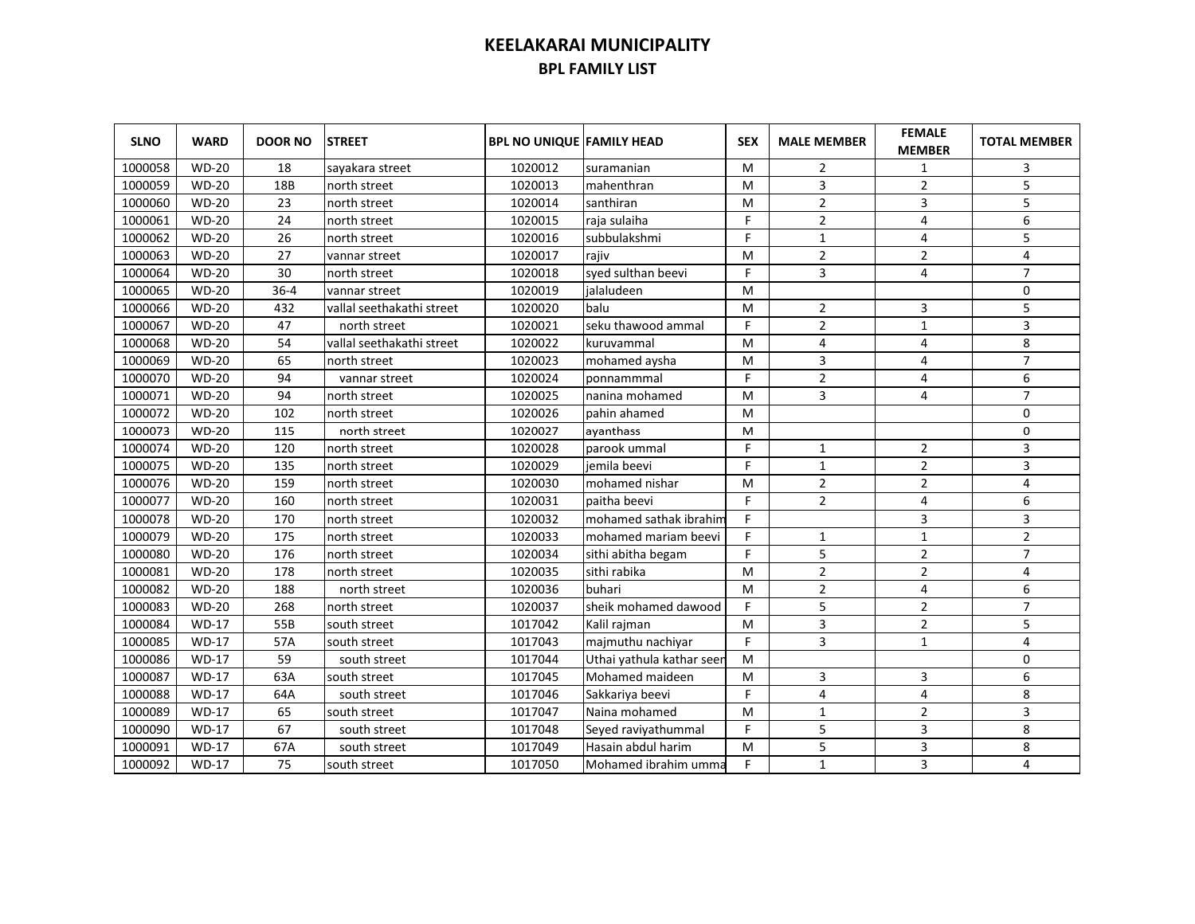| <b>SLNO</b> | <b>WARD</b>  | <b>DOOR NO</b> | <b>STREET</b>             | <b>BPL NO UNIQUE FAMILY HEAD</b> |                           | <b>SEX</b> | <b>MALE MEMBER</b> | <b>FEMALE</b><br><b>MEMBER</b> | <b>TOTAL MEMBER</b> |
|-------------|--------------|----------------|---------------------------|----------------------------------|---------------------------|------------|--------------------|--------------------------------|---------------------|
| 1000058     | <b>WD-20</b> | 18             | sayakara street           | 1020012                          | suramanian                | м          | 2                  | 1                              | 3                   |
| 1000059     | <b>WD-20</b> | 18B            | north street              | 1020013                          | mahenthran                | м          | 3                  | $\overline{2}$                 | 5                   |
| 1000060     | <b>WD-20</b> | 23             | north street              | 1020014                          | santhiran                 | M          | $\overline{2}$     | 3                              | 5                   |
| 1000061     | <b>WD-20</b> | 24             | north street              | 1020015                          | raja sulaiha              | F          | $\overline{2}$     | 4                              | 6                   |
| 1000062     | <b>WD-20</b> | 26             | north street              | 1020016                          | subbulakshmi              | F.         | $\mathbf{1}$       | 4                              | 5                   |
| 1000063     | <b>WD-20</b> | 27             | vannar street             | 1020017                          | rajiv                     | M          | 2                  | $\overline{2}$                 | 4                   |
| 1000064     | <b>WD-20</b> | 30             | north street              | 1020018                          | syed sulthan beevi        | F          | 3                  | 4                              | $\overline{7}$      |
| 1000065     | <b>WD-20</b> | $36 - 4$       | vannar street             | 1020019                          | jalaludeen                | м          |                    |                                | 0                   |
| 1000066     | <b>WD-20</b> | 432            | vallal seethakathi street | 1020020                          | balu                      | M          | $\overline{2}$     | 3                              | 5                   |
| 1000067     | <b>WD-20</b> | 47             | north street              | 1020021                          | seku thawood ammal        | F          | $\overline{2}$     | $1\,$                          | 3                   |
| 1000068     | <b>WD-20</b> | 54             | vallal seethakathi street | 1020022                          | kuruvammal                | м          | 4                  | 4                              | 8                   |
| 1000069     | <b>WD-20</b> | 65             | north street              | 1020023                          | mohamed aysha             | M          | 3                  | 4                              | $\overline{7}$      |
| 1000070     | <b>WD-20</b> | 94             | vannar street             | 1020024                          | ponnammmal                | F          | $\overline{2}$     | 4                              | 6                   |
| 1000071     | <b>WD-20</b> | 94             | north street              | 1020025                          | nanina mohamed            | M          | 3                  | 4                              | $\overline{7}$      |
| 1000072     | <b>WD-20</b> | 102            | north street              | 1020026                          | Ipahin ahamed             | M          |                    |                                | $\mathbf 0$         |
| 1000073     | <b>WD-20</b> | 115            | north street              | 1020027                          | avanthass                 | M          |                    |                                | $\mathbf 0$         |
| 1000074     | <b>WD-20</b> | 120            | north street              | 1020028                          | Iparook ummal             | F.         | 1                  | 2                              | 3                   |
| 1000075     | <b>WD-20</b> | 135            | north street              | 1020029                          | iemila beevi              | F          | $\mathbf{1}$       | $\overline{2}$                 | 3                   |
| 1000076     | <b>WD-20</b> | 159            | north street              | 1020030                          | mohamed nishar            | M          | 2                  | 2                              | 4                   |
| 1000077     | <b>WD-20</b> | 160            | north street              | 1020031                          | paitha beevi              | F.         | $\overline{2}$     | 4                              | 6                   |
| 1000078     | <b>WD-20</b> | 170            | north street              | 1020032                          | mohamed sathak ibrahim    | F.         |                    | 3                              | 3                   |
| 1000079     | <b>WD-20</b> | 175            | north street              | 1020033                          | mohamed mariam beevi      | F          | $\mathbf{1}$       | $\mathbf{1}$                   | $\overline{2}$      |
| 1000080     | <b>WD-20</b> | 176            | north street              | 1020034                          | sithi abitha begam        | F          | 5                  | $\overline{2}$                 | $\overline{7}$      |
| 1000081     | $WD-20$      | 178            | north street              | 1020035                          | sithi rabika              | M          | $\overline{2}$     | $\overline{2}$                 | 4                   |
| 1000082     | <b>WD-20</b> | 188            | north street              | 1020036                          | buhari                    | M          | $\overline{2}$     | 4                              | 6                   |
| 1000083     | <b>WD-20</b> | 268            | north street              | 1020037                          | sheik mohamed dawood      | F          | 5                  | $\overline{2}$                 | $\overline{7}$      |
| 1000084     | $WD-17$      | 55B            | south street              | 1017042                          | Kalil rajman              | M          | 3                  | $\overline{2}$                 | 5                   |
| 1000085     | $WD-17$      | 57A            | south street              | 1017043                          | majmuthu nachiyar         | F          | 3                  | $\mathbf{1}$                   | 4                   |
| 1000086     | $WD-17$      | 59             | south street              | 1017044                          | Uthai yathula kathar seen | M          |                    |                                | $\Omega$            |
| 1000087     | $WD-17$      | 63A            | south street              | 1017045                          | Mohamed maideen           | M          | 3                  | 3                              | 6                   |
| 1000088     | $WD-17$      | 64A            | south street              | 1017046                          | Sakkariya beevi           | F          | 4                  | 4                              | 8                   |
| 1000089     | $WD-17$      | 65             | south street              | 1017047                          | Naina mohamed             | M          | 1                  | 2                              | 3                   |
| 1000090     | <b>WD-17</b> | 67             | south street              | 1017048                          | Seyed raviyathummal       | F          | 5                  | 3                              | 8                   |
| 1000091     | <b>WD-17</b> | 67A            | south street              | 1017049                          | Hasain abdul harim        | M          | 5                  | 3                              | 8                   |
| 1000092     | <b>WD-17</b> | 75             | south street              | 1017050                          | Mohamed ibrahim umma      | F.         | $\mathbf{1}$       | 3                              | 4                   |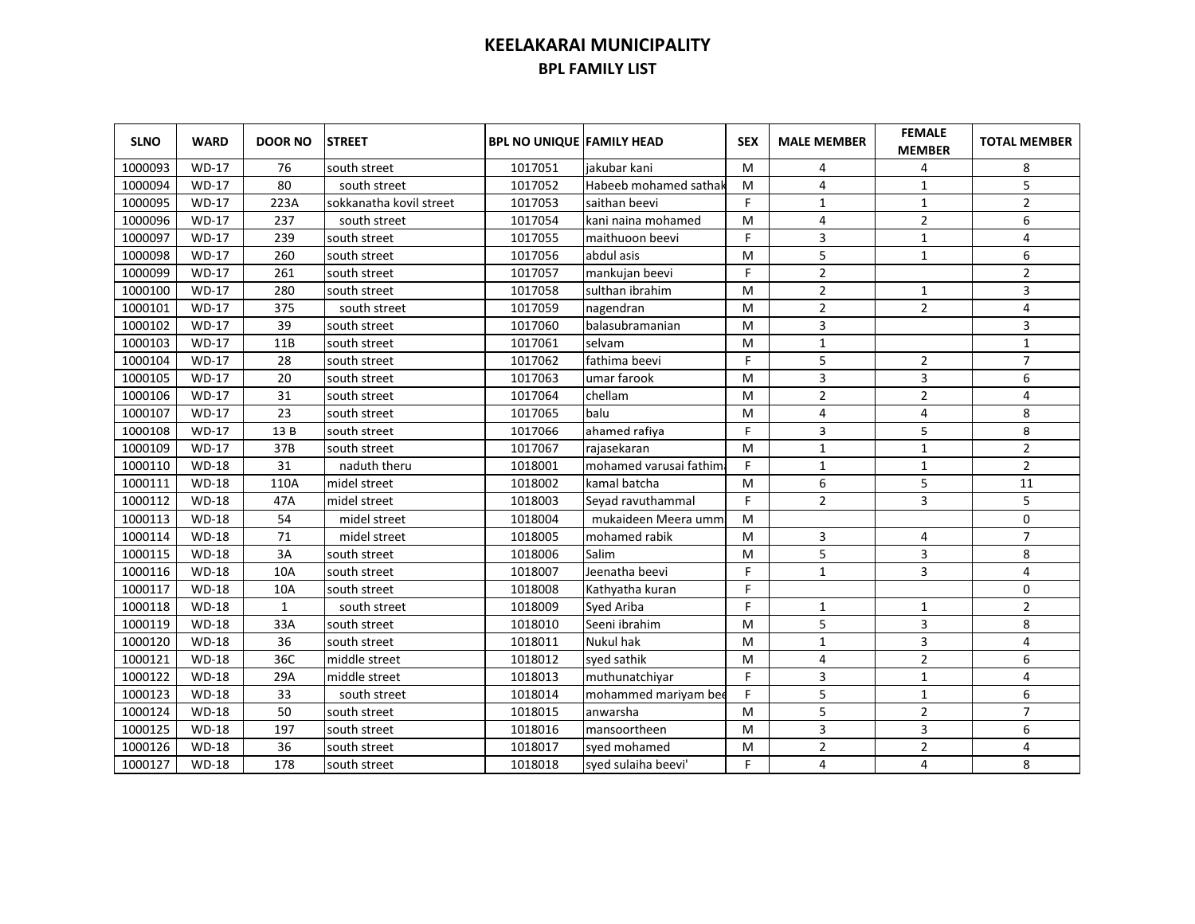| <b>SLNO</b> | <b>WARD</b>  | <b>DOOR NO</b> | <b>STREET</b>           | <b>BPL NO UNIQUE FAMILY HEAD</b> |                        | <b>SEX</b> | <b>MALE MEMBER</b> | <b>FEMALE</b><br><b>MEMBER</b> | <b>TOTAL MEMBER</b> |
|-------------|--------------|----------------|-------------------------|----------------------------------|------------------------|------------|--------------------|--------------------------------|---------------------|
| 1000093     | <b>WD-17</b> | 76             | south street            | 1017051                          | iakubar kani           | м          | 4                  | 4                              | 8                   |
| 1000094     | WD-17        | 80             | south street            | 1017052                          | Habeeb mohamed sathak  | м          | 4                  | 1                              | 5                   |
| 1000095     | WD-17        | 223A           | sokkanatha kovil street | 1017053                          | saithan beevi          | F          | 1                  | $\mathbf{1}$                   | $\overline{2}$      |
| 1000096     | <b>WD-17</b> | 237            | south street            | 1017054                          | kani naina mohamed     | M          | 4                  | $\mathbf 2$                    | 6                   |
| 1000097     | $WD-17$      | 239            | south street            | 1017055                          | maithuoon beevi        | F          | 3                  | $\mathbf 1$                    | $\pmb{4}$           |
| 1000098     | <b>WD-17</b> | 260            | south street            | 1017056                          | abdul asis             | M          | 5                  | $\mathbf{1}$                   | 6                   |
| 1000099     | WD-17        | 261            | south street            | 1017057                          | mankujan beevi         | F          | $\overline{2}$     |                                | $\overline{2}$      |
| 1000100     | <b>WD-17</b> | 280            | south street            | 1017058                          | sulthan ibrahim        | M          | $\overline{2}$     | 1                              | 3                   |
| 1000101     | <b>WD-17</b> | 375            | south street            | 1017059                          | nagendran              | м          | $\overline{2}$     | $\overline{2}$                 | 4                   |
| 1000102     | <b>WD-17</b> | 39             | south street            | 1017060                          | balasubramanian        | м          | 3                  |                                | 3                   |
| 1000103     | <b>WD-17</b> | 11B            | south street            | 1017061                          | selvam                 | м          | $\mathbf{1}$       |                                | $\mathbf{1}$        |
| 1000104     | <b>WD-17</b> | 28             | south street            | 1017062                          | fathima beevi          | F.         | 5                  | $\overline{2}$                 | $\overline{7}$      |
| 1000105     | <b>WD-17</b> | 20             | south street            | 1017063                          | umar farook            | M          | 3                  | 3                              | 6                   |
| 1000106     | <b>WD-17</b> | 31             | south street            | 1017064                          | chellam                | M          | $\overline{2}$     | $\overline{2}$                 | 4                   |
| 1000107     | <b>WD-17</b> | 23             | south street            | 1017065                          | balu                   | м          | 4                  | 4                              | 8                   |
| 1000108     | <b>WD-17</b> | 13B            | south street            | 1017066                          | ahamed rafiya          | F.         | 3                  | 5                              | 8                   |
| 1000109     | <b>WD-17</b> | 37B            | south street            | 1017067                          | rajasekaran            | M          | $\mathbf{1}$       | $\mathbf{1}$                   | $\overline{2}$      |
| 1000110     | <b>WD-18</b> | 31             | naduth theru            | 1018001                          | mohamed varusai fathim | F.         | $\mathbf{1}$       | $\mathbf{1}$                   | $\overline{2}$      |
| 1000111     | <b>WD-18</b> | 110A           | midel street            | 1018002                          | kamal batcha           | M          | 6                  | 5                              | 11                  |
| 1000112     | <b>WD-18</b> | 47A            | midel street            | 1018003                          | Seyad ravuthammal      | F          | $\overline{2}$     | 3                              | 5                   |
| 1000113     | <b>WD-18</b> | 54             | midel street            | 1018004                          | mukaideen Meera umm    | M          |                    |                                | $\mathbf 0$         |
| 1000114     | <b>WD-18</b> | 71             | midel street            | 1018005                          | mohamed rabik          | M          | 3                  | 4                              | $\overline{7}$      |
| 1000115     | <b>WD-18</b> | 3A             | south street            | 1018006                          | Salim                  | M          | 5                  | $\overline{3}$                 | 8                   |
| 1000116     | <b>WD-18</b> | 10A            | south street            | 1018007                          | Jeenatha beevi         | F.         | $\mathbf{1}$       | 3                              | 4                   |
| 1000117     | <b>WD-18</b> | 10A            | south street            | 1018008                          | Kathyatha kuran        | F          |                    |                                | 0                   |
| 1000118     | <b>WD-18</b> | $\mathbf{1}$   | south street            | 1018009                          | Syed Ariba             | F          | $\mathbf{1}$       | $\mathbf{1}$                   | $\overline{2}$      |
| 1000119     | <b>WD-18</b> | 33A            | south street            | 1018010                          | Seeni ibrahim          | M          | 5                  | 3                              | 8                   |
| 1000120     | $WD-18$      | 36             | south street            | 1018011                          | Nukul hak              | M          | $\mathbf{1}$       | $\overline{3}$                 | 4                   |
| 1000121     | $WD-18$      | 36C            | middle street           | 1018012                          | syed sathik            | M          | 4                  | $\overline{2}$                 | 6                   |
| 1000122     | <b>WD-18</b> | 29A            | middle street           | 1018013                          | muthunatchiyar         | F          | 3                  | $\mathbf{1}$                   | 4                   |
| 1000123     | <b>WD-18</b> | 33             | south street            | 1018014                          | mohammed mariyam bee   | F          | 5                  | $\mathbf{1}$                   | 6                   |
| 1000124     | <b>WD-18</b> | 50             | south street            | 1018015                          | anwarsha               | M          | 5                  | $\overline{2}$                 | $\overline{7}$      |
| 1000125     | <b>WD-18</b> | 197            | south street            | 1018016                          | mansoortheen           | M          | 3                  | 3                              | 6                   |
| 1000126     | <b>WD-18</b> | 36             | south street            | 1018017                          | syed mohamed           | M          | $\overline{2}$     | $\overline{2}$                 | 4                   |
| 1000127     | <b>WD-18</b> | 178            | south street            | 1018018                          | syed sulaiha beevi'    | F          | 4                  | 4                              | 8                   |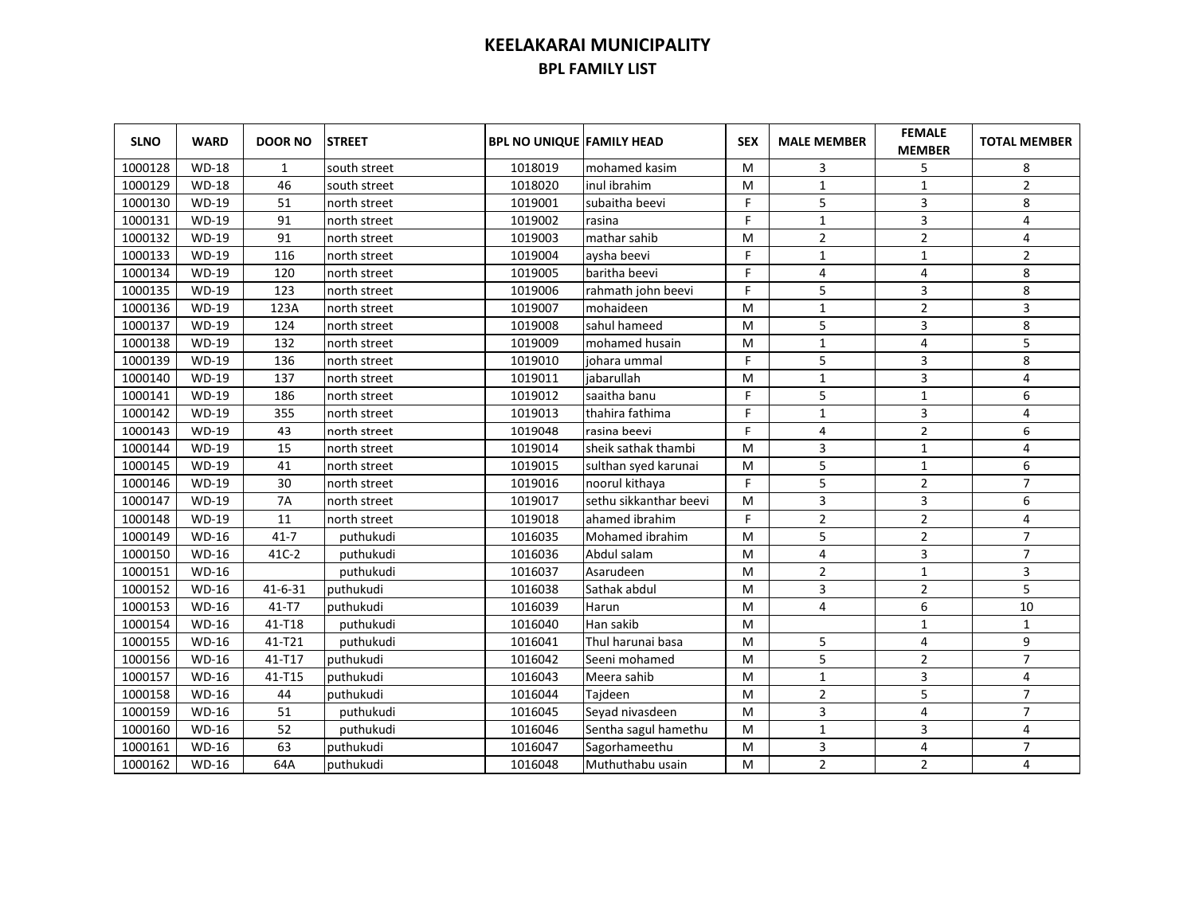| <b>SLNO</b> | <b>WARD</b>  | <b>DOOR NO</b> | <b>STREET</b> | <b>BPL NO UNIQUE FAMILY HEAD</b> |                        | <b>SEX</b> | <b>MALE MEMBER</b> | <b>FEMALE</b><br><b>MEMBER</b> | <b>TOTAL MEMBER</b> |
|-------------|--------------|----------------|---------------|----------------------------------|------------------------|------------|--------------------|--------------------------------|---------------------|
| 1000128     | <b>WD-18</b> | 1              | south street  | 1018019                          | mohamed kasim          | м          | 3                  | 5                              | 8                   |
| 1000129     | <b>WD-18</b> | 46             | south street  | 1018020                          | inul ibrahim           | м          | $\mathbf{1}$       | $1\,$                          | $\overline{2}$      |
| 1000130     | WD-19        | 51             | north street  | 1019001                          | subaitha beevi         | F          | 5                  | 3                              | 8                   |
| 1000131     | <b>WD-19</b> | 91             | north street  | 1019002                          | rasina                 | F          | $\mathbf{1}$       | 3                              | 4                   |
| 1000132     | WD-19        | 91             | north street  | 1019003                          | mathar sahib           | м          | $\overline{2}$     | $\overline{2}$                 | 4                   |
| 1000133     | WD-19        | 116            | north street  | 1019004                          | aysha beevi            | F          | 1                  | $\mathbf{1}$                   | $\overline{2}$      |
| 1000134     | WD-19        | 120            | north street  | 1019005                          | baritha beevi          | F          | 4                  | 4                              | 8                   |
| 1000135     | WD-19        | 123            | north street  | 1019006                          | rahmath john beevi     | F          | 5                  | 3                              | 8                   |
| 1000136     | WD-19        | 123A           | north street  | 1019007                          | mohaideen              | M          | $\mathbf{1}$       | $\overline{2}$                 | 3                   |
| 1000137     | WD-19        | 124            | north street  | 1019008                          | sahul hameed           | M          | 5                  | 3                              | 8                   |
| 1000138     | WD-19        | 132            | north street  | 1019009                          | mohamed husain         | M          | $\mathbf{1}$       | 4                              | 5                   |
| 1000139     | WD-19        | 136            | north street  | 1019010                          | johara ummal           | F          | 5                  | 3                              | 8                   |
| 1000140     | <b>WD-19</b> | 137            | north street  | 1019011                          | iabarullah             | M          | $\mathbf{1}$       | 3                              | 4                   |
| 1000141     | <b>WD-19</b> | 186            | north street  | 1019012                          | saaitha banu           | F          | 5                  | $\mathbf{1}$                   | 6                   |
| 1000142     | WD-19        | 355            | north street  | 1019013                          | thahira fathima        | F.         | $\mathbf{1}$       | 3                              | 4                   |
| 1000143     | WD-19        | 43             | north street  | 1019048                          | rasina beevi           | F          | $\overline{4}$     | $\overline{2}$                 | 6                   |
| 1000144     | WD-19        | 15             | north street  | 1019014                          | sheik sathak thambi    | м          | 3                  | $\mathbf{1}$                   | 4                   |
| 1000145     | WD-19        | 41             | north street  | 1019015                          | sulthan syed karunai   | M          | 5                  | $\mathbf{1}$                   | 6                   |
| 1000146     | WD-19        | 30             | north street  | 1019016                          | noorul kithaya         | F          | 5                  | $\overline{2}$                 | $\overline{7}$      |
| 1000147     | WD-19        | <b>7A</b>      | north street  | 1019017                          | sethu sikkanthar beevi | M          | 3                  | 3                              | 6                   |
| 1000148     | WD-19        | 11             | north street  | 1019018                          | ahamed ibrahim         | F          | $\overline{2}$     | $\overline{2}$                 | 4                   |
| 1000149     | WD-16        | $41 - 7$       | puthukudi     | 1016035                          | Mohamed ibrahim        | M          | 5                  | $\overline{2}$                 | $\overline{7}$      |
| 1000150     | $WD-16$      | 41C-2          | puthukudi     | 1016036                          | Abdul salam            | M          | 4                  | 3                              | $\overline{7}$      |
| 1000151     | WD-16        |                | puthukudi     | 1016037                          | Asarudeen              | M          | $\overline{2}$     | $\mathbf{1}$                   | 3                   |
| 1000152     | WD-16        | $41 - 6 - 31$  | puthukudi     | 1016038                          | Sathak abdul           | M          | 3                  | $\overline{2}$                 | 5                   |
| 1000153     | WD-16        | 41-T7          | puthukudi     | 1016039                          | Harun                  | M          | 4                  | 6                              | 10                  |
| 1000154     | <b>WD-16</b> | 41-T18         | puthukudi     | 1016040                          | Han sakib              | M          |                    | $\mathbf{1}$                   | $\mathbf{1}$        |
| 1000155     | <b>WD-16</b> | 41-T21         | puthukudi     | 1016041                          | Thul harunai basa      | M          | 5                  | 4                              | 9                   |
| 1000156     | <b>WD-16</b> | 41-T17         | puthukudi     | 1016042                          | Seeni mohamed          | M          | 5                  | $\overline{2}$                 | $\overline{7}$      |
| 1000157     | WD-16        | 41-T15         | puthukudi     | 1016043                          | Meera sahib            | M          | $\mathbf{1}$       | 3                              | 4                   |
| 1000158     | WD-16        | 44             | puthukudi     | 1016044                          | Tajdeen                | M          | $\overline{2}$     | 5                              | $\overline{7}$      |
| 1000159     | WD-16        | 51             | puthukudi     | 1016045                          | Seyad nivasdeen        | M          | 3                  | 4                              | $\overline{7}$      |
| 1000160     | WD-16        | 52             | puthukudi     | 1016046                          | Sentha sagul hamethu   | M          | $\mathbf{1}$       | 3                              | 4                   |
| 1000161     | WD-16        | 63             | puthukudi     | 1016047                          | Sagorhameethu          | M          | 3                  | 4                              | $\overline{7}$      |
| 1000162     | WD-16        | 64A            | puthukudi     | 1016048                          | Muthuthabu usain       | M          | $\overline{2}$     | 2                              | 4                   |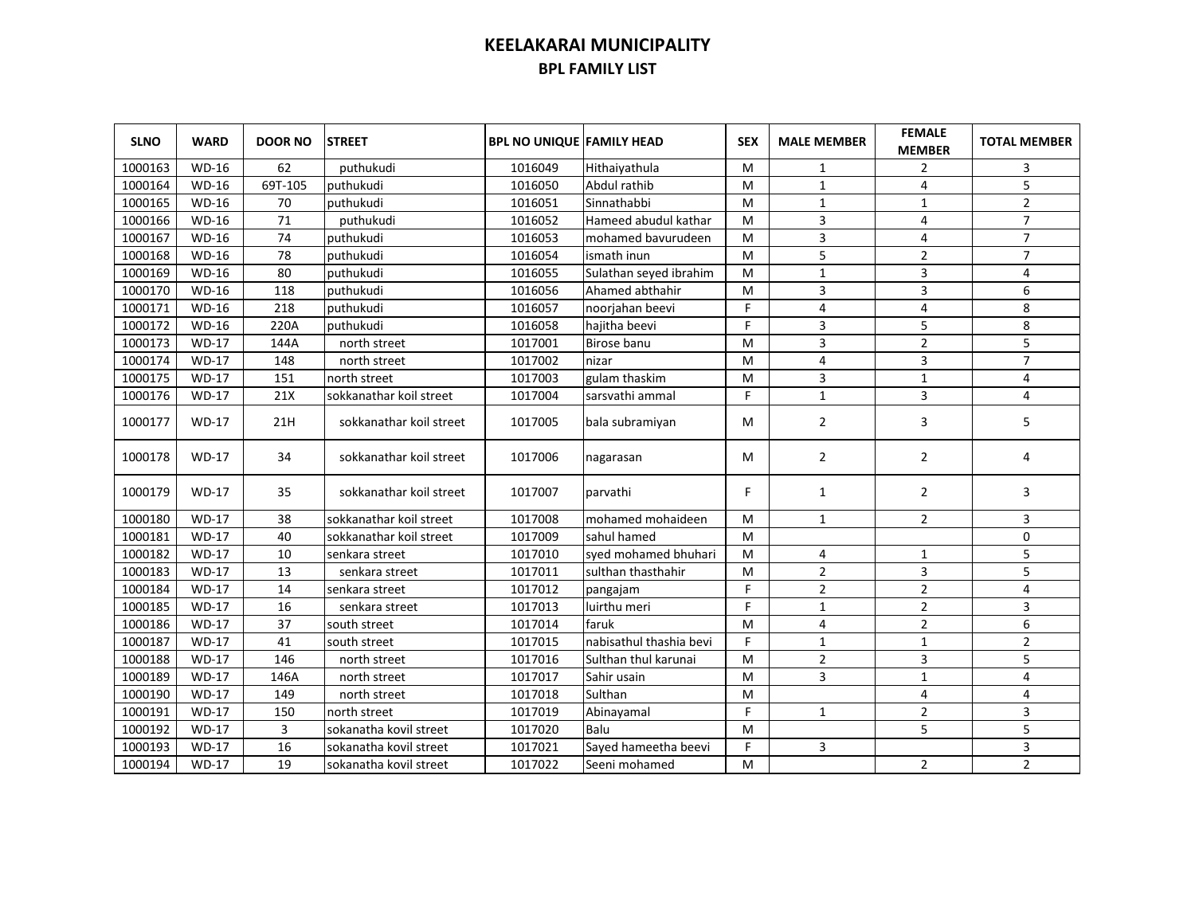| <b>SLNO</b> | <b>WARD</b>        | <b>DOOR NO</b> | <b>STREET</b>           | <b>BPL NO UNIQUE FAMILY HEAD</b> |                         | <b>SEX</b> | <b>MALE MEMBER</b> | <b>FEMALE</b><br><b>MEMBER</b> | <b>TOTAL MEMBER</b> |
|-------------|--------------------|----------------|-------------------------|----------------------------------|-------------------------|------------|--------------------|--------------------------------|---------------------|
| 1000163     | <b>WD-16</b>       | 62             | puthukudi               | 1016049                          | Hithaiyathula           | M          | 1                  | $\overline{2}$                 | 3                   |
| 1000164     | <b>WD-16</b>       | 69T-105        | puthukudi               | 1016050                          | Abdul rathib            | M          | 1                  | 4                              | 5                   |
| 1000165     | <b>WD-16</b>       | 70             | puthukudi               | 1016051                          | Sinnathabbi             | M          | 1                  | $\mathbf{1}$                   | $\overline{2}$      |
| 1000166     | <b>WD-16</b>       | 71             | puthukudi               | 1016052                          | Hameed abudul kathar    | M          | 3                  | 4                              | $\overline{7}$      |
| 1000167     | <b>WD-16</b>       | 74             | puthukudi               | 1016053                          | mohamed bavurudeen      | M          | 3                  | 4                              | $\overline{7}$      |
| 1000168     | WD-16              | 78             | puthukudi               | 1016054                          | ismath inun             | M          | 5                  | $\overline{2}$                 | $\overline{7}$      |
| 1000169     | WD-16              | 80             | puthukudi               | 1016055                          | Sulathan seyed ibrahim  | M          | $\mathbf{1}$       | 3                              | 4                   |
| 1000170     | WD-16              | 118            | puthukudi               | 1016056                          | Ahamed abthahir         | M          | 3                  | 3                              | 6                   |
| 1000171     | <b>WD-16</b>       | 218            | puthukudi               | 1016057                          | noorjahan beevi         | F.         | 4                  | 4                              | 8                   |
| 1000172     | <b>WD-16</b>       | 220A           | puthukudi               | 1016058                          | hajitha beevi           | F.         | 3                  | 5                              | 8                   |
| 1000173     | $WD-17$            | 144A           | north street            | 1017001                          | Birose banu             | M          | 3                  | $\overline{2}$                 | 5                   |
| 1000174     | $WD-17$            | 148            | north street            | 1017002                          | nizar                   | M          | 4                  | 3                              | $\overline{7}$      |
| 1000175     | $WD-17$            | 151            | north street            | 1017003                          | gulam thaskim           | M          | 3                  | $\mathbf{1}$                   | 4                   |
| 1000176     | <b>WD-17</b>       | 21X            | sokkanathar koil street | 1017004                          | sarsvathi ammal         | F          | $\mathbf{1}$       | 3                              | 4                   |
| 1000177     | <b>WD-17</b>       | 21H            | sokkanathar koil street | 1017005                          | bala subramiyan         | М          | $\overline{2}$     | 3                              | 5                   |
| 1000178     | <b>WD-17</b>       | 34             | sokkanathar koil street | 1017006                          | nagarasan               | M          | $\overline{2}$     | $\overline{2}$                 | 4                   |
| 1000179     | <b>WD-17</b>       | 35             | sokkanathar koil street | 1017007                          | parvathi                | F          | 1                  | $\overline{2}$                 | 3                   |
| 1000180     | $WD-17$            | 38             | sokkanathar koil street | 1017008                          | mohamed mohaideen       | M          | $\mathbf{1}$       | $\overline{2}$                 | 3                   |
| 1000181     | $WD-17$            | 40             | sokkanathar koil street | 1017009                          | sahul hamed             | M          |                    |                                | $\mathbf 0$         |
| 1000182     | $WD-17$            | 10             | senkara street          | 1017010                          | syed mohamed bhuhari    | M          | 4                  | $\mathbf{1}$                   | 5                   |
| 1000183     | $WD-17$            | 13             | senkara street          | 1017011                          | sulthan thasthahir      | M          | $\overline{2}$     | 3                              | 5                   |
| 1000184     | $\overline{WD-17}$ | 14             | senkara street          | 1017012                          | pangajam                | F          | $\overline{2}$     | $\overline{2}$                 | 4                   |
| 1000185     | <b>WD-17</b>       | 16             | senkara street          | 1017013                          | luirthu meri            | F          | $\mathbf{1}$       | $\overline{2}$                 | 3                   |
| 1000186     | $\overline{WD-17}$ | 37             | south street            | 1017014                          | faruk                   | M          | 4                  | $\overline{2}$                 | 6                   |
| 1000187     | $\overline{WD-17}$ | 41             | south street            | 1017015                          | nabisathul thashia bevi | F          | $\mathbf{1}$       | $\mathbf{1}$                   | $\overline{2}$      |
| 1000188     | <b>WD-17</b>       | 146            | north street            | 1017016                          | Sulthan thul karunai    | M          | $\overline{2}$     | 3                              | 5                   |
| 1000189     | <b>WD-17</b>       | 146A           | north street            | 1017017                          | Sahir usain             | M          | 3                  | $\mathbf{1}$                   | 4                   |
| 1000190     | $WD-17$            | 149            | north street            | 1017018                          | Sulthan                 | M          |                    | $\overline{4}$                 | 4                   |
| 1000191     | $WD-17$            | 150            | north street            | 1017019                          | Abinayamal              | F          | $\mathbf{1}$       | $\overline{2}$                 | 3                   |
| 1000192     | $WD-17$            | 3              | sokanatha kovil street  | 1017020                          | Balu                    | M          |                    | 5                              | 5                   |
| 1000193     | $WD-17$            | 16             | sokanatha kovil street  | 1017021                          | Sayed hameetha beevi    | F          | 3                  |                                | 3                   |
| 1000194     | <b>WD-17</b>       | 19             | sokanatha kovil street  | 1017022                          | Seeni mohamed           | M          |                    | $\overline{2}$                 | $\overline{2}$      |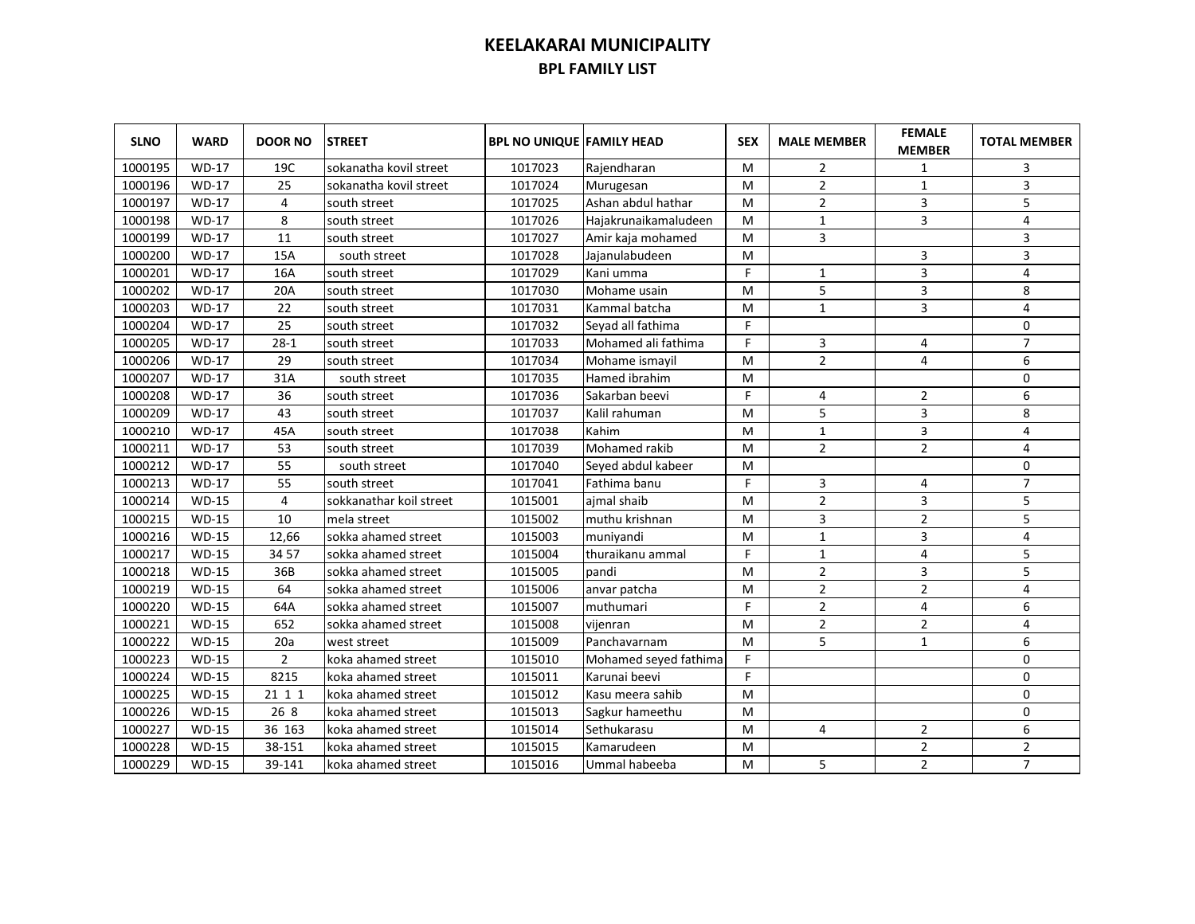| <b>SLNO</b> | <b>WARD</b>  | <b>DOOR NO</b> | <b>STREET</b>           | <b>BPL NO UNIQUE FAMILY HEAD</b> |                       | <b>SEX</b> | <b>MALE MEMBER</b> | <b>FEMALE</b><br><b>MEMBER</b> | <b>TOTAL MEMBER</b> |
|-------------|--------------|----------------|-------------------------|----------------------------------|-----------------------|------------|--------------------|--------------------------------|---------------------|
| 1000195     | <b>WD-17</b> | 19C            | sokanatha kovil street  | 1017023                          | Rajendharan           | м          | $\overline{2}$     | 1                              | 3                   |
| 1000196     | <b>WD-17</b> | 25             | sokanatha kovil street  | 1017024                          | Murugesan             | M          | $\overline{2}$     | $\mathbf{1}$                   | 3                   |
| 1000197     | <b>WD-17</b> | 4              | south street            | 1017025                          | Ashan abdul hathar    | м          | $\overline{2}$     | 3                              | 5                   |
| 1000198     | <b>WD-17</b> | 8              | south street            | 1017026                          | Hajakrunaikamaludeen  | M          | 1                  | 3                              | 4                   |
| 1000199     | <b>WD-17</b> | 11             | south street            | 1017027                          | Amir kaja mohamed     | м          | 3                  |                                | 3                   |
| 1000200     | <b>WD-17</b> | 15A            | south street            | 1017028                          | Jajanulabudeen        | M          |                    | 3                              | 3                   |
| 1000201     | $WD-17$      | 16A            | south street            | 1017029                          | Kani umma             | F          | 1                  | 3                              | 4                   |
| 1000202     | $WD-17$      | 20A            | south street            | 1017030                          | Mohame usain          | M          | 5                  | 3                              | 8                   |
| 1000203     | <b>WD-17</b> | 22             | south street            | 1017031                          | Kammal batcha         | M          | $\mathbf{1}$       | 3                              | 4                   |
| 1000204     | $WD-17$      | 25             | south street            | 1017032                          | Seyad all fathima     | F          |                    |                                | 0                   |
| 1000205     | WD-17        | $28-1$         | south street            | 1017033                          | Mohamed ali fathima   | F          | 3                  | 4                              | $\overline{7}$      |
| 1000206     | $WD-17$      | 29             | south street            | 1017034                          | Mohame ismayil        | M          | $\overline{2}$     | 4                              | 6                   |
| 1000207     | $WD-17$      | 31A            | south street            | 1017035                          | Hamed ibrahim         | M          |                    |                                | 0                   |
| 1000208     | $WD-17$      | 36             | south street            | 1017036                          | Sakarban beevi        | F          | 4                  | $\overline{2}$                 | 6                   |
| 1000209     | $WD-17$      | 43             | south street            | 1017037                          | Kalil rahuman         | M          | 5                  | 3                              | 8                   |
| 1000210     | <b>WD-17</b> | 45A            | south street            | 1017038                          | Kahim                 | M          | $\mathbf{1}$       | $\overline{3}$                 | 4                   |
| 1000211     | $WD-17$      | 53             | south street            | 1017039                          | Mohamed rakib         | M          | $\overline{2}$     | $\overline{2}$                 | 4                   |
| 1000212     | $WD-17$      | 55             | south street            | 1017040                          | Seyed abdul kabeer    | M          |                    |                                | 0                   |
| 1000213     | $WD-17$      | 55             | south street            | 1017041                          | Fathima banu          | F          | 3                  | 4                              | $\overline{7}$      |
| 1000214     | $WD-15$      | $\overline{4}$ | sokkanathar koil street | 1015001                          | ajmal shaib           | M          | $\overline{2}$     | 3                              | 5                   |
| 1000215     | $WD-15$      | 10             | mela street             | 1015002                          | muthu krishnan        | M          | 3                  | $\overline{2}$                 | 5                   |
| 1000216     | $WD-15$      | 12,66          | sokka ahamed street     | 1015003                          | muniyandi             | M          | $\mathbf{1}$       | $\overline{3}$                 | 4                   |
| 1000217     | $WD-15$      | 3457           | sokka ahamed street     | 1015004                          | thuraikanu ammal      | F          | $\mathbf{1}$       | $\overline{\mathbf{4}}$        | 5                   |
| 1000218     | $WD-15$      | 36B            | sokka ahamed street     | 1015005                          | pandi                 | M          | $\overline{2}$     | $\overline{3}$                 | 5                   |
| 1000219     | <b>WD-15</b> | 64             | sokka ahamed street     | 1015006                          | anvar patcha          | M          | $\overline{2}$     | $\overline{2}$                 | 4                   |
| 1000220     | $WD-15$      | 64A            | sokka ahamed street     | 1015007                          | muthumari             | F          | $\overline{2}$     | 4                              | 6                   |
| 1000221     | <b>WD-15</b> | 652            | sokka ahamed street     | 1015008                          | vijenran              | M          | $\overline{2}$     | $\overline{2}$                 | 4                   |
| 1000222     | <b>WD-15</b> | 20a            | west street             | 1015009                          | Panchavarnam          | M          | 5                  | $\mathbf{1}$                   | 6                   |
| 1000223     | <b>WD-15</b> | $\overline{2}$ | koka ahamed street      | 1015010                          | Mohamed seyed fathima | F.         |                    |                                | 0                   |
| 1000224     | <b>WD-15</b> | 8215           | koka ahamed street      | 1015011                          | Karunai beevi         | F          |                    |                                | 0                   |
| 1000225     | <b>WD-15</b> | 21 1 1         | koka ahamed street      | 1015012                          | Kasu meera sahib      | M          |                    |                                | 0                   |
| 1000226     | <b>WD-15</b> | 26 8           | koka ahamed street      | 1015013                          | Sagkur hameethu       | M          |                    |                                | 0                   |
| 1000227     | <b>WD-15</b> | 36 163         | koka ahamed street      | 1015014                          | Sethukarasu           | M          | 4                  | $\overline{2}$                 | 6                   |
| 1000228     | <b>WD-15</b> | 38-151         | koka ahamed street      | 1015015                          | Kamarudeen            | M          |                    | $\overline{2}$                 | $\overline{2}$      |
| 1000229     | $WD-15$      | 39-141         | koka ahamed street      | 1015016                          | Ummal habeeba         | M          | 5                  | $\overline{2}$                 | $\overline{7}$      |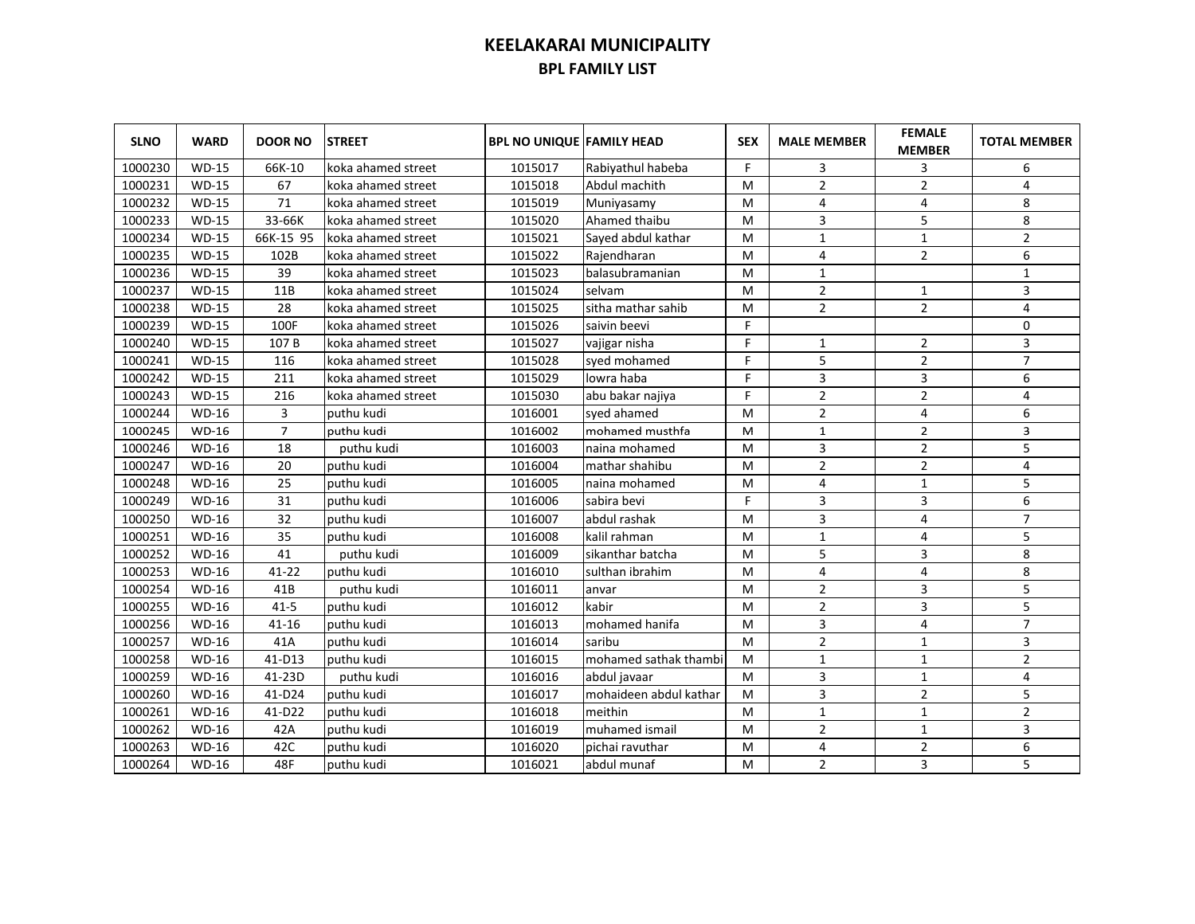| <b>SLNO</b> | <b>WARD</b>  | <b>DOOR NO</b> | <b>STREET</b>      | <b>BPL NO UNIQUE FAMILY HEAD</b> |                        | <b>SEX</b> | <b>MALE MEMBER</b> | <b>FEMALE</b><br><b>MEMBER</b> | <b>TOTAL MEMBER</b> |
|-------------|--------------|----------------|--------------------|----------------------------------|------------------------|------------|--------------------|--------------------------------|---------------------|
| 1000230     | <b>WD-15</b> | 66K-10         | koka ahamed street | 1015017                          | Rabiyathul habeba      | F.         | 3                  | 3                              | 6                   |
| 1000231     | $WD-15$      | 67             | koka ahamed street | 1015018                          | Abdul machith          | M          | $\overline{2}$     | $\overline{2}$                 | 4                   |
| 1000232     | $WD-15$      | 71             | koka ahamed street | 1015019                          | Muniyasamy             | M          | 4                  | 4                              | 8                   |
| 1000233     | <b>WD-15</b> | 33-66K         | koka ahamed street | 1015020                          | Ahamed thaibu          | м          | 3                  | 5                              | 8                   |
| 1000234     | <b>WD-15</b> | 66K-15 95      | koka ahamed street | 1015021                          | Sayed abdul kathar     | M          | $1\,$              | $\mathbf{1}$                   | $\overline{2}$      |
| 1000235     | $WD-15$      | 102B           | koka ahamed street | 1015022                          | Rajendharan            | м          | 4                  | $\overline{2}$                 | 6                   |
| 1000236     | <b>WD-15</b> | 39             | koka ahamed street | 1015023                          | balasubramanian        | м          | $\mathbf{1}$       |                                | $\mathbf{1}$        |
| 1000237     | <b>WD-15</b> | 11B            | koka ahamed street | 1015024                          | selvam                 | M          | $\overline{2}$     | $\mathbf{1}$                   | 3                   |
| 1000238     | <b>WD-15</b> | 28             | koka ahamed street | 1015025                          | sitha mathar sahib     | M          | $\overline{2}$     | $\overline{2}$                 | 4                   |
| 1000239     | <b>WD-15</b> | 100F           | koka ahamed street | 1015026                          | saivin beevi           | F.         |                    |                                | 0                   |
| 1000240     | <b>WD-15</b> | 107B           | koka ahamed street | 1015027                          | vajigar nisha          | F          | $\mathbf{1}$       | $\overline{2}$                 | 3                   |
| 1000241     | $WD-15$      | 116            | koka ahamed street | 1015028                          | syed mohamed           | F          | 5                  | $\overline{2}$                 | $\overline{7}$      |
| 1000242     | <b>WD-15</b> | 211            | koka ahamed street | 1015029                          | lowra haba             | F          | 3                  | 3                              | 6                   |
| 1000243     | <b>WD-15</b> | 216            | koka ahamed street | 1015030                          | abu bakar najiya       | F          | $\overline{2}$     | $\overline{2}$                 | 4                   |
| 1000244     | <b>WD-16</b> | 3              | puthu kudi         | 1016001                          | sved ahamed            | м          | $\overline{2}$     | 4                              | 6                   |
| 1000245     | <b>WD-16</b> | $\overline{7}$ | puthu kudi         | 1016002                          | mohamed musthfa        | M          | $\mathbf{1}$       | $\overline{2}$                 | 3                   |
| 1000246     | <b>WD-16</b> | 18             | puthu kudi         | 1016003                          | naina mohamed          | M          | 3                  | $\overline{2}$                 | 5                   |
| 1000247     | <b>WD-16</b> | 20             | puthu kudi         | 1016004                          | mathar shahibu         | M          | $\overline{2}$     | $\overline{2}$                 | 4                   |
| 1000248     | <b>WD-16</b> | 25             | puthu kudi         | 1016005                          | naina mohamed          | M          | 4                  | $\mathbf{1}$                   | 5                   |
| 1000249     | <b>WD-16</b> | 31             | puthu kudi         | 1016006                          | sabira bevi            | F          | 3                  | 3                              | 6                   |
| 1000250     | <b>WD-16</b> | 32             | puthu kudi         | 1016007                          | abdul rashak           | M          | 3                  | 4                              | $\overline{7}$      |
| 1000251     | <b>WD-16</b> | 35             | puthu kudi         | 1016008                          | kalil rahman           | M          | $\mathbf{1}$       | 4                              | 5                   |
| 1000252     | <b>WD-16</b> | 41             | puthu kudi         | 1016009                          | sikanthar batcha       | M          | 5                  | 3                              | 8                   |
| 1000253     | <b>WD-16</b> | $41 - 22$      | puthu kudi         | 1016010                          | sulthan ibrahim        | M          | 4                  | 4                              | 8                   |
| 1000254     | <b>WD-16</b> | 41B            | puthu kudi         | 1016011                          | anvar                  | M          | $\overline{2}$     | 3                              | 5                   |
| 1000255     | <b>WD-16</b> | $41 - 5$       | puthu kudi         | 1016012                          | kabir                  | M          | $\overline{2}$     | 3                              | 5                   |
| 1000256     | <b>WD-16</b> | $41 - 16$      | puthu kudi         | 1016013                          | mohamed hanifa         | M          | 3                  | 4                              | $\overline{7}$      |
| 1000257     | <b>WD-16</b> | 41A            | puthu kudi         | 1016014                          | saribu                 | M          | $\overline{2}$     | $\mathbf{1}$                   | 3                   |
| 1000258     | <b>WD-16</b> | 41-D13         | puthu kudi         | 1016015                          | mohamed sathak thambi  | M          | $\mathbf{1}$       | $\mathbf{1}$                   | $\overline{2}$      |
| 1000259     | <b>WD-16</b> | 41-23D         | puthu kudi         | 1016016                          | abdul javaar           | M          | 3                  | $\mathbf{1}$                   | 4                   |
| 1000260     | <b>WD-16</b> | $41-D24$       | puthu kudi         | 1016017                          | mohaideen abdul kathar | M          | 3                  | $\overline{2}$                 | 5                   |
| 1000261     | <b>WD-16</b> | 41-D22         | puthu kudi         | 1016018                          | meithin                | M          | $\mathbf{1}$       | $\mathbf{1}$                   | $\overline{2}$      |
| 1000262     | <b>WD-16</b> | 42A            | puthu kudi         | 1016019                          | muhamed ismail         | M          | $\overline{2}$     | $\mathbf{1}$                   | 3                   |
| 1000263     | <b>WD-16</b> | 42C            | puthu kudi         | 1016020                          | pichai ravuthar        | M          | 4                  | $\overline{2}$                 | 6                   |
| 1000264     | <b>WD-16</b> | 48F            | puthu kudi         | 1016021                          | abdul munaf            | M          | $\overline{2}$     | 3                              | 5                   |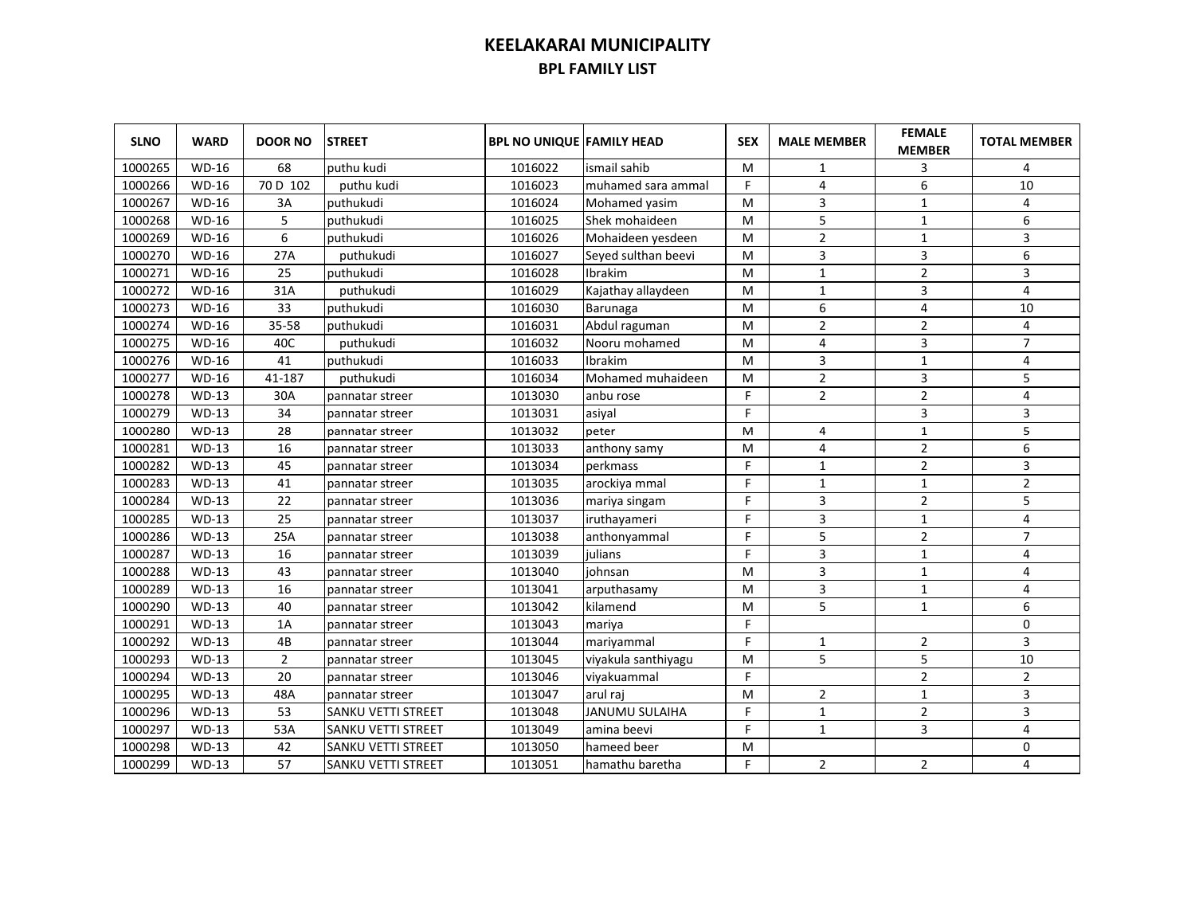| <b>SLNO</b> | <b>WARD</b>  | <b>DOOR NO</b> | <b>STREET</b>             | <b>BPL NO UNIQUE FAMILY HEAD</b> |                       | <b>SEX</b> | <b>MALE MEMBER</b> | <b>FEMALE</b><br><b>MEMBER</b> | <b>TOTAL MEMBER</b>     |
|-------------|--------------|----------------|---------------------------|----------------------------------|-----------------------|------------|--------------------|--------------------------------|-------------------------|
| 1000265     | <b>WD-16</b> | 68             | puthu kudi                | 1016022                          | ismail sahib          | м          | 1                  | 3                              | 4                       |
| 1000266     | <b>WD-16</b> | 70 D 102       | puthu kudi                | 1016023                          | muhamed sara ammal    | F          | 4                  | 6                              | 10                      |
| 1000267     | WD-16        | 3A             | puthukudi                 | 1016024                          | Mohamed yasim         | M          | 3                  | $\mathbf{1}$                   | 4                       |
| 1000268     | <b>WD-16</b> | 5              | puthukudi                 | 1016025                          | Shek mohaideen        | м          | 5                  | $\mathbf 1$                    | 6                       |
| 1000269     | WD-16        | 6              | puthukudi                 | 1016026                          | Mohaideen yesdeen     | м          | $\overline{2}$     | $\mathbf 1$                    | 3                       |
| 1000270     | WD-16        | 27A            | puthukudi                 | 1016027                          | Seyed sulthan beevi   | м          | $\overline{3}$     | 3                              | 6                       |
| 1000271     | WD-16        | 25             | puthukudi                 | 1016028                          | Ibrakim               | м          | $\mathbf{1}$       | $\overline{2}$                 | 3                       |
| 1000272     | WD-16        | 31A            | puthukudi                 | 1016029                          | Kajathay allaydeen    | M          | $1\,$              | 3                              | $\overline{\mathbf{4}}$ |
| 1000273     | <b>WD-16</b> | 33             | puthukudi                 | 1016030                          | Barunaga              | м          | 6                  | 4                              | 10                      |
| 1000274     | <b>WD-16</b> | 35-58          | puthukudi                 | 1016031                          | Abdul raguman         | М          | $\overline{2}$     | $\overline{2}$                 | 4                       |
| 1000275     | <b>WD-16</b> | 40C            | puthukudi                 | 1016032                          | Nooru mohamed         | M          | 4                  | 3                              | $\overline{7}$          |
| 1000276     | <b>WD-16</b> | 41             | puthukudi                 | 1016033                          | Ibrakim               | M          | 3                  | $\mathbf{1}$                   | 4                       |
| 1000277     | <b>WD-16</b> | 41-187         | puthukudi                 | 1016034                          | Mohamed muhaideen     | M          | $\overline{2}$     | 3                              | 5                       |
| 1000278     | $WD-13$      | 30A            | pannatar streer           | 1013030                          | anbu rose             | F.         | $\overline{2}$     | $\overline{2}$                 | 4                       |
| 1000279     | $WD-13$      | 34             | pannatar streer           | 1013031                          | asiyal                | F.         |                    | 3                              | 3                       |
| 1000280     | $WD-13$      | 28             | pannatar streer           | 1013032                          | peter                 | M          | 4                  | $\mathbf 1$                    | 5                       |
| 1000281     | $WD-13$      | 16             | pannatar streer           | 1013033                          | anthony samy          | M          | 4                  | $\overline{2}$                 | 6                       |
| 1000282     | $WD-13$      | 45             | pannatar streer           | 1013034                          | perkmass              | F          | $\mathbf{1}$       | $\overline{2}$                 | 3                       |
| 1000283     | $WD-13$      | 41             | pannatar streer           | 1013035                          | arockiya mmal         | F.         | $\mathbf{1}$       | $\mathbf{1}$                   | $\overline{2}$          |
| 1000284     | $WD-13$      | 22             | pannatar streer           | 1013036                          | mariya singam         | F          | 3                  | $\overline{2}$                 | 5                       |
| 1000285     | $WD-13$      | 25             | pannatar streer           | 1013037                          | iruthayameri          | F          | 3                  | $\mathbf{1}$                   | 4                       |
| 1000286     | $WD-13$      | 25A            | pannatar streer           | 1013038                          | anthonyammal          | F.         | 5                  | $\overline{2}$                 | $\overline{7}$          |
| 1000287     | $WD-13$      | 16             | pannatar streer           | 1013039                          | julians               | F          | 3                  | $\mathbf{1}$                   | 4                       |
| 1000288     | $WD-13$      | 43             | pannatar streer           | 1013040                          | iohnsan               | M          | 3                  | $\mathbf{1}$                   | 4                       |
| 1000289     | $WD-13$      | 16             | pannatar streer           | 1013041                          | arputhasamy           | M          | 3                  | $\mathbf{1}$                   | 4                       |
| 1000290     | $WD-13$      | 40             | pannatar streer           | 1013042                          | kilamend              | M          | 5                  | $\mathbf{1}$                   | 6                       |
| 1000291     | $WD-13$      | 1A             | pannatar streer           | 1013043                          | mariya                | F.         |                    |                                | $\mathbf 0$             |
| 1000292     | $WD-13$      | 4B             | pannatar streer           | 1013044                          | mariyammal            | F.         | $\mathbf{1}$       | $\overline{2}$                 | 3                       |
| 1000293     | $WD-13$      | $\overline{2}$ | pannatar streer           | 1013045                          | viyakula santhiyagu   | M          | 5                  | 5                              | 10                      |
| 1000294     | $WD-13$      | 20             | pannatar streer           | 1013046                          | viyakuammal           | F.         |                    | $\overline{2}$                 | $\overline{2}$          |
| 1000295     | $WD-13$      | 48A            | pannatar streer           | 1013047                          | arul raj              | M          | $\overline{2}$     | $\mathbf{1}$                   | 3                       |
| 1000296     | $WD-13$      | 53             | SANKU VETTI STREET        | 1013048                          | <b>JANUMU SULAIHA</b> | F          | $\mathbf{1}$       | $\overline{2}$                 | 3                       |
| 1000297     | $WD-13$      | 53A            | <b>SANKU VETTI STREET</b> | 1013049                          | amina beevi           | F          | $\mathbf{1}$       | 3                              | 4                       |
| 1000298     | $WD-13$      | 42             | SANKU VETTI STREET        | 1013050                          | hameed beer           | M          |                    |                                | $\mathbf 0$             |
| 1000299     | $WD-13$      | 57             | SANKU VETTI STREET        | 1013051                          | hamathu baretha       | F.         | $\overline{2}$     | $\overline{2}$                 | 4                       |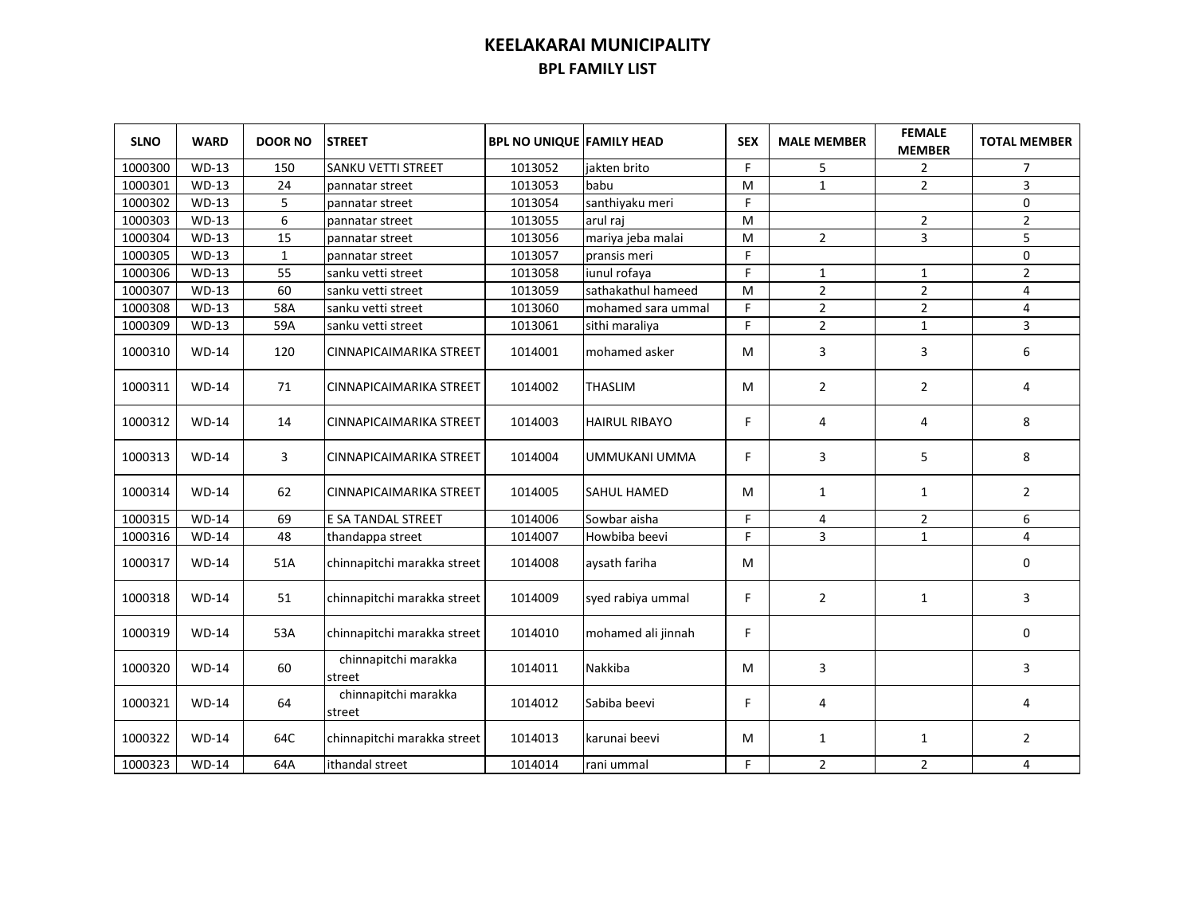| <b>SLNO</b> | <b>WARD</b>  | <b>DOOR NO</b> | <b>STREET</b>                  | <b>BPL NO UNIQUE FAMILY HEAD</b> |                      | <b>SEX</b> | <b>MALE MEMBER</b> | <b>FEMALE</b><br><b>MEMBER</b> | <b>TOTAL MEMBER</b> |
|-------------|--------------|----------------|--------------------------------|----------------------------------|----------------------|------------|--------------------|--------------------------------|---------------------|
| 1000300     | <b>WD-13</b> | 150            | SANKU VETTI STREET             | 1013052                          | jakten brito         | F.         | 5                  | $\overline{2}$                 | $\overline{7}$      |
| 1000301     | <b>WD-13</b> | 24             | pannatar street                | 1013053                          | babu                 | M          | $\mathbf{1}$       | $\overline{2}$                 | 3                   |
| 1000302     | $WD-13$      | 5              | pannatar street                | 1013054                          | santhiyaku meri      | F          |                    |                                | 0                   |
| 1000303     | <b>WD-13</b> | 6              | pannatar street                | 1013055                          | arul raj             | M          |                    | $\overline{2}$                 | $\overline{2}$      |
| 1000304     | $WD-13$      | 15             | pannatar street                | 1013056                          | mariya jeba malai    | м          | $\overline{2}$     | 3                              | 5                   |
| 1000305     | $WD-13$      | $\mathbf{1}$   | pannatar street                | 1013057                          | pransis meri         | F.         |                    |                                | 0                   |
| 1000306     | $WD-13$      | 55             | sanku vetti street             | 1013058                          | iunul rofaya         | F          | $\mathbf{1}$       | $\mathbf{1}$                   | $\overline{2}$      |
| 1000307     | $WD-13$      | 60             | sanku vetti street             | 1013059                          | sathakathul hameed   | м          | $\mathbf{2}$       | $\mathbf{2}$                   | 4                   |
| 1000308     | $WD-13$      | 58A            | sanku vetti street             | 1013060                          | mohamed sara ummal   | F.         | $\overline{2}$     | $\overline{2}$                 | 4                   |
| 1000309     | $WD-13$      | 59A            | sanku vetti street             | 1013061                          | sithi maraliya       | F          | $\overline{2}$     | $\mathbf{1}$                   | 3                   |
| 1000310     | $WD-14$      | 120            | CINNAPICAIMARIKA STREET        | 1014001                          | mohamed asker        | м          | 3                  | 3                              | 6                   |
| 1000311     | $WD-14$      | 71             | CINNAPICAIMARIKA STREET        | 1014002                          | <b>THASLIM</b>       | м          | $\overline{2}$     | $\overline{2}$                 | 4                   |
| 1000312     | $WD-14$      | 14             | CINNAPICAIMARIKA STREET        | 1014003                          | <b>HAIRUL RIBAYO</b> | F          | $\overline{4}$     | 4                              | 8                   |
| 1000313     | <b>WD-14</b> | 3              | CINNAPICAIMARIKA STREET        | 1014004                          | UMMUKANI UMMA        | F          | 3                  | 5                              | 8                   |
| 1000314     | $WD-14$      | 62             | CINNAPICAIMARIKA STREET        | 1014005                          | <b>SAHUL HAMED</b>   | м          | $\mathbf{1}$       | $\mathbf{1}$                   | $\overline{2}$      |
| 1000315     | $WD-14$      | 69             | E SA TANDAL STREET             | 1014006                          | Sowbar aisha         | F.         | 4                  | $\overline{2}$                 | 6                   |
| 1000316     | <b>WD-14</b> | 48             | thandappa street               | 1014007                          | Howbiba beevi        | F          | 3                  | $\mathbf{1}$                   | 4                   |
| 1000317     | $WD-14$      | 51A            | chinnapitchi marakka street    | 1014008                          | aysath fariha        | М          |                    |                                | $\mathbf 0$         |
| 1000318     | $WD-14$      | 51             | chinnapitchi marakka street    | 1014009                          | syed rabiya ummal    | F.         | $\overline{2}$     | 1                              | 3                   |
| 1000319     | $WD-14$      | 53A            | chinnapitchi marakka street    | 1014010                          | mohamed ali jinnah   | F.         |                    |                                | 0                   |
| 1000320     | $WD-14$      | 60             | chinnapitchi marakka<br>street | 1014011                          | Nakkiba              | M          | 3                  |                                | 3                   |
| 1000321     | <b>WD-14</b> | 64             | chinnapitchi marakka<br>street | 1014012                          | Sabiba beevi         | F.         | 4                  |                                | 4                   |
| 1000322     | <b>WD-14</b> | 64C            | chinnapitchi marakka street    | 1014013                          | karunai beevi        | М          | 1                  | 1                              | $\overline{2}$      |
| 1000323     | <b>WD-14</b> | 64A            | ithandal street                | 1014014                          | rani ummal           | F          | $\overline{2}$     | $\overline{2}$                 | 4                   |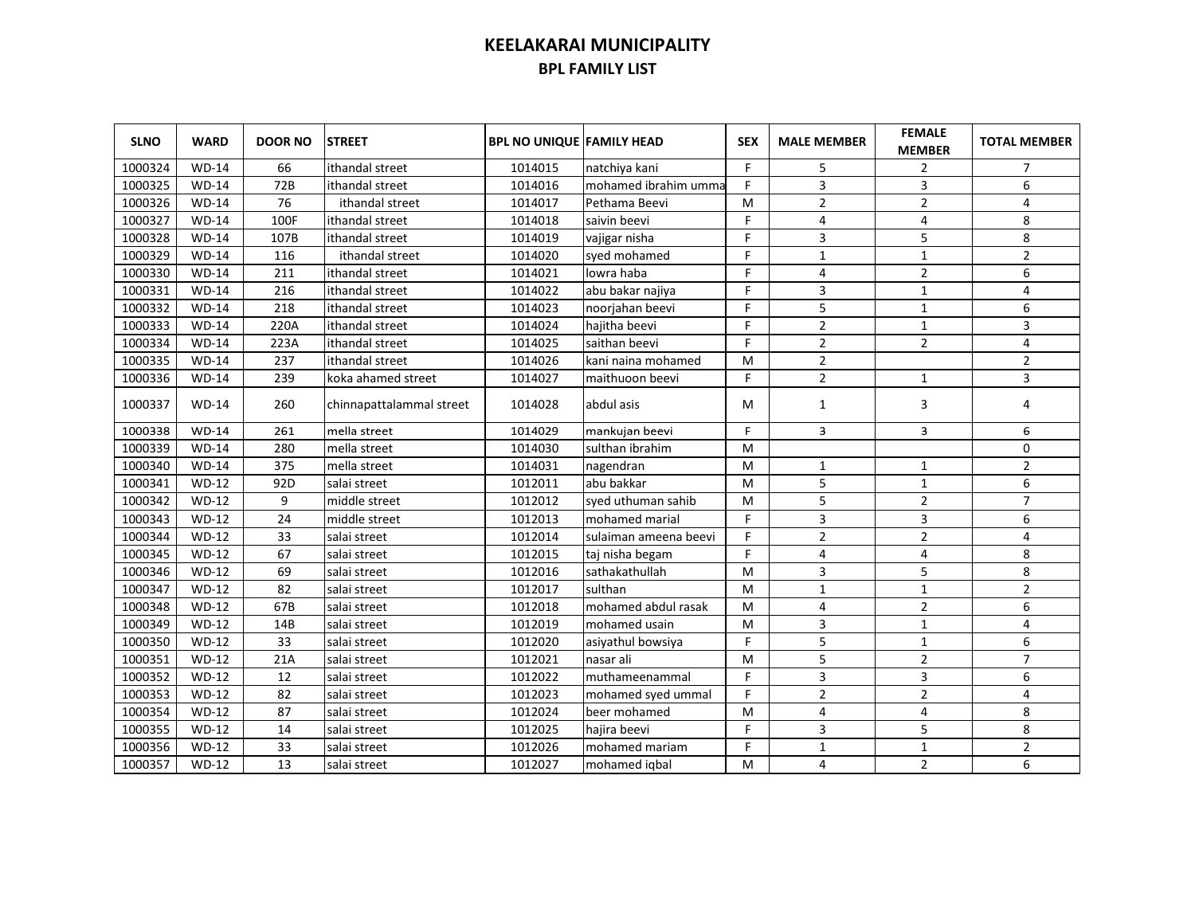| <b>SLNO</b> | <b>WARD</b>         | <b>DOOR NO</b>  | <b>STREET</b>            | <b>BPL NO UNIQUE FAMILY HEAD</b> |                        | <b>SEX</b> | <b>MALE MEMBER</b> | <b>FEMALE</b><br><b>MEMBER</b> | <b>TOTAL MEMBER</b> |
|-------------|---------------------|-----------------|--------------------------|----------------------------------|------------------------|------------|--------------------|--------------------------------|---------------------|
| 1000324     | <b>WD-14</b>        | 66              | ithandal street          | 1014015                          | natchiya kani          | F          | 5                  | $\overline{2}$                 | 7                   |
| 1000325     | <b>WD-14</b>        | 72B             | ithandal street          | 1014016                          | mohamed ibrahim umma   | F          | 3                  | 3                              | 6                   |
| 1000326     | <b>WD-14</b>        | 76              | ithandal street          | 1014017                          | Pethama Beevi          | M          | $\overline{2}$     | $\overline{2}$                 | 4                   |
| 1000327     | <b>WD-14</b>        | 100F            | ithandal street          | 1014018                          | saivin beevi           | F          | 4                  | 4                              | 8                   |
| 1000328     | <b>WD-14</b>        | 107B            | ithandal street          | 1014019                          | vajigar nisha          | F          | 3                  | 5                              | 8                   |
| 1000329     | $WD-14$             | 116             | ithandal street          | 1014020                          | syed mohamed           | F          | $\mathbf{1}$       | $\mathbf 1$                    | $\mathbf 2$         |
| 1000330     | $WD-14$             | 211             | ithandal street          | 1014021                          | lowra haba             | F          | $\overline{4}$     | $\overline{2}$                 | 6                   |
| 1000331     | $WD-14$             | 216             | ithandal street          | 1014022                          | abu bakar najiya       | F          | 3                  | $\mathbf{1}$                   | $\overline{4}$      |
| 1000332     | <b>WD-14</b>        | 218             | ithandal street          | 1014023                          | noorjahan beevi        | F          | 5                  | $\mathbf{1}$                   | 6                   |
| 1000333     | <b>WD-14</b>        | 220A            | ithandal street          | 1014024                          | hajitha beevi          | F          | $\overline{2}$     | $\mathbf{1}$                   | 3                   |
| 1000334     | <b>WD-14</b>        | 223A            | ithandal street          | 1014025                          | saithan beevi          | F          | $\overline{2}$     | $\overline{2}$                 | $\overline{4}$      |
| 1000335     | <b>WD-14</b>        | 237             | ithandal street          | 1014026                          | kani naina mohamed     | M          | $\overline{2}$     |                                | $\overline{2}$      |
| 1000336     | <b>WD-14</b>        | 239             | koka ahamed street       | 1014027                          | maithuoon beevi        | F          | $\overline{2}$     | 1                              | 3                   |
| 1000337     | <b>WD-14</b>        | 260             | chinnapattalammal street | 1014028                          | abdul asis             | м          | 1                  | 3                              | 4                   |
| 1000338     | $\overline{WD}$ -14 | 261             | mella street             | 1014029                          | mankujan beevi         | F          | 3                  | 3                              | 6                   |
| 1000339     | $WD-14$             | 280             | mella street             | 1014030                          | sulthan ibrahim        | M          |                    |                                | 0                   |
| 1000340     | $WD-14$             | 375             | mella street             | 1014031                          | nagendran              | м          | $\mathbf{1}$       | $\mathbf{1}$                   | $\overline{2}$      |
| 1000341     | $WD-12$             | 92 <sub>D</sub> | salai street             | 1012011                          | abu bakkar             | M          | 5                  | $\mathbf{1}$                   | 6                   |
| 1000342     | $WD-12$             | 9               | middle street            | 1012012                          | syed uthuman sahib     | M          | 5                  | $\overline{2}$                 | $\overline{7}$      |
| 1000343     | $WD-12$             | 24              | middle street            | 1012013                          | mohamed marial         | F.         | 3                  | 3                              | 6                   |
| 1000344     | $WD-12$             | 33              | salai street             | 1012014                          | sulaiman ameena beevi  | F          | $\overline{2}$     | $\overline{2}$                 | 4                   |
| 1000345     | $WD-12$             | 67              | salai street             | 1012015                          | taj nisha begam        | F          | 4                  | 4                              | 8                   |
| 1000346     | $WD-12$             | 69              | salai street             | 1012016                          | sathakathullah         | M          | 3                  | 5                              | 8                   |
| 1000347     | $WD-12$             | 82              | salai street             | 1012017                          | sulthan                | M          | $\mathbf{1}$       | $\mathbf{1}$                   | $\overline{2}$      |
| 1000348     | $WD-12$             | 67B             | salai street             | 1012018                          | mohamed abdul rasak    | M          | 4                  | $\overline{2}$                 | 6                   |
| 1000349     | $WD-12$             | 14B             | salai street             | 1012019                          | mohamed usain          | M          | 3                  | $\mathbf{1}$                   | 4                   |
| 1000350     | $WD-12$             | 33              | salai street             | 1012020                          | asiyathul bowsiya      | F          | 5                  | $\mathbf{1}$                   | 6                   |
| 1000351     | $WD-12$             | 21A             | salai street             | 1012021                          | nasar ali              | M          | 5                  | $\overline{2}$                 | $\overline{7}$      |
| 1000352     | $WD-12$             | 12              | salai street             | 1012022                          | <b>Imuthameenammal</b> | F          | 3                  | 3                              | 6                   |
| 1000353     | $WD-12$             | 82              | salai street             | 1012023                          | mohamed syed ummal     | F          | $\overline{2}$     | $\overline{2}$                 | 4                   |
| 1000354     | $WD-12$             | 87              | salai street             | 1012024                          | beer mohamed           | M          | 4                  | 4                              | 8                   |
| 1000355     | $WD-12$             | 14              | salai street             | 1012025                          | hajira beevi           | F          | 3                  | 5                              | 8                   |
| 1000356     | $WD-12$             | 33              | salai street             | 1012026                          | mohamed mariam         | F          | $\mathbf{1}$       | $\mathbf{1}$                   | $\overline{2}$      |
| 1000357     | $WD-12$             | 13              | salai street             | 1012027                          | mohamed iqbal          | M          | 4                  | $\overline{2}$                 | 6                   |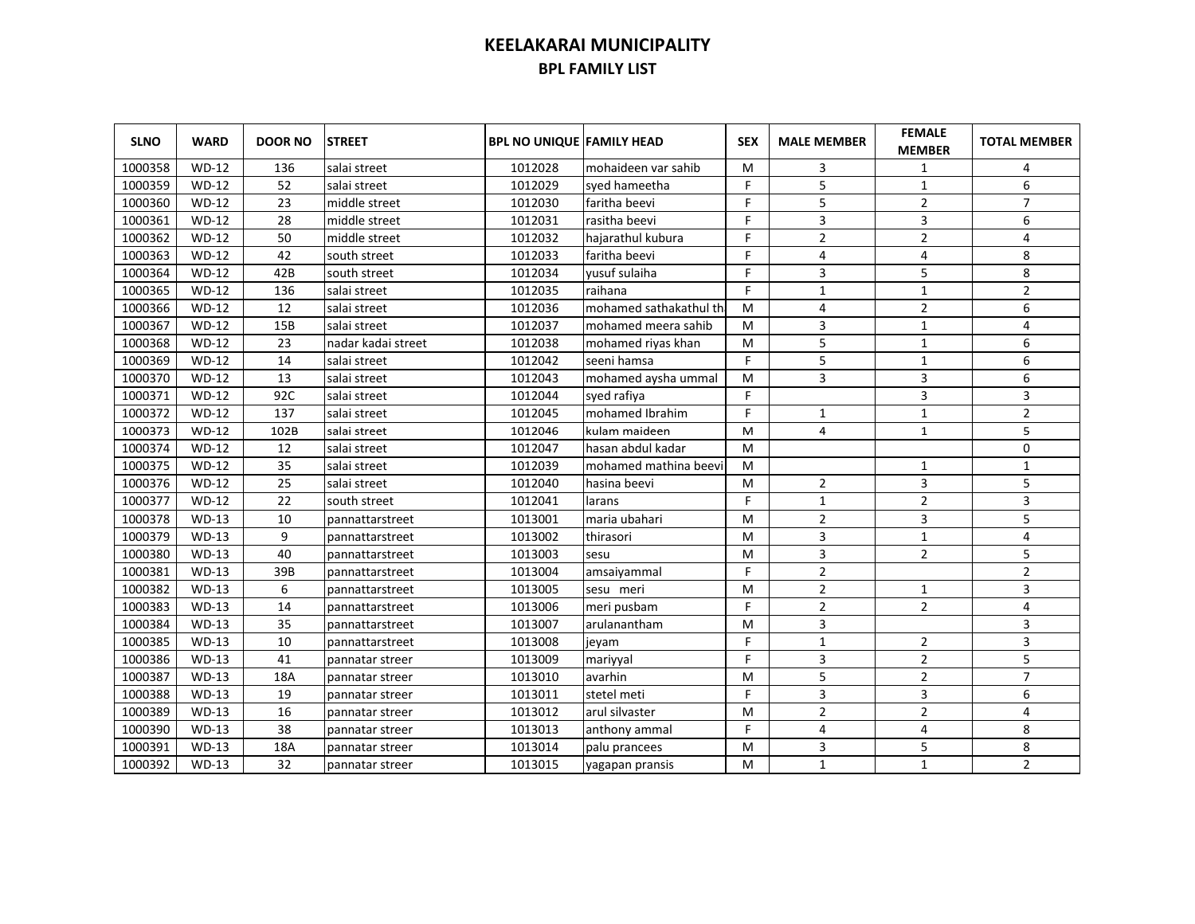| <b>SLNO</b> | <b>WARD</b> | <b>DOOR NO</b> | <b>STREET</b>      | <b>BPL NO UNIQUE FAMILY HEAD</b> |                         | <b>SEX</b> | <b>MALE MEMBER</b> | <b>FEMALE</b><br><b>MEMBER</b> | <b>TOTAL MEMBER</b> |
|-------------|-------------|----------------|--------------------|----------------------------------|-------------------------|------------|--------------------|--------------------------------|---------------------|
| 1000358     | $WD-12$     | 136            | salai street       | 1012028                          | mohaideen var sahib     | M          | 3                  | 1                              | 4                   |
| 1000359     | $WD-12$     | 52             | salai street       | 1012029                          | syed hameetha           | F          | 5                  | $\mathbf{1}$                   | 6                   |
| 1000360     | $WD-12$     | 23             | middle street      | 1012030                          | faritha beevi           | F.         | 5                  | $\overline{2}$                 | $\overline{7}$      |
| 1000361     | $WD-12$     | 28             | middle street      | 1012031                          | rasitha beevi           | F.         | 3                  | 3                              | 6                   |
| 1000362     | $WD-12$     | 50             | middle street      | 1012032                          | hajarathul kubura       | F          | $\overline{2}$     | $\overline{2}$                 | $\overline{4}$      |
| 1000363     | $WD-12$     | 42             | south street       | 1012033                          | faritha beevi           | F          | $\overline{4}$     | 4                              | 8                   |
| 1000364     | $WD-12$     | 42B            | south street       | 1012034                          | yusuf sulaiha           | F          | 3                  | 5                              | 8                   |
| 1000365     | $WD-12$     | 136            | salai street       | 1012035                          | raihana                 | F          | $\mathbf{1}$       | $\mathbf{1}$                   | $\overline{2}$      |
| 1000366     | $WD-12$     | 12             | salai street       | 1012036                          | mohamed sathakathul the | м          | 4                  | $\overline{2}$                 | 6                   |
| 1000367     | $WD-12$     | 15B            | salai street       | 1012037                          | mohamed meera sahib     | м          | 3                  | $\mathbf{1}$                   | 4                   |
| 1000368     | $WD-12$     | 23             | nadar kadai street | 1012038                          | mohamed riyas khan      | M          | 5                  | $\mathbf{1}$                   | 6                   |
| 1000369     | $WD-12$     | 14             | salai street       | 1012042                          | seeni hamsa             | F          | 5                  | $\mathbf{1}$                   | 6                   |
| 1000370     | $WD-12$     | 13             | salai street       | 1012043                          | mohamed aysha ummal     | M          | 3                  | 3                              | 6                   |
| 1000371     | $WD-12$     | 92C            | salai street       | 1012044                          | syed rafiya             | F          |                    | 3                              | 3                   |
| 1000372     | $WD-12$     | 137            | salai street       | 1012045                          | mohamed Ibrahim         | F          | $\mathbf{1}$       | $\mathbf{1}$                   | $\overline{2}$      |
| 1000373     | $WD-12$     | 102B           | salai street       | 1012046                          | kulam maideen           | M          | 4                  | $1\,$                          | 5                   |
| 1000374     | $WD-12$     | 12             | salai street       | 1012047                          | hasan abdul kadar       | м          |                    |                                | 0                   |
| 1000375     | $WD-12$     | 35             | salai street       | 1012039                          | mohamed mathina beevi   | м          |                    | $\mathbf{1}$                   | $\mathbf{1}$        |
| 1000376     | $WD-12$     | 25             | salai street       | 1012040                          | hasina beevi            | M          | $\overline{2}$     | 3                              | 5                   |
| 1000377     | $WD-12$     | 22             | south street       | 1012041                          | larans                  | F          | $\mathbf{1}$       | $\overline{2}$                 | 3                   |
| 1000378     | $WD-13$     | 10             | pannattarstreet    | 1013001                          | lmaria ubahari          | M          | 2                  | 3                              | 5                   |
| 1000379     | $WD-13$     | 9              | pannattarstreet    | 1013002                          | thirasori               | M          | 3                  | $\mathbf{1}$                   | 4                   |
| 1000380     | $WD-13$     | 40             | pannattarstreet    | 1013003                          | sesu                    | M          | 3                  | $\overline{2}$                 | 5                   |
| 1000381     | $WD-13$     | 39B            | pannattarstreet    | 1013004                          | amsaiyammal             | F          | $\overline{2}$     |                                | $\overline{2}$      |
| 1000382     | $WD-13$     | 6              | pannattarstreet    | 1013005                          | sesu meri               | M          | $\overline{2}$     | $\mathbf{1}$                   | 3                   |
| 1000383     | $WD-13$     | 14             | pannattarstreet    | 1013006                          | meri pusbam             | F          | $\overline{2}$     | $\overline{2}$                 | 4                   |
| 1000384     | $WD-13$     | 35             | pannattarstreet    | 1013007                          | arulanantham            | M          | 3                  |                                | 3                   |
| 1000385     | $WD-13$     | 10             | pannattarstreet    | 1013008                          | jeyam                   | F          | $\mathbf{1}$       | $\overline{2}$                 | 3                   |
| 1000386     | $WD-13$     | 41             | pannatar streer    | 1013009                          | mariyyal                | F          | 3                  | $\overline{2}$                 | 5                   |
| 1000387     | $WD-13$     | 18A            | pannatar streer    | 1013010                          | avarhin                 | M          | 5                  | $\overline{2}$                 | $\overline{7}$      |
| 1000388     | $WD-13$     | 19             | pannatar streer    | 1013011                          | stetel meti             | F          | 3                  | 3                              | 6                   |
| 1000389     | $WD-13$     | 16             | pannatar streer    | 1013012                          | arul silvaster          | M          | $\overline{2}$     | 2                              | 4                   |
| 1000390     | $WD-13$     | 38             | pannatar streer    | 1013013                          | anthony ammal           | F          | 4                  | 4                              | 8                   |
| 1000391     | $WD-13$     | 18A            | pannatar streer    | 1013014                          | palu prancees           | M          | 3                  | 5                              | 8                   |
| 1000392     | $WD-13$     | 32             | pannatar streer    | 1013015                          | yagapan pransis         | M          | $\mathbf{1}$       | $\mathbf{1}$                   | $\overline{2}$      |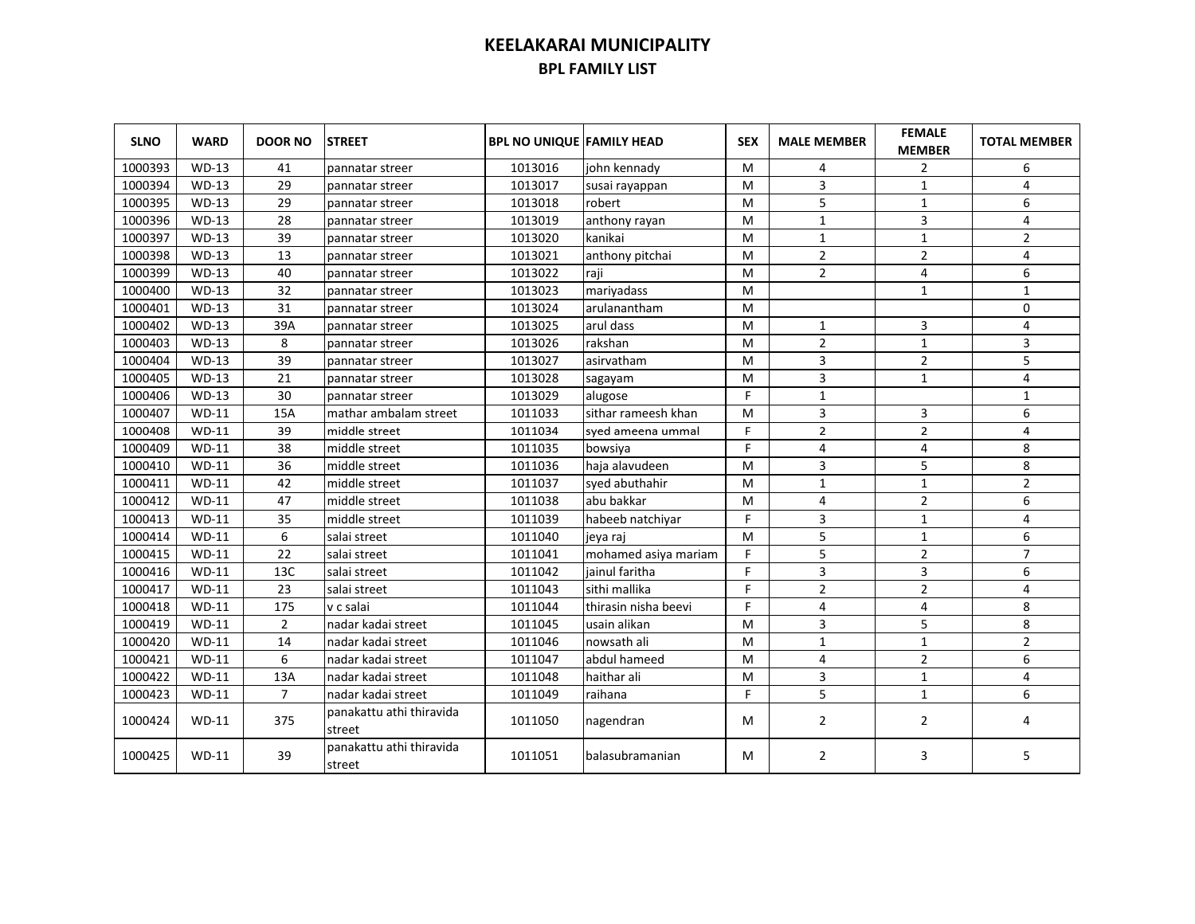| <b>SLNO</b> | <b>WARD</b>  | <b>DOOR NO</b> | <b>STREET</b>                      | <b>BPL NO UNIQUE FAMILY HEAD</b> |                      | <b>SEX</b> | <b>MALE MEMBER</b> | <b>FEMALE</b><br><b>MEMBER</b> | <b>TOTAL MEMBER</b> |
|-------------|--------------|----------------|------------------------------------|----------------------------------|----------------------|------------|--------------------|--------------------------------|---------------------|
| 1000393     | $WD-13$      | 41             | pannatar streer                    | 1013016                          | john kennady         | м          | 4                  | 2                              | 6                   |
| 1000394     | $WD-13$      | 29             | pannatar streer                    | 1013017                          | susai rayappan       | м          | 3                  | $\mathbf{1}$                   | 4                   |
| 1000395     | <b>WD-13</b> | 29             | pannatar streer                    | 1013018                          | robert               | м          | 5                  | $\mathbf{1}$                   | 6                   |
| 1000396     | <b>WD-13</b> | 28             | pannatar streer                    | 1013019                          | anthony rayan        | м          | $\mathbf{1}$       | 3                              | 4                   |
| 1000397     | $WD-13$      | 39             | pannatar streer                    | 1013020                          | kanikai              | м          | 1                  | $\mathbf{1}$                   | $\overline{2}$      |
| 1000398     | $WD-13$      | 13             | pannatar streer                    | 1013021                          | anthony pitchai      | M          | $\overline{2}$     | $\overline{2}$                 | 4                   |
| 1000399     | $WD-13$      | 40             | pannatar streer                    | 1013022                          | raji                 | M          | $\overline{2}$     | 4                              | 6                   |
| 1000400     | $WD-13$      | 32             | pannatar streer                    | 1013023                          | mariyadass           | M          |                    | $\mathbf{1}$                   | $\mathbf{1}$        |
| 1000401     | $WD-13$      | 31             | pannatar streer                    | 1013024                          | larulanantham        | м          |                    |                                | $\Omega$            |
| 1000402     | $WD-13$      | 39A            | pannatar streer                    | 1013025                          | arul dass            | м          | 1                  | 3                              | 4                   |
| 1000403     | $WD-13$      | 8              | pannatar streer                    | 1013026                          | rakshan              | M          | $\overline{2}$     | $\mathbf{1}$                   | 3                   |
| 1000404     | $WD-13$      | 39             | pannatar streer                    | 1013027                          | asirvatham           | M          | 3                  | $\overline{2}$                 | 5                   |
| 1000405     | $WD-13$      | 21             | pannatar streer                    | 1013028                          | sagayam              | M          | 3                  | $\mathbf{1}$                   | $\overline{4}$      |
| 1000406     | $WD-13$      | 30             | pannatar streer                    | 1013029                          | alugose              | F          | $\mathbf{1}$       |                                | $\mathbf{1}$        |
| 1000407     | $WD-11$      | 15A            | mathar ambalam street              | 1011033                          | sithar rameesh khan  | M          | 3                  | 3                              | 6                   |
| 1000408     | $WD-11$      | 39             | middle street                      | 1011034                          | syed ameena ummal    | F.         | $\overline{2}$     | $\overline{2}$                 | 4                   |
| 1000409     | $WD-11$      | 38             | middle street                      | 1011035                          | bowsiya              | F          | 4                  | 4                              | 8                   |
| 1000410     | $WD-11$      | 36             | middle street                      | 1011036                          | haja alavudeen       | M          | 3                  | 5                              | 8                   |
| 1000411     | $WD-11$      | 42             | middle street                      | 1011037                          | syed abuthahir       | M          | $\mathbf{1}$       | $\mathbf{1}$                   | $\overline{2}$      |
| 1000412     | $WD-11$      | 47             | middle street                      | 1011038                          | labu bakkar          | M          | 4                  | $\overline{2}$                 | 6                   |
| 1000413     | $WD-11$      | 35             | middle street                      | 1011039                          | habeeb natchiyar     | F          | 3                  | $\mathbf{1}$                   | 4                   |
| 1000414     | $WD-11$      | 6              | salai street                       | 1011040                          | jeya raj             | M          | 5                  | $\mathbf{1}$                   | 6                   |
| 1000415     | $WD-11$      | 22             | salai street                       | 1011041                          | mohamed asiya mariam | F          | 5                  | 2                              | $\overline{7}$      |
| 1000416     | $WD-11$      | 13C            | salai street                       | 1011042                          | iainul faritha       | F          | 3                  | 3                              | 6                   |
| 1000417     | $WD-11$      | 23             | salai street                       | 1011043                          | sithi mallika        | F          | $\overline{2}$     | $\overline{2}$                 | $\overline{4}$      |
| 1000418     | $WD-11$      | 175            | v c salai                          | 1011044                          | thirasin nisha beevi | F          | 4                  | 4                              | 8                   |
| 1000419     | $WD-11$      | $\overline{2}$ | nadar kadai street                 | 1011045                          | lusain alikan        | M          | 3                  | 5                              | 8                   |
| 1000420     | <b>WD-11</b> | 14             | nadar kadai street                 | 1011046                          | Inowsath ali         | M          | $\mathbf{1}$       | $\mathbf{1}$                   | $\overline{2}$      |
| 1000421     | $WD-11$      | 6              | nadar kadai street                 | 1011047                          | abdul hameed         | M          | 4                  | $\overline{2}$                 | 6                   |
| 1000422     | $WD-11$      | 13A            | nadar kadai street                 | 1011048                          | haithar ali          | M          | 3                  | $\mathbf{1}$                   | $\overline{4}$      |
| 1000423     | $WD-11$      | $\overline{7}$ | nadar kadai street                 | 1011049                          | raihana              | F          | 5                  | $\mathbf{1}$                   | 6                   |
| 1000424     | $WD-11$      | 375            | panakattu athi thiravida<br>street | 1011050                          | nagendran            | м          | $\overline{2}$     | 2                              | 4                   |
| 1000425     | <b>WD-11</b> | 39             | panakattu athi thiravida<br>street | 1011051                          | balasubramanian      | м          | $\overline{2}$     | 3                              | 5                   |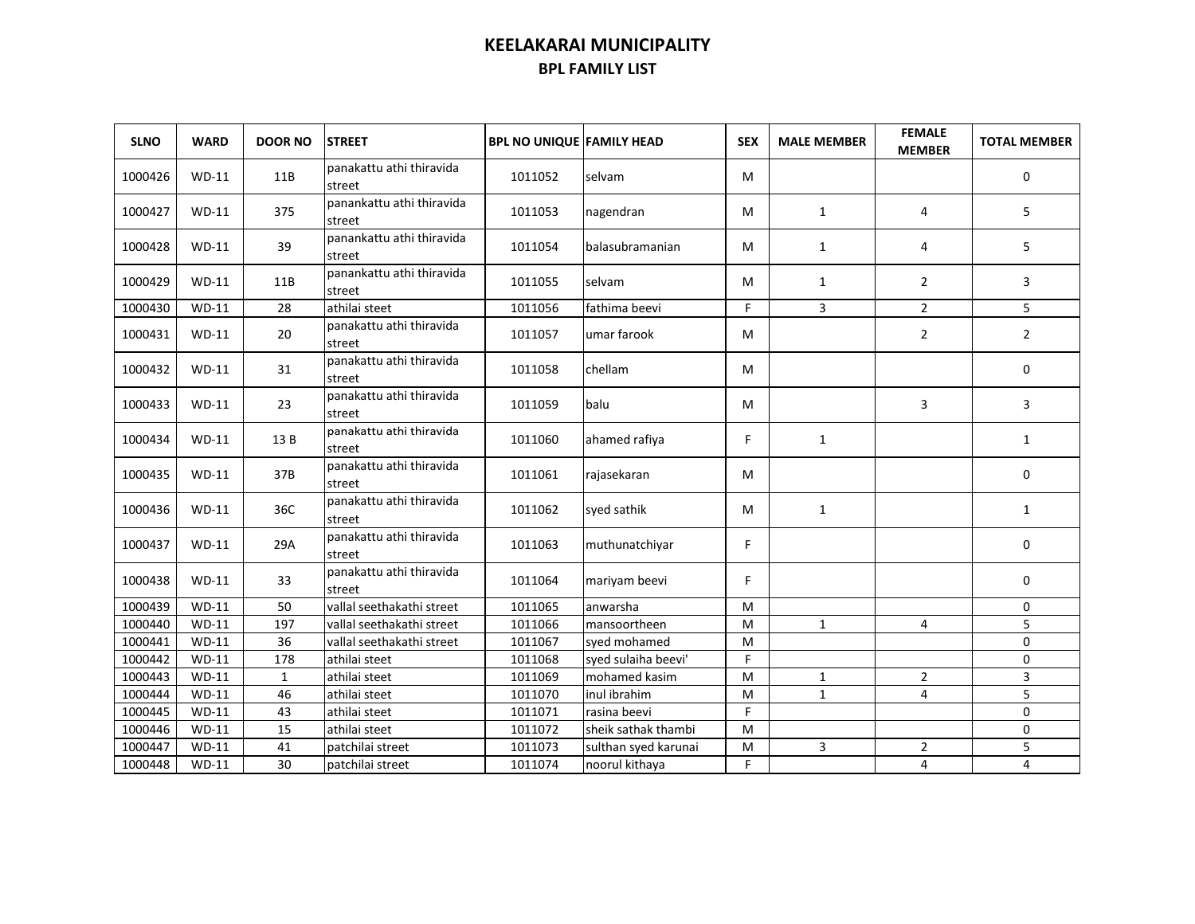| <b>SLNO</b> | <b>WARD</b>         | <b>DOOR NO</b> | <b>STREET</b>                       | <b>BPL NO UNIQUE FAMILY HEAD</b> |                      | <b>SEX</b> | <b>MALE MEMBER</b> | <b>FEMALE</b><br><b>MEMBER</b> | <b>TOTAL MEMBER</b> |
|-------------|---------------------|----------------|-------------------------------------|----------------------------------|----------------------|------------|--------------------|--------------------------------|---------------------|
| 1000426     | $WD-11$             | 11B            | panakattu athi thiravida<br>street  | 1011052                          | selvam               | М          |                    |                                | 0                   |
| 1000427     | $WD-11$             | 375            | panankattu athi thiravida<br>street | 1011053                          | nagendran            | м          | 1                  | 4                              | 5                   |
| 1000428     | $WD-11$             | 39             | panankattu athi thiravida<br>street | 1011054                          | balasubramanian      | м          | 1                  | 4                              | 5                   |
| 1000429     | $WD-11$             | 11B            | panankattu athi thiravida<br>street | 1011055                          | selvam               | м          | $\mathbf{1}$       | $\overline{2}$                 | 3                   |
| 1000430     | WD-11               | 28             | athilai steet                       | 1011056                          | fathima beevi        | F.         | 3                  | $\overline{2}$                 | 5                   |
| 1000431     | $WD-11$             | 20             | panakattu athi thiravida<br>street  | 1011057                          | umar farook          | М          |                    | $\overline{2}$                 | $\overline{2}$      |
| 1000432     | $WD-11$             | 31             | panakattu athi thiravida<br>street  | 1011058                          | chellam              | М          |                    |                                | $\mathbf 0$         |
| 1000433     | $WD-11$             | 23             | panakattu athi thiravida<br>street  | 1011059                          | balu                 | М          |                    | 3                              | 3                   |
| 1000434     | $WD-11$             | 13 B           | panakattu athi thiravida<br>street  | 1011060                          | ahamed rafiya        | F.         | $\mathbf{1}$       |                                | $\mathbf{1}$        |
| 1000435     | $WD-11$             | 37B            | panakattu athi thiravida<br>street  | 1011061                          | rajasekaran          | М          |                    |                                | 0                   |
| 1000436     | $WD-11$             | 36C            | panakattu athi thiravida<br>street  | 1011062                          | syed sathik          | М          | $\mathbf{1}$       |                                | $\mathbf{1}$        |
| 1000437     | $WD-11$             | 29A            | panakattu athi thiravida<br>street  | 1011063                          | muthunatchiyar       | F.         |                    |                                | $\mathbf 0$         |
| 1000438     | $WD-11$             | 33             | panakattu athi thiravida<br>street  | 1011064                          | mariyam beevi        | F.         |                    |                                | $\mathbf 0$         |
| 1000439     | $WD-11$             | 50             | vallal seethakathi street           | 1011065                          | anwarsha             | M          |                    |                                | 0                   |
| 1000440     | $WD-11$             | 197            | vallal seethakathi street           | 1011066                          | mansoortheen         | M          | $\mathbf{1}$       | 4                              | 5                   |
| 1000441     | $WD-11$             | 36             | vallal seethakathi street           | 1011067                          | syed mohamed         | M          |                    |                                | $\mathbf{0}$        |
| 1000442     | $\overline{WD}$ -11 | 178            | athilai steet                       | 1011068                          | syed sulaiha beevi'  | F.         |                    |                                | $\mathbf 0$         |
| 1000443     | $WD-11$             | $\mathbf{1}$   | athilai steet                       | 1011069                          | mohamed kasim        | M          | $\mathbf{1}$       | $\overline{2}$                 | 3                   |
| 1000444     | $WD-11$             | 46             | athilai steet                       | 1011070                          | inul ibrahim         | M          | $\mathbf{1}$       | 4                              | 5                   |
| 1000445     | $WD-11$             | 43             | athilai steet                       | 1011071                          | rasina beevi         | F          |                    |                                | $\mathbf 0$         |
| 1000446     | $WD-11$             | 15             | athilai steet                       | 1011072                          | sheik sathak thambi  | M          |                    |                                | $\mathbf 0$         |
| 1000447     | $WD-11$             | 41             | patchilai street                    | 1011073                          | sulthan syed karunai | M          | 3                  | $\overline{2}$                 | 5                   |
| 1000448     | $WD-11$             | 30             | patchilai street                    | 1011074                          | noorul kithaya       | F.         |                    | 4                              | 4                   |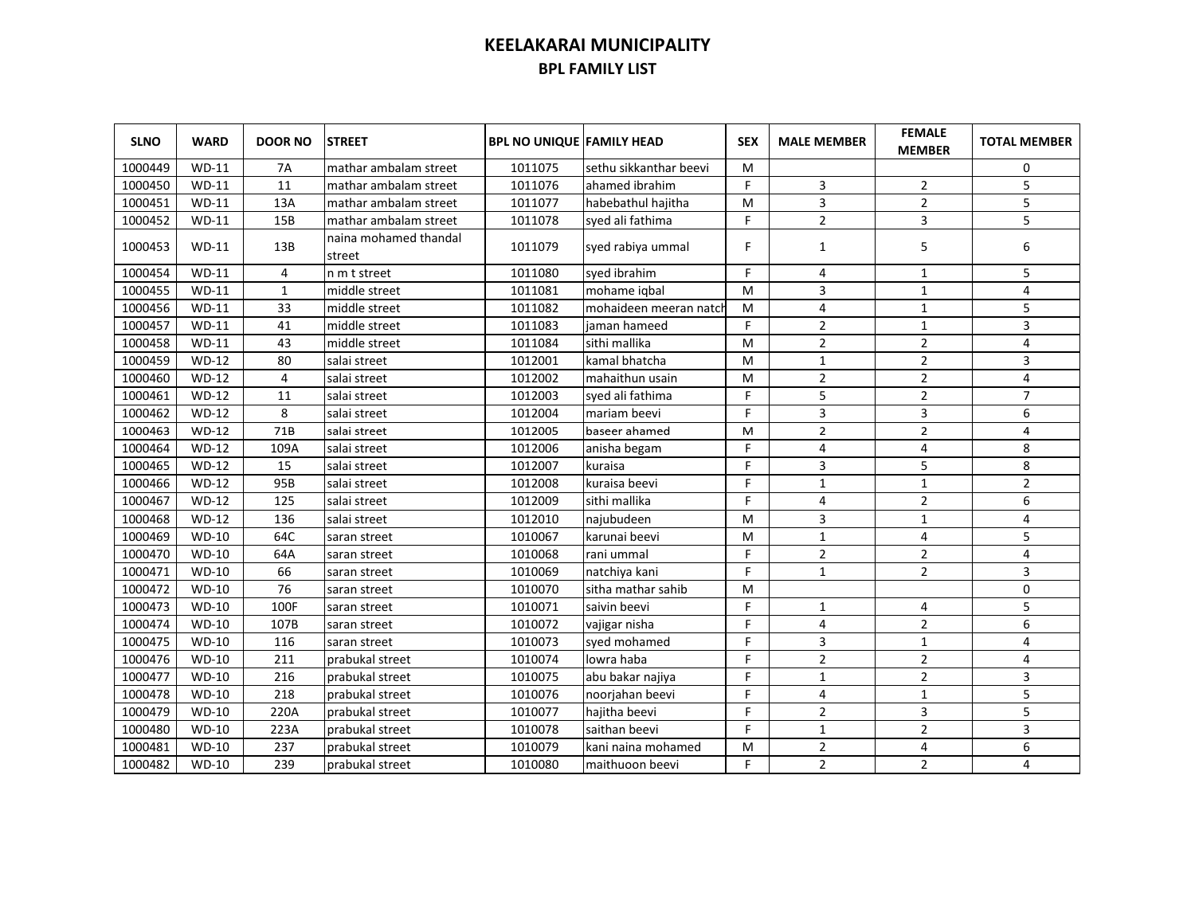| <b>SLNO</b> | <b>WARD</b>  | <b>DOOR NO</b>  | <b>STREET</b>                   | <b>BPL NO UNIQUE FAMILY HEAD</b> |                        | <b>SEX</b> | <b>MALE MEMBER</b> | <b>FEMALE</b><br><b>MEMBER</b> | <b>TOTAL MEMBER</b> |
|-------------|--------------|-----------------|---------------------------------|----------------------------------|------------------------|------------|--------------------|--------------------------------|---------------------|
| 1000449     | <b>WD-11</b> | <b>7A</b>       | mathar ambalam street           | 1011075                          | sethu sikkanthar beevi | M          |                    |                                | 0                   |
| 1000450     | $WD-11$      | 11              | mathar ambalam street           | 1011076                          | lahamed ibrahim        | F          | 3                  | $\overline{2}$                 | 5                   |
| 1000451     | $WD-11$      | 13A             | mathar ambalam street           | 1011077                          | habebathul hajitha     | M          | 3                  | $\overline{2}$                 | 5                   |
| 1000452     | $WD-11$      | 15B             | mathar ambalam street           | 1011078                          | syed ali fathima       | F          | $\overline{2}$     | 3                              | 5                   |
| 1000453     | $WD-11$      | 13B             | naina mohamed thandal<br>street | 1011079                          | syed rabiya ummal      | F.         | $\mathbf{1}$       | 5                              | 6                   |
| 1000454     | $WD-11$      | 4               | n m t street                    | 1011080                          | syed ibrahim           | F          | 4                  | 1                              | 5                   |
| 1000455     | $WD-11$      | $\mathbf{1}$    | middle street                   | 1011081                          | mohame igbal           | M          | 3                  | $\mathbf{1}$                   | 4                   |
| 1000456     | $WD-11$      | 33              | middle street                   | 1011082                          | mohaideen meeran natch | м          | 4                  | $\mathbf{1}$                   | 5                   |
| 1000457     | <b>WD-11</b> | 41              | middle street                   | 1011083                          | iaman hameed           | F.         | $\overline{2}$     | $\mathbf{1}$                   | 3                   |
| 1000458     | $WD-11$      | 43              | middle street                   | 1011084                          | sithi mallika          | M          | $\overline{2}$     | $\overline{2}$                 | 4                   |
| 1000459     | $WD-12$      | 80              | salai street                    | 1012001                          | kamal bhatcha          | м          | $\mathbf{1}$       | $\overline{2}$                 | 3                   |
| 1000460     | $WD-12$      | 4               | salai street                    | 1012002                          | mahaithun usain        | м          | $\overline{2}$     | $\overline{2}$                 | $\overline{4}$      |
| 1000461     | $WD-12$      | 11              | salai street                    | 1012003                          | syed ali fathima       | F          | 5                  | $\overline{2}$                 | $\overline{7}$      |
| 1000462     | $WD-12$      | 8               | salai street                    | 1012004                          | mariam beevi           | F.         | 3                  | 3                              | 6                   |
| 1000463     | $WD-12$      | 71B             | salai street                    | 1012005                          | baseer ahamed          | M          | $\overline{2}$     | $\overline{2}$                 | 4                   |
| 1000464     | $WD-12$      | 109A            | salai street                    | 1012006                          | anisha begam           | F.         | 4                  | 4                              | 8                   |
| 1000465     | $WD-12$      | 15              | salai street                    | 1012007                          | kuraisa                | F.         | 3                  | 5                              | 8                   |
| 1000466     | $WD-12$      | 95B             | salai street                    | 1012008                          | kuraisa beevi          | F.         | $\mathbf{1}$       | $\mathbf{1}$                   | $\overline{2}$      |
| 1000467     | $WD-12$      | 125             | salai street                    | 1012009                          | sithi mallika          | F          | 4                  | $\overline{2}$                 | 6                   |
| 1000468     | $WD-12$      | 136             | salai street                    | 1012010                          | najubudeen             | M          | 3                  | $\mathbf{1}$                   | 4                   |
| 1000469     | $WD-10$      | 64C             | saran street                    | 1010067                          | karunai beevi          | M          | $\mathbf{1}$       | 4                              | 5                   |
| 1000470     | $WD-10$      | 64A             | saran street                    | 1010068                          | rani ummal             | F          | $\overline{2}$     | $\overline{2}$                 | 4                   |
| 1000471     | $WD-10$      | 66              | saran street                    | 1010069                          | natchiya kani          | F          | $\mathbf{1}$       | $\overline{2}$                 | 3                   |
| 1000472     | $WD-10$      | $\overline{76}$ | saran street                    | 1010070                          | sitha mathar sahib     | M          |                    |                                | $\mathbf 0$         |
| 1000473     | $WD-10$      | 100F            | saran street                    | 1010071                          | saivin beevi           | F          | $\mathbf{1}$       | 4                              | 5                   |
| 1000474     | $WD-10$      | 107B            | saran street                    | 1010072                          | vajigar nisha          | F          | 4                  | $\overline{2}$                 | 6                   |
| 1000475     | $WD-10$      | 116             | saran street                    | 1010073                          | syed mohamed           | F          | 3                  | $\mathbf{1}$                   | 4                   |
| 1000476     | $WD-10$      | 211             | prabukal street                 | 1010074                          | lowra haba             | F          | $\overline{2}$     | $\overline{2}$                 | 4                   |
| 1000477     | $WD-10$      | 216             | prabukal street                 | 1010075                          | abu bakar najiya       | F          | $\mathbf{1}$       | $\overline{2}$                 | 3                   |
| 1000478     | $WD-10$      | 218             | prabukal street                 | 1010076                          | noorjahan beevi        | F          | $\overline{4}$     | $\mathbf{1}$                   | 5                   |
| 1000479     | $WD-10$      | 220A            | prabukal street                 | 1010077                          | hajitha beevi          | F          | $\overline{2}$     | 3                              | 5                   |
| 1000480     | $WD-10$      | 223A            | prabukal street                 | 1010078                          | saithan beevi          | F          | $\mathbf{1}$       | $\overline{2}$                 | 3                   |
| 1000481     | $WD-10$      | 237             | prabukal street                 | 1010079                          | kani naina mohamed     | M          | $\overline{2}$     | 4                              | 6                   |
| 1000482     | $WD-10$      | 239             | prabukal street                 | 1010080                          | maithuoon beevi        | F          | $\overline{2}$     | 2                              | 4                   |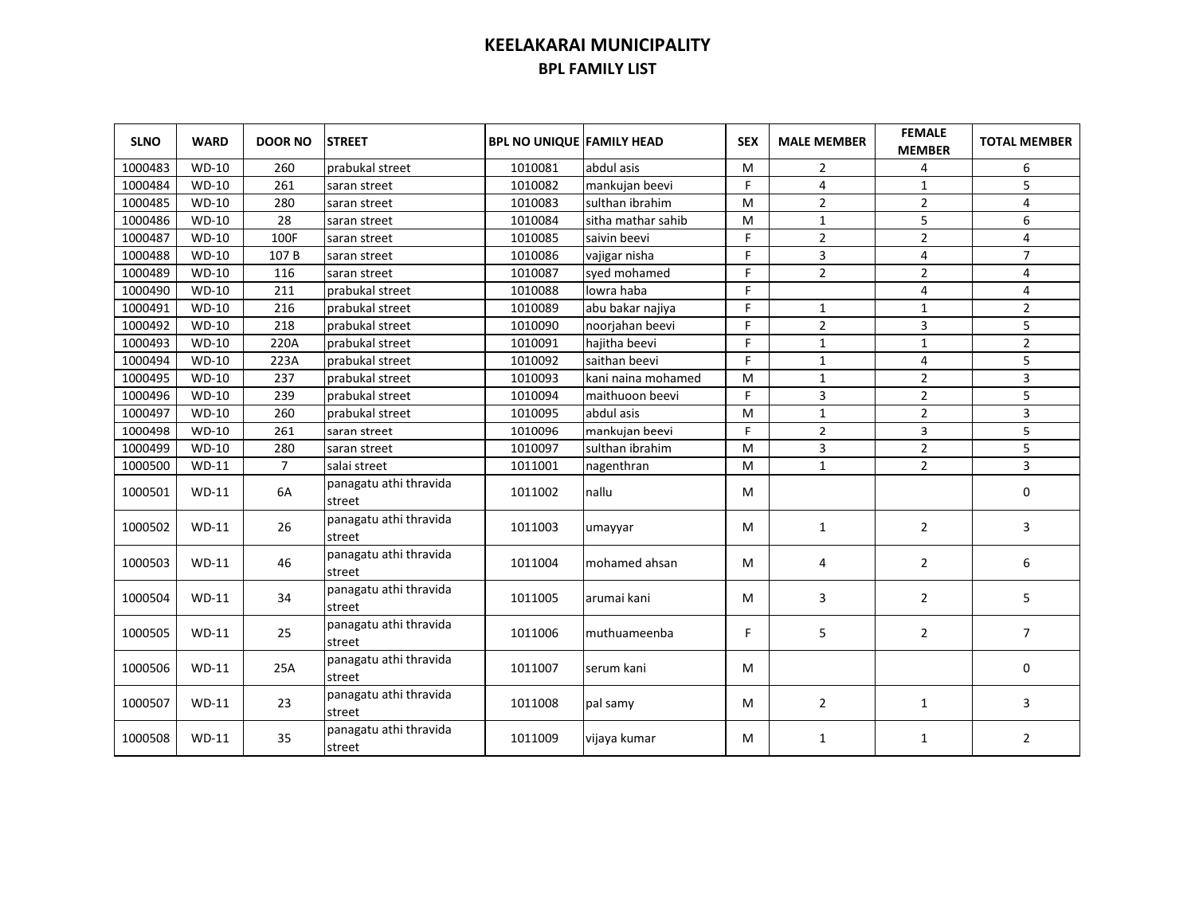| <b>SLNO</b> | <b>WARD</b>  | <b>DOOR NO</b> | <b>STREET</b>                    | <b>BPL NO UNIQUE FAMILY HEAD</b> |                    | <b>SEX</b> | <b>MALE MEMBER</b> | <b>FEMALE</b><br><b>MEMBER</b> | <b>TOTAL MEMBER</b>     |
|-------------|--------------|----------------|----------------------------------|----------------------------------|--------------------|------------|--------------------|--------------------------------|-------------------------|
| 1000483     | $WD-10$      | 260            | prabukal street                  | 1010081                          | abdul asis         | M          | $\overline{2}$     | 4                              | 6                       |
| 1000484     | $WD-10$      | 261            | saran street                     | 1010082                          | mankujan beevi     | F          | $\overline{4}$     | $\mathbf{1}$                   | 5                       |
| 1000485     | $WD-10$      | 280            | saran street                     | 1010083                          | sulthan ibrahim    | M          | $\overline{2}$     | $\overline{2}$                 | 4                       |
| 1000486     | $WD-10$      | 28             | saran street                     | 1010084                          | sitha mathar sahib | м          | $\mathbf{1}$       | 5                              | 6                       |
| 1000487     | $WD-10$      | 100F           | saran street                     | 1010085                          | saivin beevi       | F.         | $\overline{2}$     | $\overline{2}$                 | $\overline{4}$          |
| 1000488     | <b>WD-10</b> | 107B           | saran street                     | 1010086                          | vajigar nisha      | F          | 3                  | 4                              | $\overline{7}$          |
| 1000489     | WD-10        | 116            | saran street                     | 1010087                          | syed mohamed       | F          | $\overline{2}$     | $\overline{2}$                 | 4                       |
| 1000490     | <b>WD-10</b> | 211            | prabukal street                  | 1010088                          | lowra haba         | F          |                    | 4                              | 4                       |
| 1000491     | $WD-10$      | 216            | prabukal street                  | 1010089                          | abu bakar najiya   | Ë          | 1                  | $\overline{1}$                 | $\overline{2}$          |
| 1000492     | $WD-10$      | 218            | prabukal street                  | 1010090                          | noorjahan beevi    | F          | $\overline{2}$     | 3                              | 5                       |
| 1000493     | $WD-10$      | 220A           | prabukal street                  | 1010091                          | hajitha beevi      | F          | $\mathbf{1}$       | $\mathbf{1}$                   | $\overline{2}$          |
| 1000494     | $WD-10$      | 223A           | prabukal street                  | 1010092                          | saithan beevi      | F.         | $\mathbf{1}$       | 4                              | 5                       |
| 1000495     | $WD-10$      | 237            | prabukal street                  | 1010093                          | kani naina mohamed | M          | $\mathbf{1}$       | $\overline{2}$                 | $\overline{\mathbf{3}}$ |
| 1000496     | <b>WD-10</b> | 239            | prabukal street                  | 1010094                          | maithuoon beevi    | F.         | 3                  | $\overline{2}$                 | 5                       |
| 1000497     | $WD-10$      | 260            | prabukal street                  | 1010095                          | abdul asis         | M          | $\mathbf{1}$       | $\overline{2}$                 | 3                       |
| 1000498     | WD-10        | 261            | saran street                     | 1010096                          | mankujan beevi     | F.         | $\overline{2}$     | 3                              | 5                       |
| 1000499     | $WD-10$      | 280            | saran street                     | 1010097                          | sulthan ibrahim    | M          | 3                  | $\mathbf 2$                    | 5                       |
| 1000500     | $WD-11$      | $\overline{7}$ | salai street                     | 1011001                          | nagenthran         | M          | $\mathbf{1}$       | $\overline{2}$                 | 3                       |
| 1000501     | $WD-11$      | 6A             | panagatu athi thravida<br>street | 1011002                          | nallu              | М          |                    |                                | $\mathbf 0$             |
| 1000502     | $WD-11$      | 26             | panagatu athi thravida<br>street | 1011003                          | umayyar            | м          | $\mathbf{1}$       | $\overline{2}$                 | 3                       |
| 1000503     | $WD-11$      | 46             | panagatu athi thravida<br>street | 1011004                          | mohamed ahsan      | м          | 4                  | $\overline{2}$                 | 6                       |
| 1000504     | $WD-11$      | 34             | panagatu athi thravida<br>street | 1011005                          | arumai kani        | м          | 3                  | $\overline{2}$                 | 5                       |
| 1000505     | $WD-11$      | 25             | panagatu athi thravida<br>street | 1011006                          | muthuameenba       | F.         | 5                  | $\overline{2}$                 | $\overline{7}$          |
| 1000506     | $WD-11$      | 25A            | panagatu athi thravida<br>street | 1011007                          | serum kani         | м          |                    |                                | $\mathbf 0$             |
| 1000507     | $WD-11$      | 23             | panagatu athi thravida<br>street | 1011008                          | pal samy           | м          | $\overline{2}$     | $\mathbf{1}$                   | 3                       |
| 1000508     | $WD-11$      | 35             | panagatu athi thravida<br>street | 1011009                          | vijaya kumar       | м          | 1                  | 1                              | $\overline{2}$          |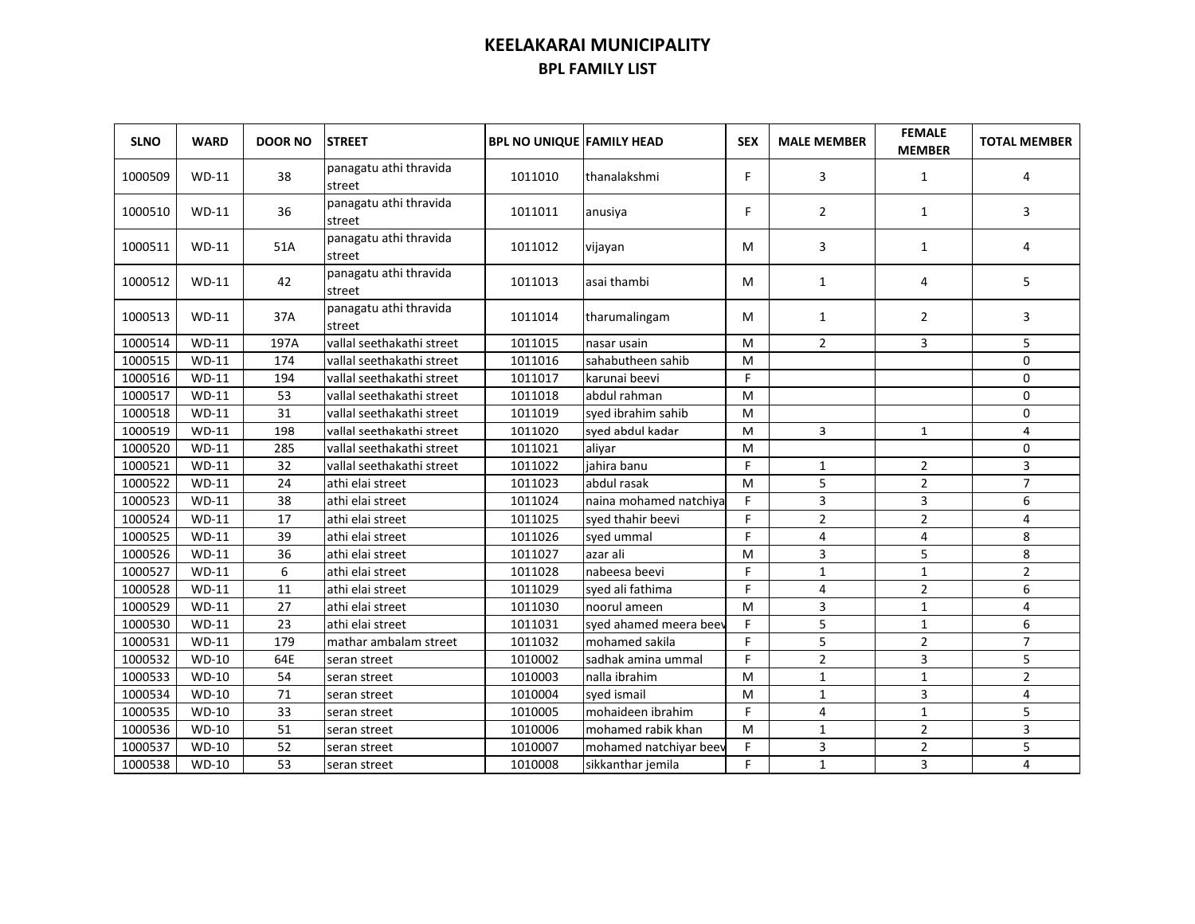| <b>SLNO</b> | <b>WARD</b>  | <b>DOOR NO</b> | <b>STREET</b>                    | <b>BPL NO UNIQUE FAMILY HEAD</b> |                        | <b>SEX</b> | <b>MALE MEMBER</b> | <b>FEMALE</b><br><b>MEMBER</b> | <b>TOTAL MEMBER</b> |
|-------------|--------------|----------------|----------------------------------|----------------------------------|------------------------|------------|--------------------|--------------------------------|---------------------|
| 1000509     | $WD-11$      | 38             | panagatu athi thravida<br>street | 1011010                          | thanalakshmi           | F.         | 3                  | $\mathbf{1}$                   | 4                   |
| 1000510     | $WD-11$      | 36             | panagatu athi thravida<br>street | 1011011                          | anusiya                | F.         | $\overline{2}$     | 1                              | 3                   |
| 1000511     | $WD-11$      | 51A            | panagatu athi thravida<br>street | 1011012                          | vijayan                | м          | 3                  | 1                              | 4                   |
| 1000512     | $WD-11$      | 42             | panagatu athi thravida<br>street | 1011013                          | asai thambi            | м          | $\mathbf{1}$       | 4                              | 5                   |
| 1000513     | $WD-11$      | 37A            | panagatu athi thravida<br>street | 1011014                          | tharumalingam          | м          | $\mathbf{1}$       | $\overline{2}$                 | 3                   |
| 1000514     | <b>WD-11</b> | 197A           | vallal seethakathi street        | 1011015                          | nasar usain            | м          | $\overline{2}$     | 3                              | 5                   |
| 1000515     | $WD-11$      | 174            | vallal seethakathi street        | 1011016                          | sahabutheen sahib      | M          |                    |                                | $\mathbf 0$         |
| 1000516     | $WD-11$      | 194            | vallal seethakathi street        | 1011017                          | karunai beevi          | F.         |                    |                                | $\mathbf 0$         |
| 1000517     | $WD-11$      | 53             | vallal seethakathi street        | 1011018                          | abdul rahman           | M          |                    |                                | $\mathbf 0$         |
| 1000518     | $WD-11$      | 31             | vallal seethakathi street        | 1011019                          | syed ibrahim sahib     | М          |                    |                                | $\mathbf 0$         |
| 1000519     | $WD-11$      | 198            | vallal seethakathi street        | 1011020                          | sved abdul kadar       | м          | 3                  | 1                              | 4                   |
| 1000520     | $WD-11$      | 285            | vallal seethakathi street        | 1011021                          | alivar                 | M          |                    |                                | $\mathbf 0$         |
| 1000521     | $WD-11$      | 32             | vallal seethakathi street        | 1011022                          | jahira banu            | F.         | $\mathbf{1}$       | $\overline{2}$                 | 3                   |
| 1000522     | $WD-11$      | 24             | athi elai street                 | 1011023                          | abdul rasak            | M          | 5                  | $\overline{2}$                 | $\overline{7}$      |
| 1000523     | $WD-11$      | 38             | athi elai street                 | 1011024                          | naina mohamed natchiya | F.         | 3                  | 3                              | 6                   |
| 1000524     | $WD-11$      | 17             | athi elai street                 | 1011025                          | syed thahir beevi      | F          | $\overline{2}$     | $\overline{2}$                 | 4                   |
| 1000525     | $WD-11$      | 39             | athi elai street                 | 1011026                          | syed ummal             | F.         | 4                  | 4                              | 8                   |
| 1000526     | $WD-11$      | 36             | athi elai street                 | 1011027                          | azar ali               | M          | 3                  | 5                              | 8                   |
| 1000527     | $WD-11$      | 6              | athi elai street                 | 1011028                          | nabeesa beevi          | F          | $\mathbf{1}$       | $\mathbf{1}$                   | $\overline{2}$      |
| 1000528     | $WD-11$      | 11             | athi elai street                 | 1011029                          | syed ali fathima       | F          | 4                  | $\overline{2}$                 | 6                   |
| 1000529     | $WD-11$      | 27             | athi elai street                 | 1011030                          | noorul ameen           | M          | 3                  | $\mathbf{1}$                   | 4                   |
| 1000530     | $WD-11$      | 23             | athi elai street                 | 1011031                          | syed ahamed meera beev | F.         | 5                  | $\mathbf{1}$                   | 6                   |
| 1000531     | $WD-11$      | 179            | mathar ambalam street            | 1011032                          | mohamed sakila         | Ë          | 5                  | $\overline{2}$                 | $\overline{7}$      |
| 1000532     | $WD-10$      | 64E            | seran street                     | 1010002                          | sadhak amina ummal     | F.         | $\overline{2}$     | 3                              | 5                   |
| 1000533     | $WD-10$      | 54             | seran street                     | 1010003                          | nalla ibrahim          | M          | $1\,$              | $\mathbf{1}$                   | $\overline{2}$      |
| 1000534     | $WD-10$      | 71             | seran street                     | 1010004                          | syed ismail            | M          | $\mathbf{1}$       | 3                              | 4                   |
| 1000535     | $WD-10$      | 33             | seran street                     | 1010005                          | mohaideen ibrahim      | F          | $\overline{4}$     | $\mathbf{1}$                   | 5                   |
| 1000536     | WD-10        | 51             | seran street                     | 1010006                          | mohamed rabik khan     | M          | $\mathbf{1}$       | $\overline{2}$                 | 3                   |
| 1000537     | $WD-10$      | 52             | seran street                     | 1010007                          | mohamed natchiyar beev | F          | 3                  | $\overline{2}$                 | 5                   |
| 1000538     | WD-10        | 53             | seran street                     | 1010008                          | sikkanthar jemila      | F.         | $\mathbf{1}$       | 3                              | 4                   |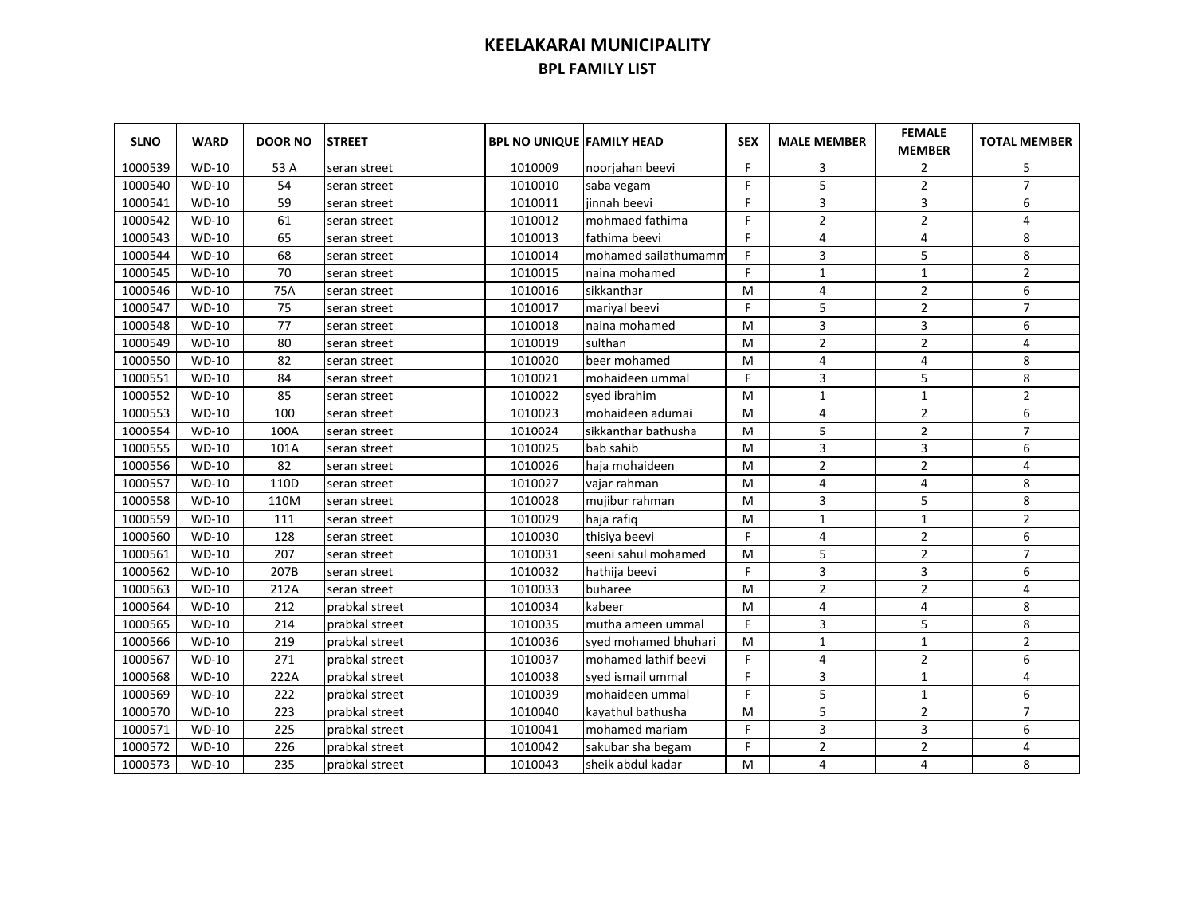| <b>SLNO</b> | <b>WARD</b>  | <b>DOOR NO</b> | <b>STREET</b>  | <b>BPL NO UNIQUE FAMILY HEAD</b> |                      | <b>SEX</b> | <b>MALE MEMBER</b> | <b>FEMALE</b><br><b>MEMBER</b> | <b>TOTAL MEMBER</b> |
|-------------|--------------|----------------|----------------|----------------------------------|----------------------|------------|--------------------|--------------------------------|---------------------|
| 1000539     | <b>WD-10</b> | 53 A           | seran street   | 1010009                          | noorjahan beevi      | F.         | 3                  | $\overline{2}$                 | 5                   |
| 1000540     | <b>WD-10</b> | 54             | seran street   | 1010010                          | saba vegam           | F          | 5                  | $\overline{2}$                 | $\overline{7}$      |
| 1000541     | $WD-10$      | 59             | seran street   | 1010011                          | iinnah beevi         | F.         | 3                  | 3                              | 6                   |
| 1000542     | $WD-10$      | 61             | seran street   | 1010012                          | mohmaed fathima      | F          | $\overline{2}$     | $\overline{2}$                 | 4                   |
| 1000543     | <b>WD-10</b> | 65             | seran street   | 1010013                          | fathima beevi        | F.         | $\overline{4}$     | 4                              | 8                   |
| 1000544     | $WD-10$      | 68             | seran street   | 1010014                          | mohamed sailathumamm | F.         | 3                  | 5                              | 8                   |
| 1000545     | $WD-10$      | 70             | seran street   | 1010015                          | naina mohamed        | F.         | $\mathbf{1}$       | $\mathbf 1$                    | $\overline{2}$      |
| 1000546     | $WD-10$      | 75A            | seran street   | 1010016                          | sikkanthar           | M          | 4                  | $\overline{2}$                 | 6                   |
| 1000547     | <b>WD-10</b> | 75             | seran street   | 1010017                          | marival beevi        | F.         | 5                  | $\overline{2}$                 | $\overline{7}$      |
| 1000548     | $WD-10$      | 77             | seran street   | 1010018                          | naina mohamed        | M          | 3                  | 3                              | 6                   |
| 1000549     | <b>WD-10</b> | 80             | seran street   | 1010019                          | sulthan              | M          | $\overline{2}$     | $\overline{2}$                 | 4                   |
| 1000550     | $WD-10$      | 82             | seran street   | 1010020                          | beer mohamed         | M          | $\overline{4}$     | 4                              | 8                   |
| 1000551     | <b>WD-10</b> | 84             | seran street   | 1010021                          | mohaideen ummal      | F          | 3                  | 5                              | 8                   |
| 1000552     | $WD-10$      | 85             | seran street   | 1010022                          | sved ibrahim         | M          | $\mathbf{1}$       | 1                              | $\overline{2}$      |
| 1000553     | $WD-10$      | 100            | seran street   | 1010023                          | mohaideen adumai     | M          | $\overline{4}$     | $\overline{2}$                 | 6                   |
| 1000554     | $WD-10$      | 100A           | seran street   | 1010024                          | sikkanthar bathusha  | M          | 5                  | $\overline{2}$                 | $\overline{7}$      |
| 1000555     | $WD-10$      | 101A           | seran street   | 1010025                          | bab sahib            | м          | 3                  | 3                              | 6                   |
| 1000556     | $WD-10$      | 82             | seran street   | 1010026                          | haja mohaideen       | M          | $\overline{2}$     | $\overline{2}$                 | 4                   |
| 1000557     | $WD-10$      | 110D           | seran street   | 1010027                          | vajar rahman         | M          | $\overline{4}$     | 4                              | 8                   |
| 1000558     | $WD-10$      | 110M           | seran street   | 1010028                          | mujibur rahman       | M          | 3                  | 5                              | 8                   |
| 1000559     | $WD-10$      | 111            | seran street   | 1010029                          | haja rafiq           | M          | $\mathbf{1}$       | $\mathbf{1}$                   | $\overline{2}$      |
| 1000560     | $WD-10$      | 128            | seran street   | 1010030                          | thisiya beevi        | F.         | 4                  | $\overline{2}$                 | 6                   |
| 1000561     | $WD-10$      | 207            | seran street   | 1010031                          | seeni sahul mohamed  | M          | 5                  | $\overline{2}$                 | $\overline{7}$      |
| 1000562     | $WD-10$      | 207B           | seran street   | 1010032                          | hathija beevi        | F          | 3                  | 3                              | 6                   |
| 1000563     | $WD-10$      | 212A           | seran street   | 1010033                          | buharee              | M          | $\overline{2}$     | $\overline{2}$                 | 4                   |
| 1000564     | $WD-10$      | 212            | prabkal street | 1010034                          | kabeer               | M          | $\overline{4}$     | 4                              | 8                   |
| 1000565     | $WD-10$      | 214            | prabkal street | 1010035                          | mutha ameen ummal    | F.         | $\overline{3}$     | 5                              | $\,$ 8 $\,$         |
| 1000566     | $WD-10$      | 219            | prabkal street | 1010036                          | syed mohamed bhuhari | M          | $\mathbf{1}$       | $\mathbf{1}$                   | $\overline{2}$      |
| 1000567     | $WD-10$      | 271            | prabkal street | 1010037                          | mohamed lathif beevi | F.         | $\overline{4}$     | $\overline{2}$                 | 6                   |
| 1000568     | $WD-10$      | 222A           | prabkal street | 1010038                          | syed ismail ummal    | F.         | 3                  | $\mathbf{1}$                   | 4                   |
| 1000569     | $WD-10$      | 222            | prabkal street | 1010039                          | mohaideen ummal      | F          | 5                  | $\mathbf{1}$                   | 6                   |
| 1000570     | $WD-10$      | 223            | prabkal street | 1010040                          | kayathul bathusha    | M          | 5                  | $\overline{2}$                 | $\overline{7}$      |
| 1000571     | $WD-10$      | 225            | prabkal street | 1010041                          | mohamed mariam       | F          | 3                  | 3                              | 6                   |
| 1000572     | $WD-10$      | 226            | prabkal street | 1010042                          | sakubar sha begam    | F          | $\overline{2}$     | $\overline{2}$                 | 4                   |
| 1000573     | WD-10        | 235            | prabkal street | 1010043                          | sheik abdul kadar    | M          | 4                  | 4                              | 8                   |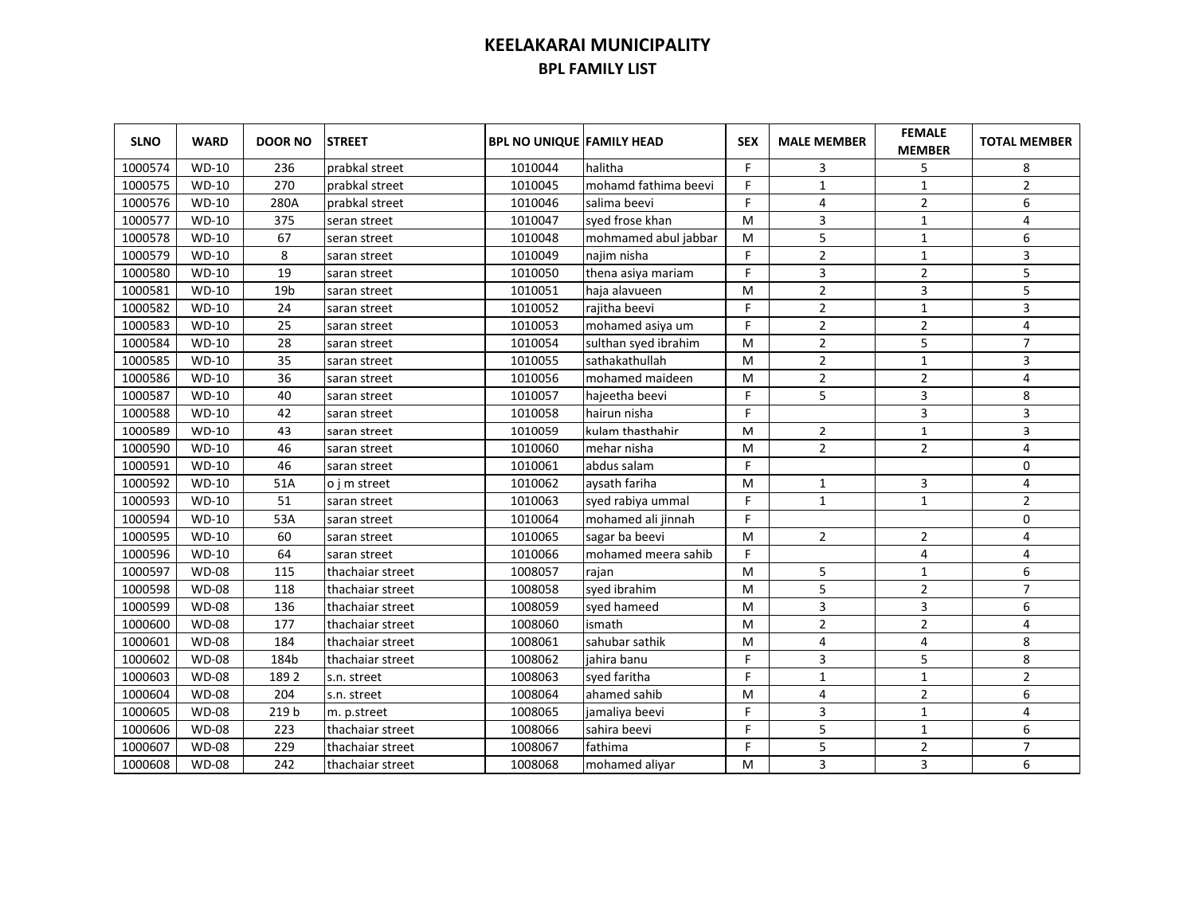| <b>SLNO</b> | <b>WARD</b>  | <b>DOOR NO</b>  | <b>STREET</b>    | <b>BPL NO UNIQUE FAMILY HEAD</b> |                      | <b>SEX</b> | <b>MALE MEMBER</b> | <b>FEMALE</b><br><b>MEMBER</b> | <b>TOTAL MEMBER</b> |
|-------------|--------------|-----------------|------------------|----------------------------------|----------------------|------------|--------------------|--------------------------------|---------------------|
| 1000574     | $WD-10$      | 236             | prabkal street   | 1010044                          | halitha              | F          | 3                  | 5                              | 8                   |
| 1000575     | $WD-10$      | 270             | prabkal street   | 1010045                          | mohamd fathima beevi | F          | $1\,$              | $\mathbf{1}$                   | $\overline{2}$      |
| 1000576     | $WD-10$      | 280A            | prabkal street   | 1010046                          | salima beevi         | F          | 4                  | $\overline{2}$                 | 6                   |
| 1000577     | $WD-10$      | 375             | seran street     | 1010047                          | syed frose khan      | M          | 3                  | $\mathbf{1}$                   | 4                   |
| 1000578     | <b>WD-10</b> | 67              | seran street     | 1010048                          | mohmamed abul jabbar | M          | 5                  | $\mathbf 1$                    | 6                   |
| 1000579     | $WD-10$      | 8               | saran street     | 1010049                          | najim nisha          | F          | $\mathbf 2$        | $\mathbf 1$                    | 3                   |
| 1000580     | $WD-10$      | 19              | saran street     | 1010050                          | thena asiya mariam   | F          | 3                  | $\overline{2}$                 | 5                   |
| 1000581     | $WD-10$      | 19 <sub>b</sub> | saran street     | 1010051                          | haja alavueen        | M          | $\overline{2}$     | 3                              | 5                   |
| 1000582     | <b>WD-10</b> | 24              | saran street     | 1010052                          | rajitha beevi        | F          | $\overline{2}$     | $1\,$                          | 3                   |
| 1000583     | <b>WD-10</b> | 25              | saran street     | 1010053                          | mohamed asiya um     | F          | $\overline{2}$     | $\overline{2}$                 | $\overline{4}$      |
| 1000584     | <b>WD-10</b> | 28              | saran street     | 1010054                          | sulthan syed ibrahim | M          | $\overline{2}$     | 5                              | $\overline{7}$      |
| 1000585     | <b>WD-10</b> | 35              | saran street     | 1010055                          | sathakathullah       | M          | $\overline{2}$     | $1\,$                          | 3                   |
| 1000586     | $WD-10$      | 36              | saran street     | 1010056                          | mohamed maideen      | M          | $\overline{2}$     | $\overline{2}$                 | 4                   |
| 1000587     | $WD-10$      | 40              | saran street     | 1010057                          | hajeetha beevi       | F          | 5                  | 3                              | 8                   |
| 1000588     | $WD-10$      | 42              | saran street     | 1010058                          | hairun nisha         | F          |                    | 3                              | 3                   |
| 1000589     | $WD-10$      | 43              | saran street     | 1010059                          | kulam thasthahir     | M          | $\overline{2}$     | $\mathbf 1$                    | 3                   |
| 1000590     | $WD-10$      | 46              | saran street     | 1010060                          | mehar nisha          | M          | $\overline{2}$     | $\overline{2}$                 | 4                   |
| 1000591     | $WD-10$      | 46              | saran street     | 1010061                          | abdus salam          | F          |                    |                                | 0                   |
| 1000592     | $WD-10$      | 51A             | o i m street     | 1010062                          | aysath fariha        | M          | 1                  | 3                              | 4                   |
| 1000593     | $WD-10$      | 51              | saran street     | 1010063                          | syed rabiya ummal    | F          | $\mathbf{1}$       | $\mathbf{1}$                   | $\overline{2}$      |
| 1000594     | $WD-10$      | 53A             | saran street     | 1010064                          | mohamed ali jinnah   | F.         |                    |                                | 0                   |
| 1000595     | $WD-10$      | 60              | saran street     | 1010065                          | sagar ba beevi       | M          | $\overline{2}$     | 2                              | 4                   |
| 1000596     | $WD-10$      | 64              | saran street     | 1010066                          | mohamed meera sahib  | F          |                    | 4                              | 4                   |
| 1000597     | <b>WD-08</b> | 115             | thachaiar street | 1008057                          | rajan                | M          | 5                  | $\mathbf{1}$                   | 6                   |
| 1000598     | <b>WD-08</b> | 118             | thachaiar street | 1008058                          | syed ibrahim         | M          | 5                  | $\overline{2}$                 | $\overline{7}$      |
| 1000599     | <b>WD-08</b> | 136             | thachaiar street | 1008059                          | syed hameed          | M          | 3                  | 3                              | 6                   |
| 1000600     | <b>WD-08</b> | 177             | thachaiar street | 1008060                          | ismath               | M          | $\overline{2}$     | $\overline{2}$                 | 4                   |
| 1000601     | <b>WD-08</b> | 184             | thachaiar street | 1008061                          | sahubar sathik       | M          | $\overline{4}$     | 4                              | 8                   |
| 1000602     | <b>WD-08</b> | 184b            | thachaiar street | 1008062                          | jahira banu          | F          | 3                  | 5                              | 8                   |
| 1000603     | <b>WD-08</b> | 1892            | s.n. street      | 1008063                          | syed faritha         | F.         | $\mathbf{1}$       | $\mathbf{1}$                   | $\overline{2}$      |
| 1000604     | <b>WD-08</b> | 204             | s.n. street      | 1008064                          | ahamed sahib         | M          | 4                  | $\overline{2}$                 | 6                   |
| 1000605     | <b>WD-08</b> | 219 b           | m. p.street      | 1008065                          | jamaliya beevi       | F          | 3                  | $\mathbf{1}$                   | 4                   |
| 1000606     | <b>WD-08</b> | 223             | thachaiar street | 1008066                          | sahira beevi         | F          | 5                  | $\mathbf{1}$                   | 6                   |
| 1000607     | <b>WD-08</b> | 229             | thachaiar street | 1008067                          | fathima              | F          | 5                  | $\overline{2}$                 | $\overline{7}$      |
| 1000608     | <b>WD-08</b> | 242             | thachaiar street | 1008068                          | mohamed aliyar       | M          | 3                  | 3                              | 6                   |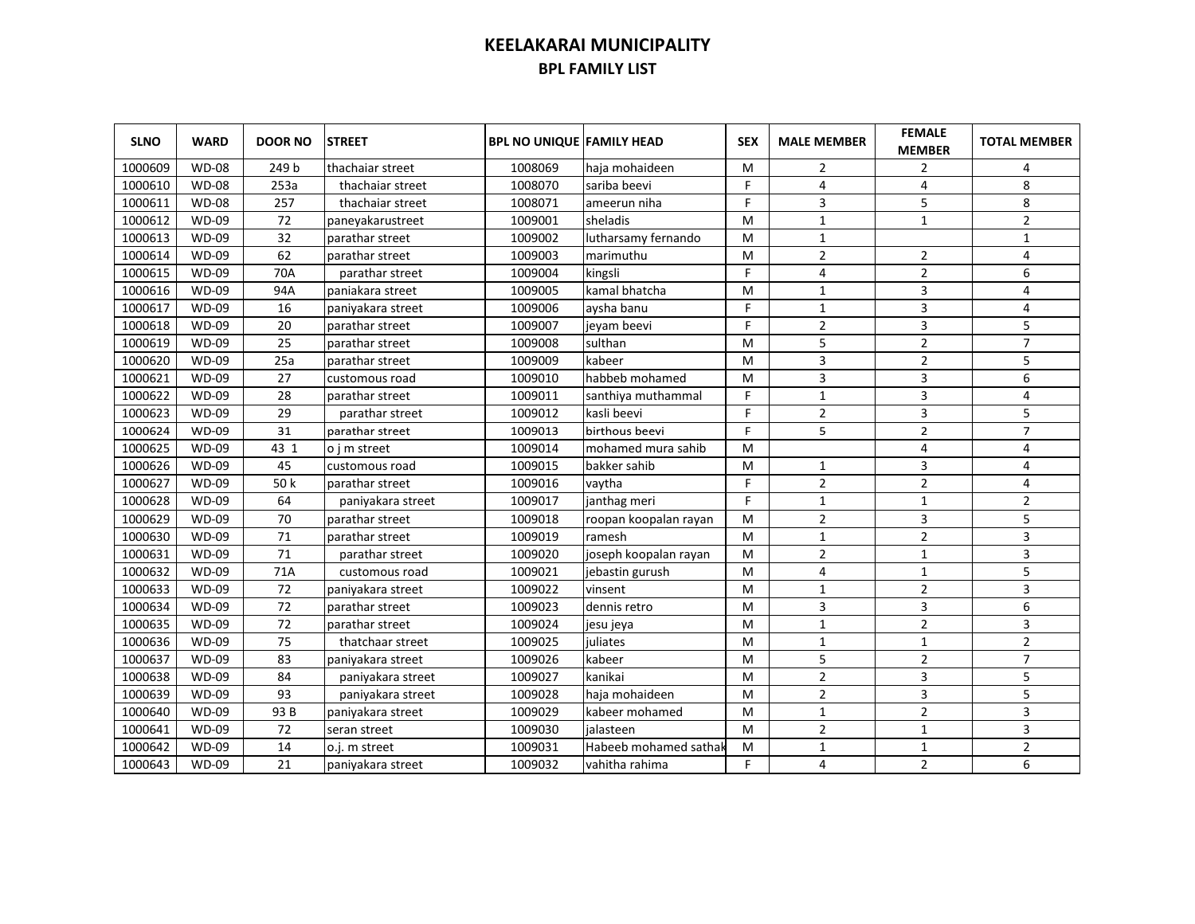| <b>SLNO</b> | <b>WARD</b>  | <b>DOOR NO</b> | <b>STREET</b>     | <b>BPL NO UNIQUE FAMILY HEAD</b> |                       | <b>SEX</b> | <b>MALE MEMBER</b> | <b>FEMALE</b><br><b>MEMBER</b> | <b>TOTAL MEMBER</b> |
|-------------|--------------|----------------|-------------------|----------------------------------|-----------------------|------------|--------------------|--------------------------------|---------------------|
| 1000609     | <b>WD-08</b> | 249 b          | thachaiar street  | 1008069                          | haja mohaideen        | М          | 2                  | 2                              | 4                   |
| 1000610     | <b>WD-08</b> | 253a           | thachaiar street  | 1008070                          | sariba beevi          | F          | 4                  | 4                              | 8                   |
| 1000611     | <b>WD-08</b> | 257            | thachaiar street  | 1008071                          | ameerun niha          | F          | 3                  | 5                              | 8                   |
| 1000612     | <b>WD-09</b> | 72             | paneyakarustreet  | 1009001                          | sheladis              | M          | $\mathbf{1}$       | $\mathbf{1}$                   | $\mathbf 2$         |
| 1000613     | <b>WD-09</b> | 32             | parathar street   | 1009002                          | lutharsamy fernando   | M          | $\mathbf{1}$       |                                | $\mathbf{1}$        |
| 1000614     | WD-09        | 62             | parathar street   | 1009003                          | marimuthu             | M          | $\overline{2}$     | $\overline{2}$                 | 4                   |
| 1000615     | <b>WD-09</b> | 70A            | parathar street   | 1009004                          | kingsli               | F          | 4                  | $\overline{2}$                 | 6                   |
| 1000616     | <b>WD-09</b> | 94A            | paniakara street  | 1009005                          | kamal bhatcha         | м          | $\mathbf{1}$       | 3                              | 4                   |
| 1000617     | <b>WD-09</b> | 16             | paniyakara street | 1009006                          | aysha banu            | F          | $\mathbf{1}$       | 3                              | 4                   |
| 1000618     | <b>WD-09</b> | 20             | parathar street   | 1009007                          | jeyam beevi           | F          | $\overline{2}$     | 3                              | 5                   |
| 1000619     | <b>WD-09</b> | 25             | parathar street   | 1009008                          | sulthan               | м          | 5                  | $\overline{2}$                 | $\overline{7}$      |
| 1000620     | <b>WD-09</b> | 25a            | parathar street   | 1009009                          | kabeer                | M          | 3                  | $\overline{2}$                 | 5                   |
| 1000621     | <b>WD-09</b> | 27             | customous road    | 1009010                          | habbeb mohamed        | M          | 3                  | 3                              | 6                   |
| 1000622     | <b>WD-09</b> | 28             | parathar street   | 1009011                          | santhiya muthammal    | F.         | $\mathbf{1}$       | 3                              | 4                   |
| 1000623     | <b>WD-09</b> | 29             | parathar street   | 1009012                          | kasli beevi           | F          | $\overline{2}$     | 3                              | 5                   |
| 1000624     | <b>WD-09</b> | 31             | parathar street   | 1009013                          | birthous beevi        | F          | 5                  | $\overline{2}$                 | $\overline{7}$      |
| 1000625     | <b>WD-09</b> | 43 1           | o i m street      | 1009014                          | mohamed mura sahib    | M          |                    | 4                              | 4                   |
| 1000626     | <b>WD-09</b> | 45             | customous road    | 1009015                          | bakker sahib          | м          | 1                  | 3                              | 4                   |
| 1000627     | <b>WD-09</b> | 50 k           | parathar street   | 1009016                          | vaytha                | F          | $\overline{2}$     | $\overline{2}$                 | 4                   |
| 1000628     | WD-09        | 64             | paniyakara street | 1009017                          | janthag meri          | F          | 1                  | $\mathbf 1$                    | $\overline{2}$      |
| 1000629     | WD-09        | 70             | parathar street   | 1009018                          | roopan koopalan rayan | M          | $\overline{2}$     | 3                              | 5                   |
| 1000630     | WD-09        | 71             | parathar street   | 1009019                          | ramesh                | м          | $\mathbf{1}$       | $\overline{2}$                 | 3                   |
| 1000631     | <b>WD-09</b> | 71             | parathar street   | 1009020                          | joseph koopalan rayan | M          | $\overline{2}$     | $\mathbf{1}$                   | 3                   |
| 1000632     | <b>WD-09</b> | 71A            | customous road    | 1009021                          | jebastin gurush       | M          | 4                  | $\mathbf{1}$                   | 5                   |
| 1000633     | <b>WD-09</b> | 72             | paniyakara street | 1009022                          | vinsent               | M          | 1                  | $\overline{2}$                 | 3                   |
| 1000634     | <b>WD-09</b> | 72             | parathar street   | 1009023                          | dennis retro          | M          | 3                  | 3                              | 6                   |
| 1000635     | <b>WD-09</b> | 72             | parathar street   | 1009024                          | jesu jeya             | M          | 1                  | $\overline{2}$                 | 3                   |
| 1000636     | <b>WD-09</b> | 75             | thatchaar street  | 1009025                          | juliates              | M          | $\mathbf{1}$       | $\mathbf{1}$                   | $\overline{2}$      |
| 1000637     | WD-09        | 83             | paniyakara street | 1009026                          | kabeer                | M          | 5                  | $\overline{2}$                 | $\overline{7}$      |
| 1000638     | WD-09        | 84             | paniyakara street | 1009027                          | kanikai               | M          | $\mathbf 2$        | 3                              | 5                   |
| 1000639     | <b>WD-09</b> | 93             | paniyakara street | 1009028                          | haja mohaideen        | M          | $\overline{2}$     | $\overline{3}$                 | 5                   |
| 1000640     | <b>WD-09</b> | 93B            | paniyakara street | 1009029                          | kabeer mohamed        | M          | 1                  | $\overline{2}$                 | 3                   |
| 1000641     | WD-09        | 72             | seran street      | 1009030                          | jalasteen             | M          | $\overline{2}$     | $\mathbf{1}$                   | 3                   |
| 1000642     | WD-09        | 14             | o.j. m street     | 1009031                          | Habeeb mohamed sathak | м          | $\mathbf{1}$       | $\mathbf{1}$                   | $\overline{2}$      |
| 1000643     | WD-09        | 21             | paniyakara street | 1009032                          | vahitha rahima        | F          | 4                  | $\overline{2}$                 | 6                   |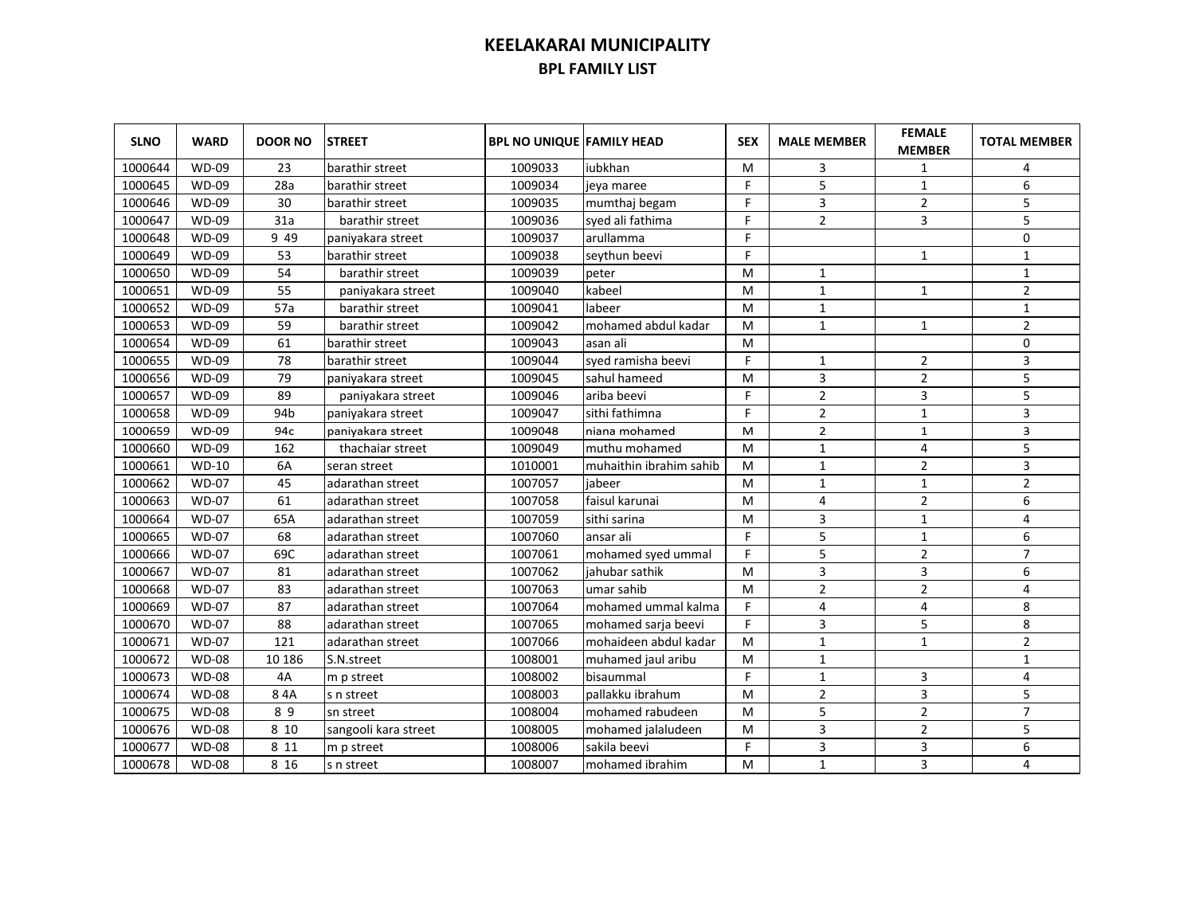| <b>SLNO</b> | <b>WARD</b>  | <b>DOOR NO</b> | <b>STREET</b>        | <b>BPL NO UNIQUE FAMILY HEAD</b> |                         | <b>SEX</b> | <b>MALE MEMBER</b> | <b>FEMALE</b><br><b>MEMBER</b> | <b>TOTAL MEMBER</b> |
|-------------|--------------|----------------|----------------------|----------------------------------|-------------------------|------------|--------------------|--------------------------------|---------------------|
| 1000644     | <b>WD-09</b> | 23             | barathir street      | 1009033                          | iubkhan                 | м          | 3                  | 1                              | 4                   |
| 1000645     | <b>WD-09</b> | 28a            | barathir street      | 1009034                          | jeya maree              | F          | 5                  | $\mathbf{1}$                   | 6                   |
| 1000646     | <b>WD-09</b> | 30             | barathir street      | 1009035                          | mumthaj begam           | F.         | 3                  | $\mathbf 2$                    | 5                   |
| 1000647     | <b>WD-09</b> | 31a            | barathir street      | 1009036                          | syed ali fathima        | F          | $\overline{2}$     | 3                              | 5                   |
| 1000648     | <b>WD-09</b> | 9 4 9          | paniyakara street    | 1009037                          | arullamma               | F.         |                    |                                | $\pmb{0}$           |
| 1000649     | <b>WD-09</b> | 53             | barathir street      | 1009038                          | seythun beevi           | F          |                    | $\mathbf 1$                    | $\mathbf 1$         |
| 1000650     | <b>WD-09</b> | 54             | barathir street      | 1009039                          | peter                   | M          | $\mathbf{1}$       |                                | $\mathbf{1}$        |
| 1000651     | <b>WD-09</b> | 55             | paniyakara street    | 1009040                          | kabeel                  | M          | $\mathbf{1}$       | $\mathbf{1}$                   | $\overline{2}$      |
| 1000652     | <b>WD-09</b> | 57a            | barathir street      | 1009041                          | labeer                  | м          | $\mathbf{1}$       |                                | $\mathbf{1}$        |
| 1000653     | <b>WD-09</b> | 59             | barathir street      | 1009042                          | mohamed abdul kadar     | М          | $\mathbf{1}$       | $\mathbf{1}$                   | $\overline{2}$      |
| 1000654     | <b>WD-09</b> | 61             | barathir street      | 1009043                          | asan ali                | M          |                    |                                | $\mathbf 0$         |
| 1000655     | <b>WD-09</b> | 78             | barathir street      | 1009044                          | syed ramisha beevi      | F.         | $\mathbf{1}$       | $\overline{2}$                 | 3                   |
| 1000656     | <b>WD-09</b> | 79             | paniyakara street    | 1009045                          | sahul hameed            | M          | 3                  | $\overline{2}$                 | 5                   |
| 1000657     | <b>WD-09</b> | 89             | paniyakara street    | 1009046                          | ariba beevi             | F.         | $\overline{2}$     | 3                              | 5                   |
| 1000658     | <b>WD-09</b> | 94b            | paniyakara street    | 1009047                          | sithi fathimna          | F.         | $\overline{2}$     | $\mathbf{1}$                   | 3                   |
| 1000659     | $WD-09$      | 94c            | paniyakara street    | 1009048                          | niana mohamed           | M          | $\overline{2}$     | $\mathbf 1$                    | 3                   |
| 1000660     | <b>WD-09</b> | 162            | thachaiar street     | 1009049                          | muthu mohamed           | м          | $\mathbf{1}$       | 4                              | 5                   |
| 1000661     | $WD-10$      | 6A             | seran street         | 1010001                          | muhaithin ibrahim sahib | м          | $\mathbf{1}$       | $\overline{2}$                 | 3                   |
| 1000662     | <b>WD-07</b> | 45             | adarathan street     | 1007057                          | iabeer                  | M          | $\mathbf{1}$       | $\mathbf{1}$                   | $\overline{2}$      |
| 1000663     | <b>WD-07</b> | 61             | adarathan street     | 1007058                          | faisul karunai          | M          | 4                  | $\overline{2}$                 | 6                   |
| 1000664     | <b>WD-07</b> | 65A            | adarathan street     | 1007059                          | sithi sarina            | M          | 3                  | $\mathbf{1}$                   | 4                   |
| 1000665     | <b>WD-07</b> | 68             | adarathan street     | 1007060                          | ansar ali               | F.         | 5                  | 1                              | 6                   |
| 1000666     | <b>WD-07</b> | 69C            | adarathan street     | 1007061                          | mohamed syed ummal      | F.         | 5                  | $\overline{2}$                 | $\overline{7}$      |
| 1000667     | <b>WD-07</b> | 81             | adarathan street     | 1007062                          | jahubar sathik          | M          | $\overline{3}$     | 3                              | 6                   |
| 1000668     | <b>WD-07</b> | 83             | adarathan street     | 1007063                          | umar sahib              | M          | $\overline{2}$     | $\overline{2}$                 | 4                   |
| 1000669     | <b>WD-07</b> | 87             | adarathan street     | 1007064                          | mohamed ummal kalma     | F.         | $\overline{4}$     | 4                              | 8                   |
| 1000670     | <b>WD-07</b> | 88             | adarathan street     | 1007065                          | mohamed sarja beevi     | F.         | 3                  | 5                              | $\,$ 8 $\,$         |
| 1000671     | <b>WD-07</b> | 121            | adarathan street     | 1007066                          | mohaideen abdul kadar   | M          | $\mathbf{1}$       | $\mathbf{1}$                   | $\overline{2}$      |
| 1000672     | <b>WD-08</b> | 10 186         | S.N.street           | 1008001                          | muhamed jaul aribu      | M          | $\mathbf{1}$       |                                | $\mathbf{1}$        |
| 1000673     | <b>WD-08</b> | 4A             | m p street           | 1008002                          | <b>bisaummal</b>        | F.         | $\mathbf{1}$       | 3                              | 4                   |
| 1000674     | <b>WD-08</b> | 84A            | s n street           | 1008003                          | pallakku ibrahum        | M          | $\overline{2}$     | 3                              | 5                   |
| 1000675     | <b>WD-08</b> | 89             | sn street            | 1008004                          | mohamed rabudeen        | M          | 5                  | $\overline{2}$                 | $\overline{7}$      |
| 1000676     | <b>WD-08</b> | 8 10           | sangooli kara street | 1008005                          | mohamed jalaludeen      | M          | 3                  | $\overline{2}$                 | 5                   |
| 1000677     | <b>WD-08</b> | 8 1 1          | m p street           | 1008006                          | sakila beevi            | F          | 3                  | 3                              | 6                   |
| 1000678     | <b>WD-08</b> | 8 1 6          | s n street           | 1008007                          | mohamed ibrahim         | M          | $\mathbf{1}$       | 3                              | 4                   |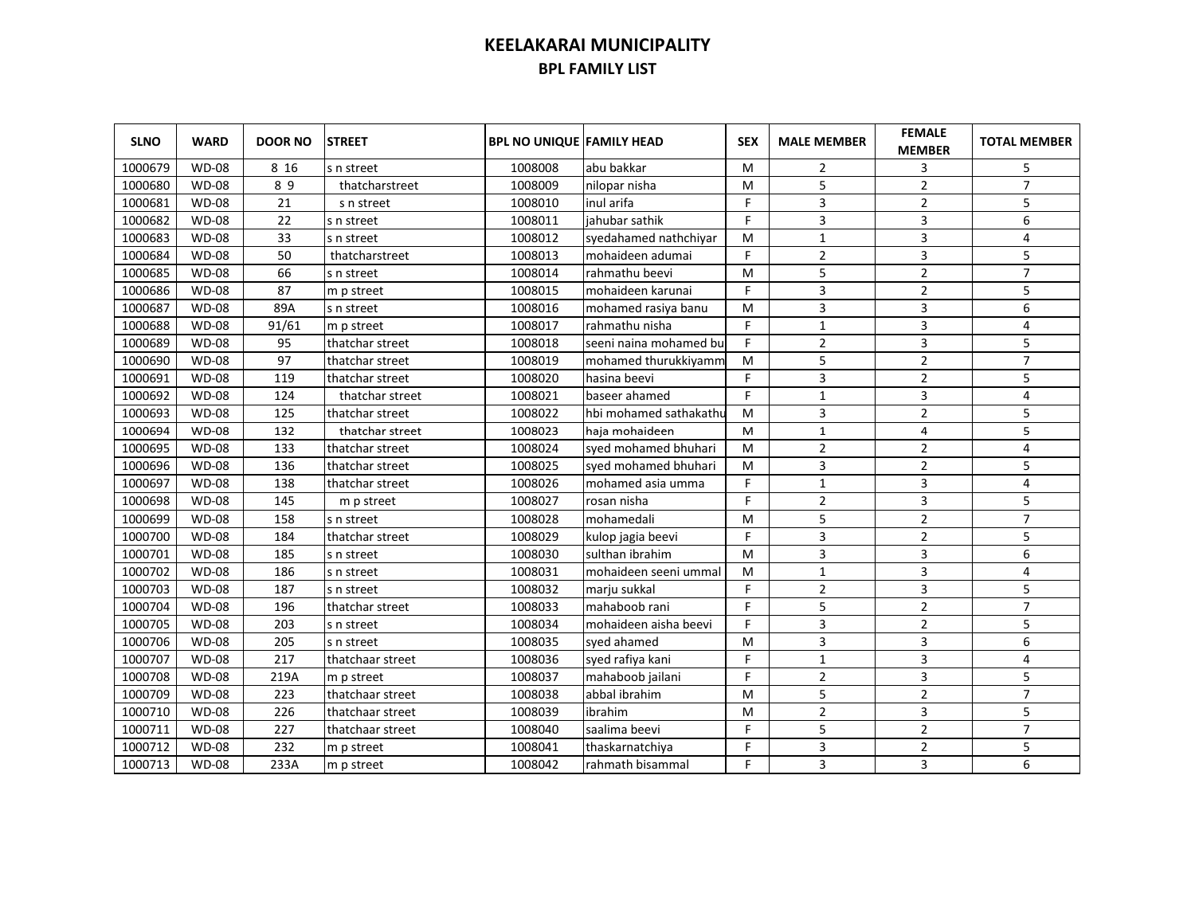| <b>SLNO</b> | <b>WARD</b>  | <b>DOOR NO</b> | <b>STREET</b>    | <b>BPL NO UNIQUE FAMILY HEAD</b> |                        | <b>SEX</b> | <b>MALE MEMBER</b> | <b>FEMALE</b><br><b>MEMBER</b> | <b>TOTAL MEMBER</b>     |
|-------------|--------------|----------------|------------------|----------------------------------|------------------------|------------|--------------------|--------------------------------|-------------------------|
| 1000679     | <b>WD-08</b> | 8 1 6          | s n street       | 1008008                          | abu bakkar             | м          | 2                  | 3                              | 5                       |
| 1000680     | <b>WD-08</b> | 89             | thatcharstreet   | 1008009                          | nilopar nisha          | м          | 5                  | $\overline{2}$                 | $\overline{7}$          |
| 1000681     | <b>WD-08</b> | 21             | s n street       | 1008010                          | inul arifa             | F.         | 3                  | $\overline{2}$                 | 5                       |
| 1000682     | <b>WD-08</b> | 22             | s n street       | 1008011                          | jahubar sathik         | F          | 3                  | 3                              | 6                       |
| 1000683     | <b>WD-08</b> | 33             | s n street       | 1008012                          | syedahamed nathchiyar  | M          | $\mathbf{1}$       | 3                              | $\overline{\mathbf{4}}$ |
| 1000684     | <b>WD-08</b> | 50             | thatcharstreet   | 1008013                          | mohaideen adumai       | F.         | $\overline{2}$     | 3                              | 5                       |
| 1000685     | <b>WD-08</b> | 66             | s n street       | 1008014                          | rahmathu beevi         | M          | 5                  | $\overline{2}$                 | $\overline{7}$          |
| 1000686     | <b>WD-08</b> | 87             | m p street       | 1008015                          | mohaideen karunai      | F.         | 3                  | $\overline{2}$                 | 5                       |
| 1000687     | <b>WD-08</b> | 89A            | s n street       | 1008016                          | mohamed rasiya banu    | М          | $\overline{3}$     | 3                              | 6                       |
| 1000688     | <b>WD-08</b> | 91/61          | m p street       | 1008017                          | rahmathu nisha         | F.         | $\mathbf{1}$       | 3                              | 4                       |
| 1000689     | <b>WD-08</b> | 95             | thatchar street  | 1008018                          | seeni naina mohamed bu | F.         | $\overline{2}$     | 3                              | 5                       |
| 1000690     | <b>WD-08</b> | 97             | thatchar street  | 1008019                          | mohamed thurukkiyamm   | M          | 5                  | $\overline{2}$                 | $\overline{7}$          |
| 1000691     | <b>WD-08</b> | 119            | thatchar street  | 1008020                          | hasina beevi           | F          | 3                  | $\overline{2}$                 | 5                       |
| 1000692     | <b>WD-08</b> | 124            | thatchar street  | 1008021                          | baseer ahamed          | F.         | $\mathbf{1}$       | 3                              | 4                       |
| 1000693     | <b>WD-08</b> | 125            | thatchar street  | 1008022                          | hbi mohamed sathakathu | м          | 3                  | $\overline{2}$                 | 5                       |
| 1000694     | <b>WD-08</b> | 132            | thatchar street  | 1008023                          | haja mohaideen         | M          | $\mathbf 1$        | 4                              | 5                       |
| 1000695     | <b>WD-08</b> | 133            | thatchar street  | 1008024                          | syed mohamed bhuhari   | M          | $\overline{2}$     | $\overline{2}$                 | 4                       |
| 1000696     | <b>WD-08</b> | 136            | thatchar street  | 1008025                          | syed mohamed bhuhari   | M          | 3                  | $\overline{2}$                 | 5                       |
| 1000697     | <b>WD-08</b> | 138            | thatchar street  | 1008026                          | mohamed asia umma      | F.         | $\mathbf{1}$       | 3                              | 4                       |
| 1000698     | <b>WD-08</b> | 145            | m p street       | 1008027                          | rosan nisha            | F.         | $\overline{2}$     | 3                              | 5                       |
| 1000699     | <b>WD-08</b> | 158            | s n street       | 1008028                          | Imohamedali            | M          | 5                  | $\overline{2}$                 | $\overline{7}$          |
| 1000700     | <b>WD-08</b> | 184            | thatchar street  | 1008029                          | kulop jagia beevi      | F.         | 3                  | $\overline{2}$                 | 5                       |
| 1000701     | <b>WD-08</b> | 185            | s n street       | 1008030                          | sulthan ibrahim        | M          | $\overline{3}$     | 3                              | 6                       |
| 1000702     | <b>WD-08</b> | 186            | s n street       | 1008031                          | mohaideen seeni ummal  | M          | $\mathbf{1}$       | 3                              | 4                       |
| 1000703     | <b>WD-08</b> | 187            | s n street       | 1008032                          | marju sukkal           | F          | $\overline{2}$     | 3                              | 5                       |
| 1000704     | <b>WD-08</b> | 196            | thatchar street  | 1008033                          | mahaboob rani          | F          | 5                  | $\overline{2}$                 | $\overline{7}$          |
| 1000705     | <b>WD-08</b> | 203            | s n street       | 1008034                          | mohaideen aisha beevi  | F          | $\overline{3}$     | $\overline{2}$                 | 5                       |
| 1000706     | <b>WD-08</b> | 205            | s n street       | 1008035                          | syed ahamed            | M          | 3                  | 3                              | 6                       |
| 1000707     | <b>WD-08</b> | 217            | thatchaar street | 1008036                          | syed rafiya kani       | F.         | $\mathbf{1}$       | 3                              | 4                       |
| 1000708     | <b>WD-08</b> | 219A           | m p street       | 1008037                          | mahaboob jailani       | F.         | $\overline{2}$     | 3                              | 5                       |
| 1000709     | <b>WD-08</b> | 223            | thatchaar street | 1008038                          | abbal ibrahim          | M          | 5                  | $\overline{2}$                 | $\overline{7}$          |
| 1000710     | <b>WD-08</b> | 226            | thatchaar street | 1008039                          | ibrahim                | M          | $\overline{2}$     | 3                              | 5                       |
| 1000711     | <b>WD-08</b> | 227            | thatchaar street | 1008040                          | saalima beevi          | F          | 5                  | $\overline{2}$                 | $\overline{7}$          |
| 1000712     | <b>WD-08</b> | 232            | m p street       | 1008041                          | thaskarnatchiya        | F          | 3                  | $\overline{2}$                 | 5                       |
| 1000713     | <b>WD-08</b> | 233A           | m p street       | 1008042                          | rahmath bisammal       | F.         | 3                  | 3                              | 6                       |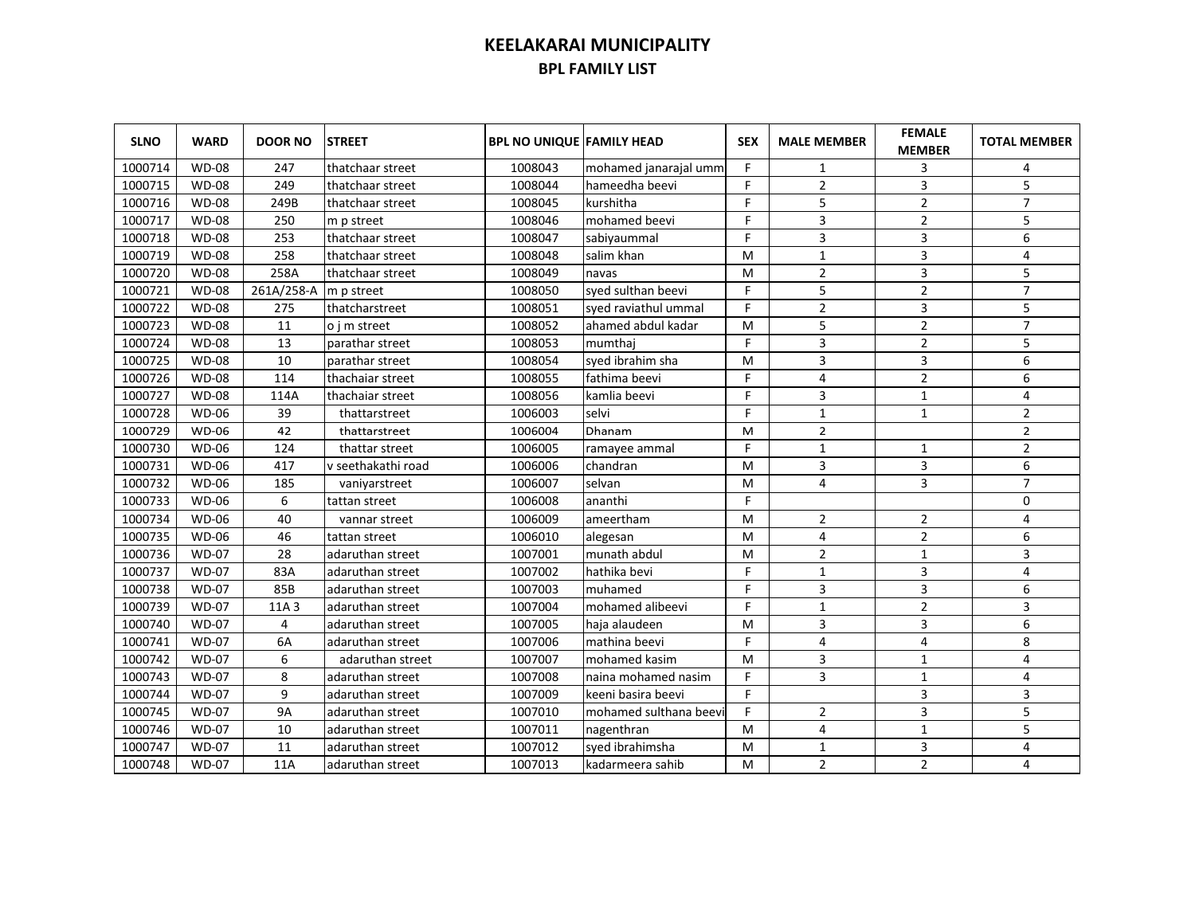| <b>SLNO</b> | <b>WARD</b>  | <b>DOOR NO</b> | <b>STREET</b>      | <b>BPL NO UNIQUE FAMILY HEAD</b> |                        | <b>SEX</b> | <b>MALE MEMBER</b> | <b>FEMALE</b><br><b>MEMBER</b> | <b>TOTAL MEMBER</b> |
|-------------|--------------|----------------|--------------------|----------------------------------|------------------------|------------|--------------------|--------------------------------|---------------------|
| 1000714     | <b>WD-08</b> | 247            | thatchaar street   | 1008043                          | mohamed janarajal umm  | F          | 1                  | 3                              | 4                   |
| 1000715     | <b>WD-08</b> | 249            | thatchaar street   | 1008044                          | hameedha beevi         | F          | $\overline{2}$     | 3                              | 5                   |
| 1000716     | <b>WD-08</b> | 249B           | thatchaar street   | 1008045                          | kurshitha              | F.         | 5                  | $\overline{2}$                 | $\overline{7}$      |
| 1000717     | <b>WD-08</b> | 250            | m p street         | 1008046                          | mohamed beevi          | F          | 3                  | $\overline{2}$                 | 5                   |
| 1000718     | <b>WD-08</b> | 253            | thatchaar street   | 1008047                          | sabiyaummal            | F          | 3                  | 3                              | 6                   |
| 1000719     | <b>WD-08</b> | 258            | thatchaar street   | 1008048                          | salim khan             | м          | $\mathbf{1}$       | 3                              | $\overline{4}$      |
| 1000720     | <b>WD-08</b> | 258A           | thatchaar street   | 1008049                          | navas                  | м          | $\overline{2}$     | 3                              | 5                   |
| 1000721     | <b>WD-08</b> | 261A/258-A     | m p street         | 1008050                          | syed sulthan beevi     | F          | 5                  | $\overline{2}$                 | $\overline{7}$      |
| 1000722     | <b>WD-08</b> | 275            | thatcharstreet     | 1008051                          | syed raviathul ummal   | F          | $\overline{2}$     | 3                              | 5                   |
| 1000723     | <b>WD-08</b> | 11             | o i m street       | 1008052                          | ahamed abdul kadar     | M          | 5                  | $\overline{2}$                 | $\overline{7}$      |
| 1000724     | <b>WD-08</b> | 13             | parathar street    | 1008053                          | mumthai                | F.         | 3                  | $\overline{2}$                 | 5                   |
| 1000725     | <b>WD-08</b> | 10             | parathar street    | 1008054                          | syed ibrahim sha       | M          | 3                  | 3                              | 6                   |
| 1000726     | <b>WD-08</b> | 114            | thachaiar street   | 1008055                          | fathima beevi          | F.         | 4                  | $\overline{2}$                 | 6                   |
| 1000727     | <b>WD-08</b> | 114A           | thachaiar street   | 1008056                          | kamlia beevi           | F          | 3                  | $\mathbf{1}$                   | 4                   |
| 1000728     | <b>WD-06</b> | 39             | thattarstreet      | 1006003                          | selvi                  | F          | $\mathbf{1}$       | $\mathbf{1}$                   | $\overline{2}$      |
| 1000729     | <b>WD-06</b> | 42             | thattarstreet      | 1006004                          | Dhanam                 | M          | $\overline{2}$     |                                | $\overline{2}$      |
| 1000730     | <b>WD-06</b> | 124            | thattar street     | 1006005                          | ramayee ammal          | F          | $\mathbf{1}$       | $\mathbf{1}$                   | $\overline{2}$      |
| 1000731     | <b>WD-06</b> | 417            | v seethakathi road | 1006006                          | chandran               | M          | 3                  | 3                              | 6                   |
| 1000732     | <b>WD-06</b> | 185            | vaniyarstreet      | 1006007                          | selvan                 | M          | 4                  | 3                              | $\overline{7}$      |
| 1000733     | <b>WD-06</b> | 6              | tattan street      | 1006008                          | ananthi                | F          |                    |                                | 0                   |
| 1000734     | <b>WD-06</b> | 40             | vannar street      | 1006009                          | ameertham              | M          | $\overline{2}$     | 2                              | 4                   |
| 1000735     | <b>WD-06</b> | 46             | tattan street      | 1006010                          | alegesan               | M          | 4                  | $\overline{2}$                 | 6                   |
| 1000736     | <b>WD-07</b> | 28             | adaruthan street   | 1007001                          | munath abdul           | M          | $\overline{2}$     | $\mathbf{1}$                   | 3                   |
| 1000737     | <b>WD-07</b> | 83A            | adaruthan street   | 1007002                          | hathika bevi           | F          | $\mathbf{1}$       | 3                              | 4                   |
| 1000738     | <b>WD-07</b> | 85B            | adaruthan street   | 1007003                          | muhamed                | F          | 3                  | 3                              | 6                   |
| 1000739     | <b>WD-07</b> | 11A 3          | adaruthan street   | 1007004                          | mohamed alibeevi       | F          | $\mathbf{1}$       | $\overline{2}$                 | 3                   |
| 1000740     | <b>WD-07</b> | 4              | adaruthan street   | 1007005                          | haja alaudeen          | M          | 3                  | 3                              | 6                   |
| 1000741     | <b>WD-07</b> | 6A             | adaruthan street   | 1007006                          | Imathina beevi         | F          | $\overline{4}$     | 4                              | 8                   |
| 1000742     | <b>WD-07</b> | 6              | adaruthan street   | 1007007                          | mohamed kasim          | M          | 3                  | $\mathbf{1}$                   | 4                   |
| 1000743     | <b>WD-07</b> | 8              | adaruthan street   | 1007008                          | naina mohamed nasim    | F          | 3                  | $\mathbf{1}$                   | 4                   |
| 1000744     | <b>WD-07</b> | 9              | adaruthan street   | 1007009                          | keeni basira beevi     | F          |                    | 3                              | 3                   |
| 1000745     | <b>WD-07</b> | <b>9A</b>      | adaruthan street   | 1007010                          | mohamed sulthana beevi | F          | $\overline{2}$     | 3                              | 5                   |
| 1000746     | <b>WD-07</b> | 10             | adaruthan street   | 1007011                          | nagenthran             | M          | 4                  | $\mathbf{1}$                   | 5                   |
| 1000747     | <b>WD-07</b> | 11             | adaruthan street   | 1007012                          | syed ibrahimsha        | M          | $\mathbf{1}$       | 3                              | 4                   |
| 1000748     | <b>WD-07</b> | 11A            | adaruthan street   | 1007013                          | kadarmeera sahib       | M          | $\overline{2}$     | $\overline{2}$                 | 4                   |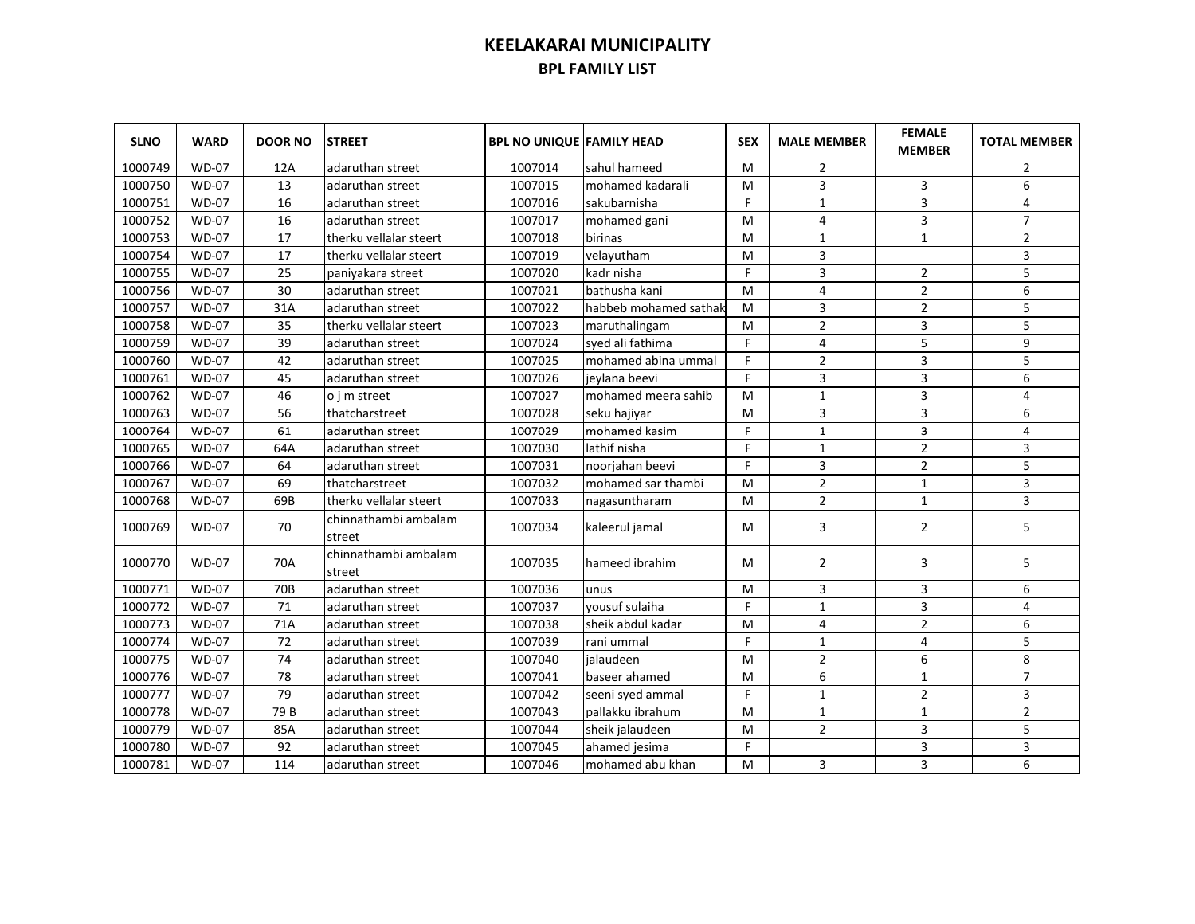| <b>SLNO</b> | <b>WARD</b>  | <b>DOOR NO</b> | <b>STREET</b>                  | <b>BPL NO UNIQUE FAMILY HEAD</b> |                       | <b>SEX</b> | <b>MALE MEMBER</b> | <b>FEMALE</b><br><b>MEMBER</b> | <b>TOTAL MEMBER</b> |
|-------------|--------------|----------------|--------------------------------|----------------------------------|-----------------------|------------|--------------------|--------------------------------|---------------------|
| 1000749     | <b>WD-07</b> | 12A            | adaruthan street               | 1007014                          | sahul hameed          | м          | 2                  |                                | 2                   |
| 1000750     | <b>WD-07</b> | 13             | adaruthan street               | 1007015                          | mohamed kadarali      | м          | 3                  | 3                              | 6                   |
| 1000751     | <b>WD-07</b> | 16             | adaruthan street               | 1007016                          | sakubarnisha          | F          | $\mathbf{1}$       | 3                              | 4                   |
| 1000752     | <b>WD-07</b> | 16             | adaruthan street               | 1007017                          | mohamed gani          | M          | 4                  | 3                              | $\overline{7}$      |
| 1000753     | <b>WD-07</b> | 17             | therku vellalar steert         | 1007018                          | birinas               | M          | $\mathbf{1}$       | $\mathbf 1$                    | $\overline{2}$      |
| 1000754     | <b>WD-07</b> | 17             | therku vellalar steert         | 1007019                          | velayutham            | M          | 3                  |                                | 3                   |
| 1000755     | <b>WD-07</b> | 25             | paniyakara street              | 1007020                          | kadr nisha            | F.         | 3                  | $\overline{2}$                 | 5                   |
| 1000756     | <b>WD-07</b> | 30             | adaruthan street               | 1007021                          | bathusha kani         | M          | 4                  | $\overline{2}$                 | 6                   |
| 1000757     | $WD-07$      | 31A            | adaruthan street               | 1007022                          | habbeb mohamed sathak | M          | 3                  | $\overline{2}$                 | 5                   |
| 1000758     | <b>WD-07</b> | 35             | therku vellalar steert         | 1007023                          | maruthalingam         | M          | $\overline{2}$     | 3                              | 5                   |
| 1000759     | <b>WD-07</b> | 39             | adaruthan street               | 1007024                          | syed ali fathima      | F          | 4                  | 5                              | 9                   |
| 1000760     | <b>WD-07</b> | 42             | adaruthan street               | 1007025                          | mohamed abina ummal   | F.         | $\overline{2}$     | 3                              | 5                   |
| 1000761     | <b>WD-07</b> | 45             | adaruthan street               | 1007026                          | jeylana beevi         | F          | 3                  | 3                              | 6                   |
| 1000762     | <b>WD-07</b> | 46             | o j m street                   | 1007027                          | mohamed meera sahib   | м          | 1                  | 3                              | 4                   |
| 1000763     | <b>WD-07</b> | 56             | thatcharstreet                 | 1007028                          | seku hajiyar          | M          | 3                  | 3                              | 6                   |
| 1000764     | <b>WD-07</b> | 61             | adaruthan street               | 1007029                          | mohamed kasim         | F.         | $\mathbf{1}$       | 3                              | 4                   |
| 1000765     | <b>WD-07</b> | 64A            | adaruthan street               | 1007030                          | lathif nisha          | F          | $\mathbf{1}$       | $\overline{2}$                 | 3                   |
| 1000766     | <b>WD-07</b> | 64             | adaruthan street               | 1007031                          | noorjahan beevi       | F          | 3                  | $\overline{2}$                 | 5                   |
| 1000767     | <b>WD-07</b> | 69             | thatcharstreet                 | 1007032                          | mohamed sar thambi    | M          | $\overline{2}$     | $\mathbf{1}$                   | 3                   |
| 1000768     | <b>WD-07</b> | 69B            | therku vellalar steert         | 1007033                          | nagasuntharam         | M          | $\overline{2}$     | $\mathbf{1}$                   | 3                   |
| 1000769     | <b>WD-07</b> | 70             | chinnathambi ambalam<br>street | 1007034                          | kaleerul jamal        | м          | 3                  | $\overline{2}$                 | 5                   |
| 1000770     | <b>WD-07</b> | 70A            | chinnathambi ambalam<br>street | 1007035                          | hameed ibrahim        | м          | $\overline{2}$     | 3                              | 5                   |
| 1000771     | <b>WD-07</b> | 70B            | adaruthan street               | 1007036                          | unus                  | M          | 3                  | 3                              | 6                   |
| 1000772     | <b>WD-07</b> | 71             | adaruthan street               | 1007037                          | yousuf sulaiha        | F          | $\mathbf{1}$       | $\overline{3}$                 | 4                   |
| 1000773     | <b>WD-07</b> | 71A            | adaruthan street               | 1007038                          | sheik abdul kadar     | M          | 4                  | $\overline{2}$                 | 6                   |
| 1000774     | <b>WD-07</b> | 72             | adaruthan street               | 1007039                          | rani ummal            | F          | $\mathbf{1}$       | 4                              | 5                   |
| 1000775     | <b>WD-07</b> | 74             | adaruthan street               | 1007040                          | jalaudeen             | M          | $\overline{2}$     | 6                              | 8                   |
| 1000776     | <b>WD-07</b> | 78             | adaruthan street               | 1007041                          | baseer ahamed         | M          | 6                  | $\mathbf{1}$                   | $\overline{7}$      |
| 1000777     | <b>WD-07</b> | 79             | adaruthan street               | 1007042                          | seeni syed ammal      | F          | $\mathbf{1}$       | $\overline{2}$                 | 3                   |
| 1000778     | <b>WD-07</b> | 79B            | adaruthan street               | 1007043                          | pallakku ibrahum      | M          | 1                  | $\mathbf{1}$                   | $\overline{2}$      |
| 1000779     | <b>WD-07</b> | 85A            | adaruthan street               | 1007044                          | sheik jalaudeen       | M          | $\overline{2}$     | 3                              | 5                   |
| 1000780     | <b>WD-07</b> | 92             | adaruthan street               | 1007045                          | ahamed jesima         | F          |                    | 3                              | 3                   |
| 1000781     | <b>WD-07</b> | 114            | adaruthan street               | 1007046                          | mohamed abu khan      | M          | 3                  | 3                              | 6                   |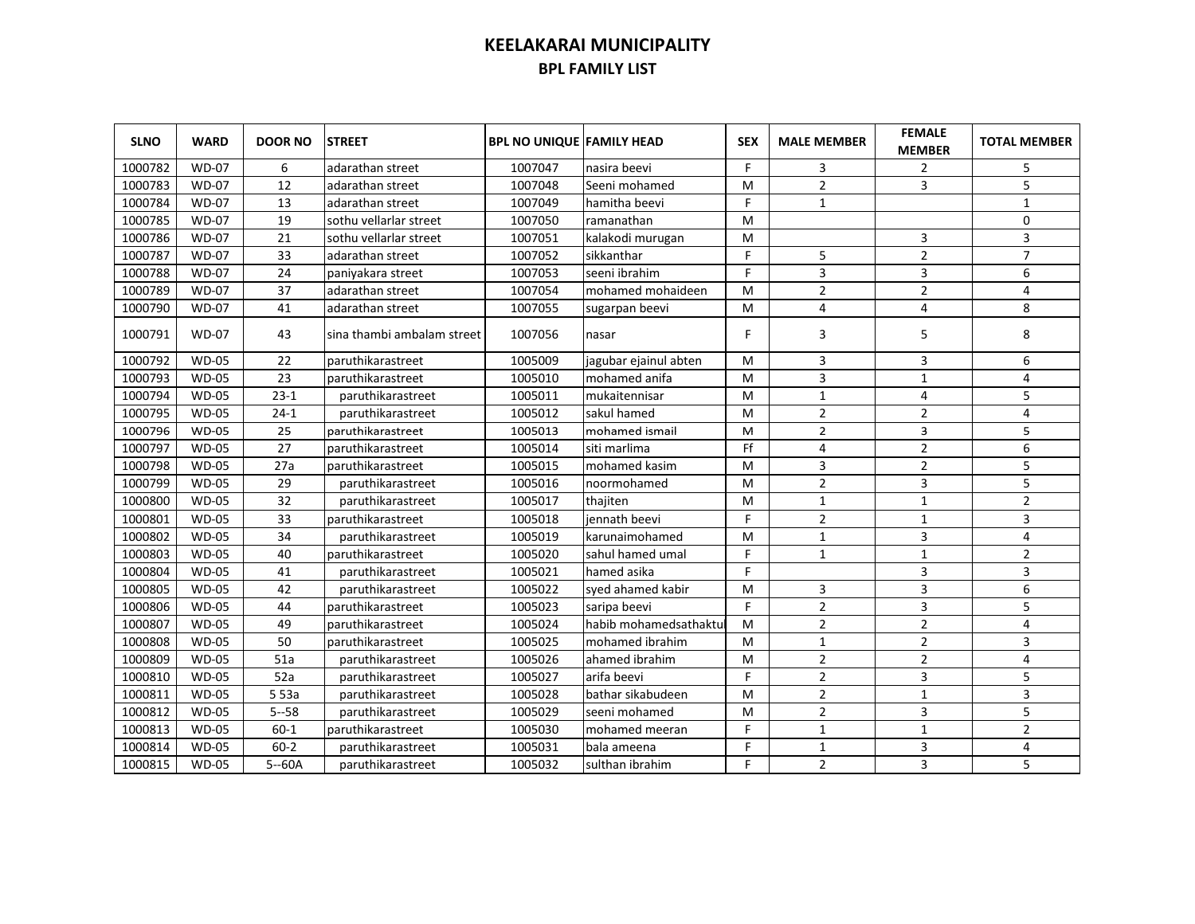| <b>SLNO</b> | <b>WARD</b>  | <b>DOOR NO</b> | <b>STREET</b>              | <b>BPL NO UNIQUE FAMILY HEAD</b> |                       | <b>SEX</b> | <b>MALE MEMBER</b> | <b>FEMALE</b><br><b>MEMBER</b> | <b>TOTAL MEMBER</b> |
|-------------|--------------|----------------|----------------------------|----------------------------------|-----------------------|------------|--------------------|--------------------------------|---------------------|
| 1000782     | <b>WD-07</b> | 6              | adarathan street           | 1007047                          | nasira beevi          | F.         | 3                  | $\overline{2}$                 | 5                   |
| 1000783     | <b>WD-07</b> | 12             | adarathan street           | 1007048                          | Seeni mohamed         | M          | $\overline{2}$     | 3                              | 5                   |
| 1000784     | <b>WD-07</b> | 13             | adarathan street           | 1007049                          | hamitha beevi         | F.         | $\mathbf{1}$       |                                | $\mathbf{1}$        |
| 1000785     | <b>WD-07</b> | 19             | sothu vellarlar street     | 1007050                          | ramanathan            | M          |                    |                                | $\mathbf 0$         |
| 1000786     | <b>WD-07</b> | 21             | sothu vellarlar street     | 1007051                          | kalakodi murugan      | м          |                    | 3                              | 3                   |
| 1000787     | <b>WD-07</b> | 33             | adarathan street           | 1007052                          | sikkanthar            | F.         | 5                  | $\overline{2}$                 | $\overline{7}$      |
| 1000788     | <b>WD-07</b> | 24             | paniyakara street          | 1007053                          | seeni ibrahim         | F.         | $\overline{3}$     | 3                              | 6                   |
| 1000789     | <b>WD-07</b> | 37             | adarathan street           | 1007054                          | mohamed mohaideen     | м          | $\overline{2}$     | $\overline{2}$                 | 4                   |
| 1000790     | <b>WD-07</b> | 41             | adarathan street           | 1007055                          | sugarpan beevi        | м          | $\overline{4}$     | 4                              | 8                   |
| 1000791     | <b>WD-07</b> | 43             | sina thambi ambalam street | 1007056                          | nasar                 | F.         | 3                  | 5                              | 8                   |
| 1000792     | <b>WD-05</b> | 22             | paruthikarastreet          | 1005009                          | jagubar ejainul abten | м          | 3                  | 3                              | 6                   |
| 1000793     | <b>WD-05</b> | 23             | paruthikarastreet          | 1005010                          | mohamed anifa         | м          | 3                  | 1                              | 4                   |
| 1000794     | <b>WD-05</b> | $23-1$         | paruthikarastreet          | 1005011                          | mukaitennisar         | м          | $\mathbf{1}$       | 4                              | 5                   |
| 1000795     | <b>WD-05</b> | $24-1$         | paruthikarastreet          | 1005012                          | sakul hamed           | M          | $\overline{2}$     | $\overline{2}$                 | 4                   |
| 1000796     | $WD-05$      | 25             | paruthikarastreet          | 1005013                          | mohamed ismail        | M          | $\overline{2}$     | 3                              | 5                   |
| 1000797     | <b>WD-05</b> | 27             | paruthikarastreet          | 1005014                          | siti marlima          | Ff         | 4                  | $\overline{2}$                 | 6                   |
| 1000798     | <b>WD-05</b> | 27a            | paruthikarastreet          | 1005015                          | mohamed kasim         | M          | 3                  | $\overline{2}$                 | 5                   |
| 1000799     | <b>WD-05</b> | 29             | paruthikarastreet          | 1005016                          | noormohamed           | M          | $\overline{2}$     | 3                              | 5                   |
| 1000800     | <b>WD-05</b> | 32             | paruthikarastreet          | 1005017                          | thajiten              | м          | 1                  | 1                              | $\overline{2}$      |
| 1000801     | <b>WD-05</b> | 33             | paruthikarastreet          | 1005018                          | iennath beevi         | F          | $\overline{2}$     | $\mathbf{1}$                   | 3                   |
| 1000802     | <b>WD-05</b> | 34             | paruthikarastreet          | 1005019                          | karunaimohamed        | м          | $\mathbf{1}$       | 3                              | 4                   |
| 1000803     | <b>WD-05</b> | 40             | paruthikarastreet          | 1005020                          | sahul hamed umal      | F          | $\mathbf{1}$       | $\mathbf{1}$                   | $\overline{2}$      |
| 1000804     | <b>WD-05</b> | 41             | paruthikarastreet          | 1005021                          | hamed asika           | F          |                    | 3                              | 3                   |
| 1000805     | <b>WD-05</b> | 42             | paruthikarastreet          | 1005022                          | syed ahamed kabir     | M          | 3                  | 3                              | 6                   |
| 1000806     | <b>WD-05</b> | 44             | paruthikarastreet          | 1005023                          | saripa beevi          | F.         | $\overline{2}$     | 3                              | 5                   |
| 1000807     | <b>WD-05</b> | 49             | paruthikarastreet          | 1005024                          | habib mohamedsathaktu | M          | $\overline{2}$     | $\overline{2}$                 | 4                   |
| 1000808     | <b>WD-05</b> | 50             | paruthikarastreet          | 1005025                          | mohamed ibrahim       | M          | $\mathbf{1}$       | $\overline{2}$                 | 3                   |
| 1000809     | <b>WD-05</b> | 51a            | paruthikarastreet          | 1005026                          | ahamed ibrahim        | M          | $\overline{2}$     | $\overline{2}$                 | $\overline{4}$      |
| 1000810     | <b>WD-05</b> | 52a            | paruthikarastreet          | 1005027                          | arifa beevi           | F.         | $\overline{2}$     | 3                              | 5                   |
| 1000811     | <b>WD-05</b> | 5 53a          | paruthikarastreet          | 1005028                          | bathar sikabudeen     | M          | $\overline{2}$     | $\mathbf{1}$                   | 3                   |
| 1000812     | <b>WD-05</b> | $5 - 58$       | paruthikarastreet          | 1005029                          | seeni mohamed         | M          | $\overline{2}$     | 3                              | 5                   |
| 1000813     | <b>WD-05</b> | $60 - 1$       | paruthikarastreet          | 1005030                          | mohamed meeran        | F          | $\mathbf{1}$       | 1                              | $\overline{2}$      |
| 1000814     | <b>WD-05</b> | $60 - 2$       | paruthikarastreet          | 1005031                          | bala ameena           | F          | $\mathbf{1}$       | 3                              | 4                   |
| 1000815     | <b>WD-05</b> | $5 - 60A$      | paruthikarastreet          | 1005032                          | sulthan ibrahim       | F.         | $\overline{2}$     | 3                              | 5                   |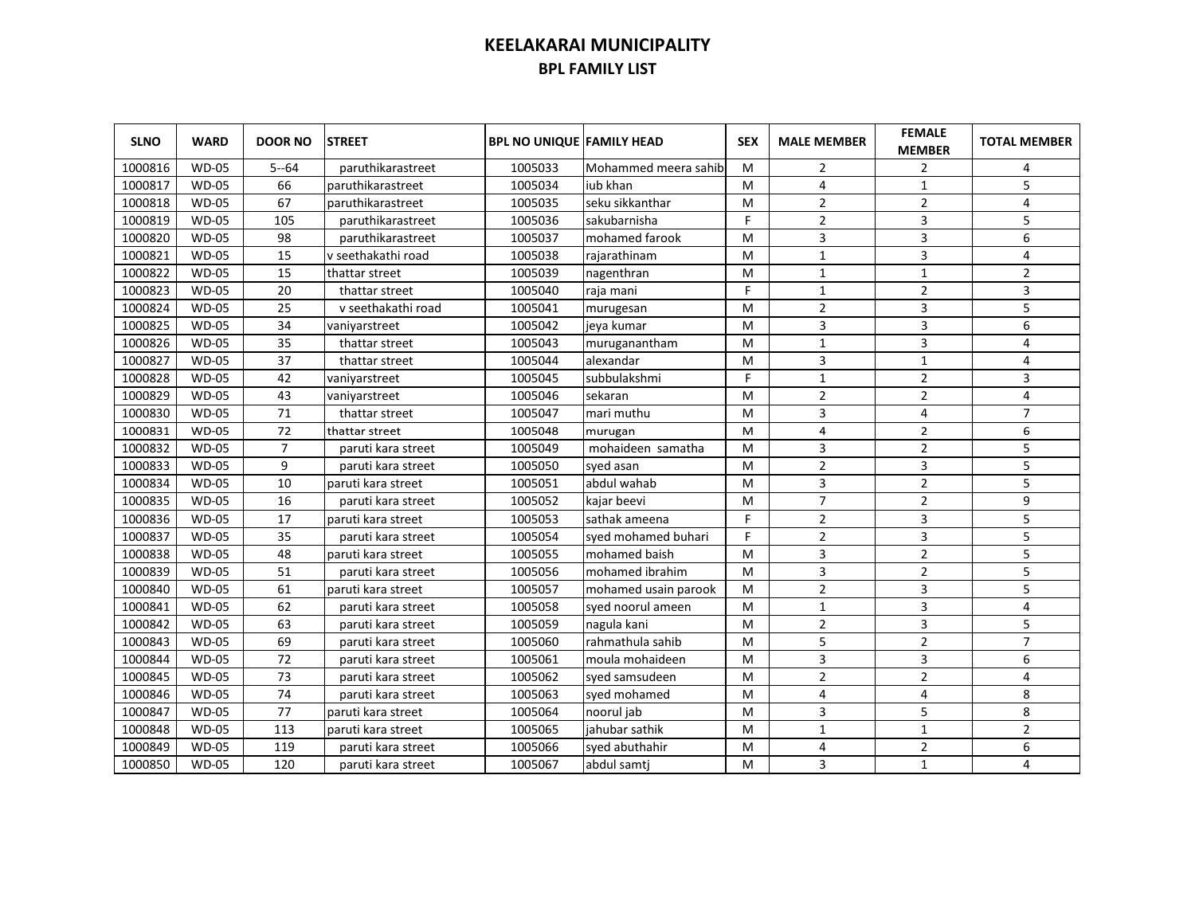| <b>SLNO</b> | <b>WARD</b>  | <b>DOOR NO</b> | <b>STREET</b>      | <b>BPL NO UNIQUE FAMILY HEAD</b> |                       | <b>SEX</b> | <b>MALE MEMBER</b> | <b>FEMALE</b><br><b>MEMBER</b> | <b>TOTAL MEMBER</b> |
|-------------|--------------|----------------|--------------------|----------------------------------|-----------------------|------------|--------------------|--------------------------------|---------------------|
| 1000816     | <b>WD-05</b> | $5 - 64$       | paruthikarastreet  | 1005033                          | Mohammed meera sahibi | M          | 2                  | 2                              | 4                   |
| 1000817     | <b>WD-05</b> | 66             | paruthikarastreet  | 1005034                          | jub khan              | м          | 4                  | 1                              | 5                   |
| 1000818     | <b>WD-05</b> | 67             | paruthikarastreet  | 1005035                          | seku sikkanthar       | м          | 2                  | 2                              | 4                   |
| 1000819     | <b>WD-05</b> | 105            | paruthikarastreet  | 1005036                          | sakubarnisha          | F          | $\overline{2}$     | 3                              | 5                   |
| 1000820     | <b>WD-05</b> | 98             | paruthikarastreet  | 1005037                          | mohamed farook        | M          | 3                  | 3                              | 6                   |
| 1000821     | <b>WD-05</b> | 15             | v seethakathi road | 1005038                          | rajarathinam          | м          | $\mathbf{1}$       | 3                              | 4                   |
| 1000822     | <b>WD-05</b> | 15             | thattar street     | 1005039                          | nagenthran            | м          | $\mathbf{1}$       | $\mathbf{1}$                   | $\overline{2}$      |
| 1000823     | <b>WD-05</b> | 20             | thattar street     | 1005040                          | raja mani             | F          | $\mathbf{1}$       | $\overline{2}$                 | 3                   |
| 1000824     | <b>WD-05</b> | 25             | v seethakathi road | 1005041                          | murugesan             | M          | $\overline{2}$     | 3                              | 5                   |
| 1000825     | <b>WD-05</b> | 34             | vaniyarstreet      | 1005042                          | jeva kumar            | м          | 3                  | 3                              | 6                   |
| 1000826     | <b>WD-05</b> | 35             | thattar street     | 1005043                          | muruganantham         | M          | $\mathbf{1}$       | 3                              | 4                   |
| 1000827     | <b>WD-05</b> | 37             | thattar street     | 1005044                          | lalexandar            | м          | 3                  | $\mathbf{1}$                   | 4                   |
| 1000828     | <b>WD-05</b> | 42             | vaniyarstreet      | 1005045                          | subbulakshmi          | F          | $\mathbf{1}$       | $\overline{2}$                 | 3                   |
| 1000829     | <b>WD-05</b> | 43             | vaniyarstreet      | 1005046                          | sekaran               | м          | $\overline{2}$     | $\overline{2}$                 | 4                   |
| 1000830     | <b>WD-05</b> | 71             | thattar street     | 1005047                          | mari muthu            | м          | 3                  | 4                              | $\overline{7}$      |
| 1000831     | <b>WD-05</b> | 72             | thattar street     | 1005048                          | murugan               | м          | 4                  | $\overline{2}$                 | 6                   |
| 1000832     | <b>WD-05</b> | $\overline{7}$ | paruti kara street | 1005049                          | mohaideen samatha     | M          | 3                  | $\overline{2}$                 | 5                   |
| 1000833     | <b>WD-05</b> | 9              | paruti kara street | 1005050                          | syed asan             | M          | $\overline{2}$     | 3                              | 5                   |
| 1000834     | <b>WD-05</b> | 10             | paruti kara street | 1005051                          | abdul wahab           | M          | 3                  | $\overline{2}$                 | 5                   |
| 1000835     | <b>WD-05</b> | 16             | paruti kara street | 1005052                          | kajar beevi           | M          | $\overline{7}$     | $\overline{2}$                 | 9                   |
| 1000836     | <b>WD-05</b> | 17             | paruti kara street | 1005053                          | sathak ameena         | F          | $\overline{2}$     | 3                              | 5                   |
| 1000837     | <b>WD-05</b> | 35             | paruti kara street | 1005054                          | syed mohamed buhari   | F          | $\overline{2}$     | 3                              | 5                   |
| 1000838     | <b>WD-05</b> | 48             | paruti kara street | 1005055                          | mohamed baish         | M          | 3                  | $\overline{2}$                 | 5                   |
| 1000839     | <b>WD-05</b> | 51             | paruti kara street | 1005056                          | mohamed ibrahim       | M          | 3                  | $\overline{2}$                 | 5                   |
| 1000840     | <b>WD-05</b> | 61             | paruti kara street | 1005057                          | mohamed usain parook  | M          | $\overline{2}$     | 3                              | 5                   |
| 1000841     | <b>WD-05</b> | 62             | paruti kara street | 1005058                          | syed noorul ameen     | M          | $\mathbf{1}$       | 3                              | 4                   |
| 1000842     | <b>WD-05</b> | 63             | paruti kara street | 1005059                          | nagula kani           | M          | $\overline{2}$     | 3                              | 5                   |
| 1000843     | <b>WD-05</b> | 69             | paruti kara street | 1005060                          | Irahmathula sahib     | M          | 5                  | $\overline{2}$                 | $\overline{7}$      |
| 1000844     | <b>WD-05</b> | 72             | paruti kara street | 1005061                          | moula mohaideen       | M          | 3                  | 3                              | 6                   |
| 1000845     | <b>WD-05</b> | 73             | paruti kara street | 1005062                          | syed samsudeen        | M          | $\overline{2}$     | $\overline{2}$                 | 4                   |
| 1000846     | <b>WD-05</b> | 74             | paruti kara street | 1005063                          | syed mohamed          | M          | 4                  | 4                              | 8                   |
| 1000847     | <b>WD-05</b> | 77             | paruti kara street | 1005064                          | noorul jab            | M          | 3                  | 5                              | 8                   |
| 1000848     | <b>WD-05</b> | 113            | paruti kara street | 1005065                          | jahubar sathik        | M          | 1                  | $\mathbf{1}$                   | $\overline{2}$      |
| 1000849     | <b>WD-05</b> | 119            | paruti kara street | 1005066                          | syed abuthahir        | M          | 4                  | $\overline{2}$                 | 6                   |
| 1000850     | <b>WD-05</b> | 120            | paruti kara street | 1005067                          | abdul samti           | м          | 3                  | 1                              | 4                   |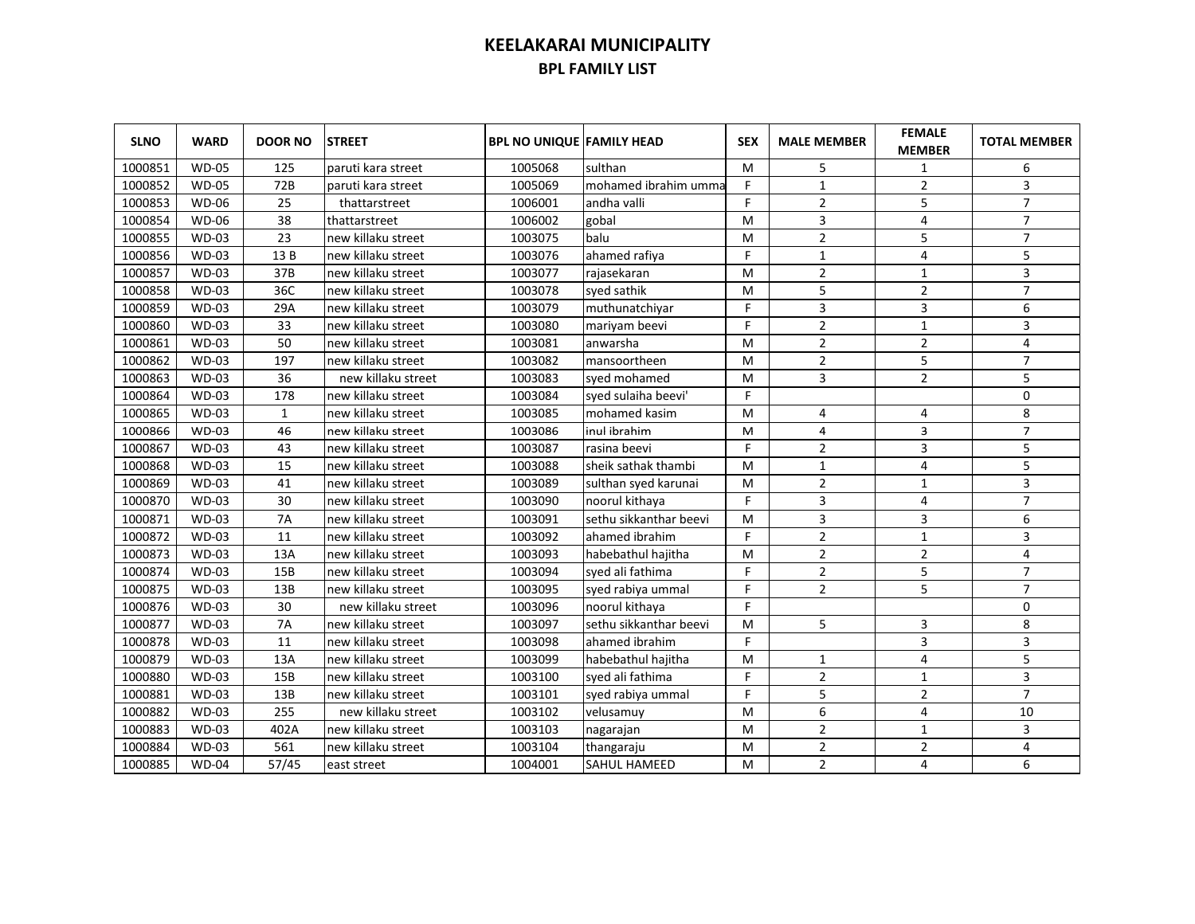| <b>SLNO</b> | <b>WARD</b>  | <b>DOOR NO</b> | <b>STREET</b>      | <b>BPL NO UNIQUE FAMILY HEAD</b> |                        | <b>SEX</b> | <b>MALE MEMBER</b> | <b>FEMALE</b><br><b>MEMBER</b> | <b>TOTAL MEMBER</b> |
|-------------|--------------|----------------|--------------------|----------------------------------|------------------------|------------|--------------------|--------------------------------|---------------------|
| 1000851     | <b>WD-05</b> | 125            | paruti kara street | 1005068                          | sulthan                | м          | 5                  | 1                              | 6                   |
| 1000852     | <b>WD-05</b> | 72B            | paruti kara street | 1005069                          | mohamed ibrahim umma   | F.         | $\mathbf{1}$       | $\overline{2}$                 | 3                   |
| 1000853     | <b>WD-06</b> | 25             | thattarstreet      | 1006001                          | andha valli            | F          | $\overline{2}$     | 5                              | $\overline{7}$      |
| 1000854     | <b>WD-06</b> | 38             | thattarstreet      | 1006002                          | gobal                  | M          | 3                  | 4                              | $\overline{7}$      |
| 1000855     | <b>WD-03</b> | 23             | new killaku street | 1003075                          | balu                   | M          | $\overline{2}$     | 5                              | $\overline{7}$      |
| 1000856     | <b>WD-03</b> | 13B            | new killaku street | 1003076                          | ahamed rafiya          | F          | $\mathbf{1}$       | 4                              | 5                   |
| 1000857     | <b>WD-03</b> | 37B            | new killaku street | 1003077                          | rajasekaran            | м          | $\overline{2}$     | $\mathbf{1}$                   | 3                   |
| 1000858     | <b>WD-03</b> | 36C            | new killaku street | 1003078                          | syed sathik            | м          | 5                  | $\overline{2}$                 | $\overline{7}$      |
| 1000859     | <b>WD-03</b> | 29A            | new killaku street | 1003079                          | muthunatchivar         | F          | 3                  | 3                              | 6                   |
| 1000860     | <b>WD-03</b> | 33             | new killaku street | 1003080                          | mariyam beevi          | F          | $\overline{2}$     | $\mathbf{1}$                   | 3                   |
| 1000861     | <b>WD-03</b> | 50             | new killaku street | 1003081                          | lanwarsha              | M          | $\overline{2}$     | $\overline{2}$                 | 4                   |
| 1000862     | <b>WD-03</b> | 197            | new killaku street | 1003082                          | mansoortheen           | м          | $\overline{2}$     | 5                              | $\overline{7}$      |
| 1000863     | <b>WD-03</b> | 36             | new killaku street | 1003083                          | syed mohamed           | M          | 3                  | $\overline{2}$                 | 5                   |
| 1000864     | <b>WD-03</b> | 178            | new killaku street | 1003084                          | syed sulaiha beevi'    | F          |                    |                                | $\mathbf 0$         |
| 1000865     | <b>WD-03</b> | $\mathbf{1}$   | new killaku street | 1003085                          | mohamed kasim          | M          | 4                  | 4                              | 8                   |
| 1000866     | <b>WD-03</b> | 46             | new killaku street | 1003086                          | inul ibrahim           | M          | 4                  | 3                              | $\overline{7}$      |
| 1000867     | <b>WD-03</b> | 43             | new killaku street | 1003087                          | rasina beevi           | F          | $\overline{2}$     | 3                              | 5                   |
| 1000868     | <b>WD-03</b> | 15             | new killaku street | 1003088                          | sheik sathak thambi    | м          | $\mathbf{1}$       | 4                              | 5                   |
| 1000869     | $WD-03$      | 41             | new killaku street | 1003089                          | sulthan syed karunai   | M          | $\overline{2}$     | $\mathbf{1}$                   | 3                   |
| 1000870     | <b>WD-03</b> | 30             | new killaku street | 1003090                          | noorul kithaya         | F          | 3                  | 4                              | $\overline{7}$      |
| 1000871     | $WD-03$      | <b>7A</b>      | new killaku street | 1003091                          | sethu sikkanthar beevi | M          | 3                  | 3                              | 6                   |
| 1000872     | <b>WD-03</b> | 11             | new killaku street | 1003092                          | ahamed ibrahim         | F.         | $\overline{2}$     | $\mathbf{1}$                   | 3                   |
| 1000873     | <b>WD-03</b> | 13A            | new killaku street | 1003093                          | habebathul hajitha     | M          | $\overline{2}$     | $\overline{2}$                 | 4                   |
| 1000874     | WD-03        | 15B            | new killaku street | 1003094                          | syed ali fathima       | F          | $\overline{2}$     | 5                              | $\overline{7}$      |
| 1000875     | <b>WD-03</b> | 13B            | new killaku street | 1003095                          | syed rabiya ummal      | F          | $\overline{2}$     | 5                              | $\overline{7}$      |
| 1000876     | WD-03        | 30             | new killaku street | 1003096                          | noorul kithaya         | F          |                    |                                | $\mathbf 0$         |
| 1000877     | <b>WD-03</b> | <b>7A</b>      | new killaku street | 1003097                          | sethu sikkanthar beevi | M          | 5                  | 3                              | 8                   |
| 1000878     | WD-03        | 11             | new killaku street | 1003098                          | ahamed ibrahim         | F          |                    | 3                              | 3                   |
| 1000879     | WD-03        | 13A            | new killaku street | 1003099                          | habebathul hajitha     | M          | $\mathbf{1}$       | 4                              | 5                   |
| 1000880     | <b>WD-03</b> | 15B            | new killaku street | 1003100                          | syed ali fathima       | F          | $\overline{2}$     | $\mathbf{1}$                   | 3                   |
| 1000881     | <b>WD-03</b> | 13B            | new killaku street | 1003101                          | syed rabiya ummal      | F          | 5                  | $\overline{2}$                 | $\overline{7}$      |
| 1000882     | <b>WD-03</b> | 255            | new killaku street | 1003102                          | velusamuy              | M          | 6                  | 4                              | 10                  |
| 1000883     | <b>WD-03</b> | 402A           | new killaku street | 1003103                          | nagarajan              | M          | $\overline{2}$     | $\mathbf{1}$                   | 3                   |
| 1000884     | <b>WD-03</b> | 561            | new killaku street | 1003104                          | thangaraju             | M          | 2                  | $\overline{2}$                 | 4                   |
| 1000885     | <b>WD-04</b> | 57/45          | east street        | 1004001                          | <b>SAHUL HAMEED</b>    | M          | $\overline{2}$     | 4                              | 6                   |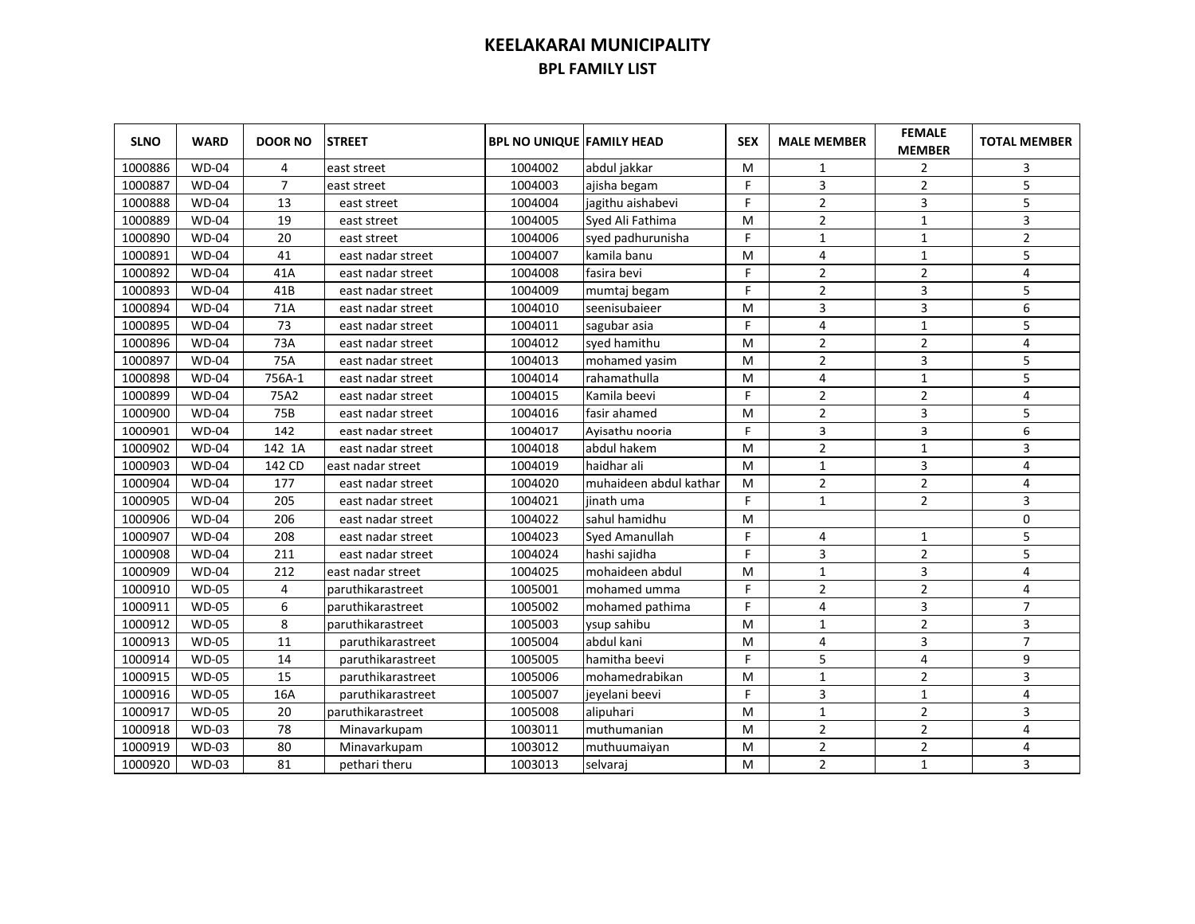| <b>SLNO</b> | <b>WARD</b>  | <b>DOOR NO</b> | <b>STREET</b>     | <b>BPL NO UNIQUE FAMILY HEAD</b> |                        | <b>SEX</b> | <b>MALE MEMBER</b>      | <b>FEMALE</b><br><b>MEMBER</b> | <b>TOTAL MEMBER</b>     |
|-------------|--------------|----------------|-------------------|----------------------------------|------------------------|------------|-------------------------|--------------------------------|-------------------------|
| 1000886     | <b>WD-04</b> | 4              | east street       | 1004002                          | abdul jakkar           | M          | 1                       | $\overline{2}$                 | 3                       |
| 1000887     | $WD-04$      | $\overline{7}$ | east street       | 1004003                          | ajisha begam           | F.         | 3                       | $\overline{2}$                 | 5                       |
| 1000888     | $WD-04$      | 13             | east street       | 1004004                          | jagithu aishabevi      | F.         | $\overline{2}$          | 3                              | 5                       |
| 1000889     | <b>WD-04</b> | 19             | east street       | 1004005                          | Syed Ali Fathima       | м          | $\overline{2}$          | $\mathbf{1}$                   | $\overline{3}$          |
| 1000890     | $WD-04$      | 20             | east street       | 1004006                          | syed padhurunisha      | F.         | $\mathbf{1}$            | $\mathbf{1}$                   | $\overline{2}$          |
| 1000891     | $WD-04$      | 41             | east nadar street | 1004007                          | kamila banu            | м          | 4                       | $\mathbf{1}$                   | 5                       |
| 1000892     | $WD-04$      | 41A            | east nadar street | 1004008                          | fasira bevi            | F.         | $\mathbf 2$             | $\overline{2}$                 | $\overline{\mathbf{4}}$ |
| 1000893     | $WD-04$      | 41B            | east nadar street | 1004009                          | mumtaj begam           | F.         | $\mathbf 2$             | 3                              | 5                       |
| 1000894     | $WD-04$      | 71A            | east nadar street | 1004010                          | seenisubaieer          | M          | $\overline{3}$          | 3                              | $\sqrt{6}$              |
| 1000895     | $WD-04$      | 73             | east nadar street | 1004011                          | sagubar asia           | F.         | $\overline{4}$          | $\mathbf{1}$                   | 5                       |
| 1000896     | $WD-04$      | 73A            | east nadar street | 1004012                          | sved hamithu           | M          | $\overline{2}$          | $\overline{2}$                 | $\overline{4}$          |
| 1000897     | $WD-04$      | 75A            | east nadar street | 1004013                          | mohamed yasim          | M          | $\overline{2}$          | 3                              | 5                       |
| 1000898     | <b>WD-04</b> | 756A-1         | east nadar street | 1004014                          | rahamathulla           | M          | 4                       | $\mathbf{1}$                   | 5                       |
| 1000899     | <b>WD-04</b> | 75A2           | east nadar street | 1004015                          | Kamila beevi           | F.         | $\overline{2}$          | $\overline{2}$                 | $\overline{4}$          |
| 1000900     | <b>WD-04</b> | 75B            | east nadar street | 1004016                          | fasir ahamed           | M          | $\overline{2}$          | 3                              | 5                       |
| 1000901     | <b>WD-04</b> | 142            | east nadar street | 1004017                          | Ayisathu nooria        | F.         | $\overline{\mathbf{3}}$ | 3                              | $\boldsymbol{6}$        |
| 1000902     | $WD-04$      | 142 1A         | east nadar street | 1004018                          | abdul hakem            | M          | $\overline{2}$          | $\mathbf{1}$                   | $\overline{3}$          |
| 1000903     | <b>WD-04</b> | 142 CD         | east nadar street | 1004019                          | haidhar ali            | M          | $\mathbf{1}$            | 3                              | $\overline{4}$          |
| 1000904     | <b>WD-04</b> | 177            | east nadar street | 1004020                          | muhaideen abdul kathar | M          | $\overline{2}$          | $\overline{2}$                 | $\overline{4}$          |
| 1000905     | <b>WD-04</b> | 205            | east nadar street | 1004021                          | jinath uma             | F.         | $\mathbf{1}$            | $\overline{2}$                 | $\overline{3}$          |
| 1000906     | <b>WD-04</b> | 206            | east nadar street | 1004022                          | sahul hamidhu          | M          |                         |                                | $\mathbf 0$             |
| 1000907     | <b>WD-04</b> | 208            | east nadar street | 1004023                          | <b>Syed Amanullah</b>  | F.         | 4                       | $\mathbf{1}$                   | 5                       |
| 1000908     | <b>WD-04</b> | 211            | east nadar street | 1004024                          | hashi sajidha          | F.         | 3                       | $\overline{2}$                 | 5                       |
| 1000909     | <b>WD-04</b> | 212            | east nadar street | 1004025                          | mohaideen abdul        | M          | $1\,$                   | 3                              | $\overline{\mathbf{4}}$ |
| 1000910     | <b>WD-05</b> | 4              | paruthikarastreet | 1005001                          | mohamed umma           | F.         | $\overline{2}$          | $\overline{2}$                 | $\overline{4}$          |
| 1000911     | <b>WD-05</b> | 6              | paruthikarastreet | 1005002                          | mohamed pathima        | F.         | $\overline{4}$          | 3                              | $\overline{7}$          |
| 1000912     | <b>WD-05</b> | 8              | paruthikarastreet | 1005003                          | ysup sahibu            | M          | $\mathbf{1}$            | $\overline{2}$                 | 3                       |
| 1000913     | <b>WD-05</b> | 11             | paruthikarastreet | 1005004                          | abdul kani             | M          | 4                       | 3                              | $\overline{7}$          |
| 1000914     | <b>WD-05</b> | 14             | paruthikarastreet | 1005005                          | hamitha beevi          | F          | 5                       | $\overline{4}$                 | 9                       |
| 1000915     | <b>WD-05</b> | 15             | paruthikarastreet | 1005006                          | mohamedrabikan         | M          | $\mathbf{1}$            | $\overline{2}$                 | 3                       |
| 1000916     | <b>WD-05</b> | 16A            | paruthikarastreet | 1005007                          | jeyelani beevi         | F.         | 3                       | $\mathbf 1$                    | 4                       |
| 1000917     | <b>WD-05</b> | 20             | paruthikarastreet | 1005008                          | alipuhari              | M          | $\mathbf{1}$            | $\overline{2}$                 | 3                       |
| 1000918     | <b>WD-03</b> | 78             | Minavarkupam      | 1003011                          | muthumanian            | M          | $\overline{2}$          | $\mathbf 2$                    | $\overline{\mathbf{4}}$ |
| 1000919     | <b>WD-03</b> | 80             | Minavarkupam      | 1003012                          | muthuumaiyan           | M          | $\mathbf 2$             | $\mathbf 2$                    | $\overline{4}$          |
| 1000920     | <b>WD-03</b> | 81             | pethari theru     | 1003013                          | selvaraj               | M          | $\overline{2}$          | $\mathbf{1}$                   | 3                       |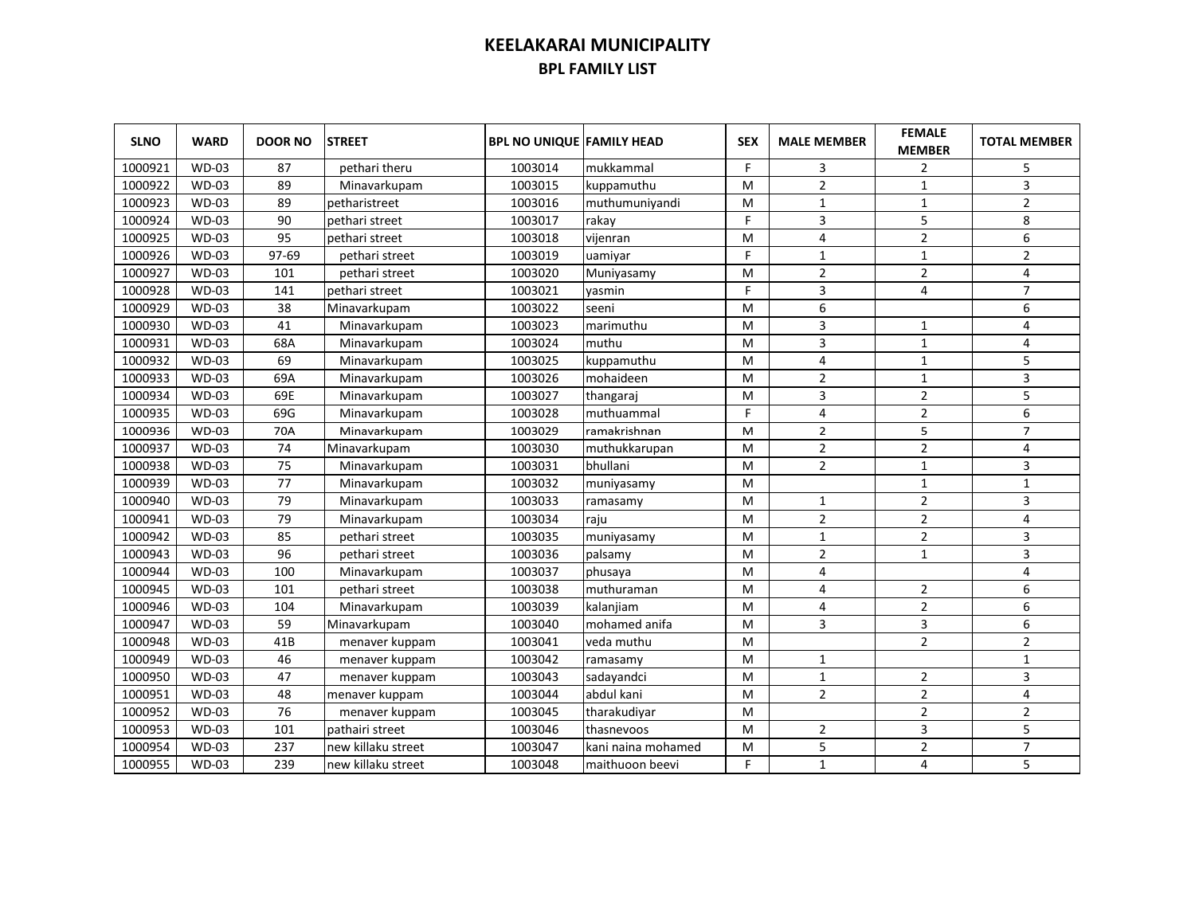| <b>SLNO</b> | <b>WARD</b>  | <b>DOOR NO</b> | <b>STREET</b>      | <b>BPL NO UNIQUE FAMILY HEAD</b> |                    | <b>SEX</b> | <b>MALE MEMBER</b> | <b>FEMALE</b><br><b>MEMBER</b> | <b>TOTAL MEMBER</b> |
|-------------|--------------|----------------|--------------------|----------------------------------|--------------------|------------|--------------------|--------------------------------|---------------------|
| 1000921     | <b>WD-03</b> | 87             | pethari theru      | 1003014                          | mukkammal          | F.         | 3                  | $\overline{2}$                 | 5                   |
| 1000922     | <b>WD-03</b> | 89             | Minavarkupam       | 1003015                          | kuppamuthu         | M          | $\overline{2}$     | $\mathbf{1}$                   | 3                   |
| 1000923     | <b>WD-03</b> | 89             | petharistreet      | 1003016                          | muthumuniyandi     | м          | $\mathbf{1}$       | $\mathbf{1}$                   | $\overline{2}$      |
| 1000924     | <b>WD-03</b> | 90             | pethari street     | 1003017                          | rakay              | F.         | 3                  | 5                              | 8                   |
| 1000925     | <b>WD-03</b> | 95             | pethari street     | 1003018                          | vijenran           | M          | 4                  | $\overline{2}$                 | 6                   |
| 1000926     | <b>WD-03</b> | 97-69          | pethari street     | 1003019                          | uamiyar            | F          | $\mathbf{1}$       | $\mathbf 1$                    | $\mathbf 2$         |
| 1000927     | <b>WD-03</b> | 101            | pethari street     | 1003020                          | Muniyasamy         | м          | $\overline{2}$     | $\overline{2}$                 | 4                   |
| 1000928     | <b>WD-03</b> | 141            | pethari street     | 1003021                          | vasmin             | F          | 3                  | 4                              | $\overline{7}$      |
| 1000929     | <b>WD-03</b> | 38             | Minavarkupam       | 1003022                          | seeni              | M          | 6                  |                                | 6                   |
| 1000930     | <b>WD-03</b> | 41             | Minavarkupam       | 1003023                          | marimuthu          | M          | 3                  | $\mathbf{1}$                   | 4                   |
| 1000931     | <b>WD-03</b> | 68A            | Minavarkupam       | 1003024                          | muthu              | M          | 3                  | $\mathbf{1}$                   | 4                   |
| 1000932     | <b>WD-03</b> | 69             | Minavarkupam       | 1003025                          | kuppamuthu         | м          | 4                  | $\mathbf{1}$                   | 5                   |
| 1000933     | <b>WD-03</b> | 69A            | Minavarkupam       | 1003026                          | mohaideen          | M          | $\overline{2}$     | $\mathbf{1}$                   | 3                   |
| 1000934     | <b>WD-03</b> | 69E            | Minavarkupam       | 1003027                          | thangaraj          | M          | 3                  | $\overline{2}$                 | 5                   |
| 1000935     | <b>WD-03</b> | 69G            | Minavarkupam       | 1003028                          | muthuammal         | F.         | 4                  | $\overline{2}$                 | 6                   |
| 1000936     | WD-03        | 70A            | Minavarkupam       | 1003029                          | ramakrishnan       | M          | $\overline{2}$     | 5                              | $\overline{7}$      |
| 1000937     | WD-03        | 74             | Minavarkupam       | 1003030                          | muthukkarupan      | M          | $\overline{2}$     | $\overline{2}$                 | 4                   |
| 1000938     | <b>WD-03</b> | 75             | Minavarkupam       | 1003031                          | bhullani           | м          | $\overline{2}$     | $\mathbf{1}$                   | 3                   |
| 1000939     | $WD-03$      | 77             | Minavarkupam       | 1003032                          | muniyasamy         | M          |                    | $\mathbf{1}$                   | 1                   |
| 1000940     | <b>WD-03</b> | 79             | Minavarkupam       | 1003033                          | ramasamy           | M          | $\mathbf{1}$       | $\overline{2}$                 | 3                   |
| 1000941     | $WD-03$      | 79             | Minavarkupam       | 1003034                          | raiu               | M          | $\overline{2}$     | $\overline{2}$                 | 4                   |
| 1000942     | $WD-03$      | 85             | pethari street     | 1003035                          | muniyasamy         | M          | $\mathbf{1}$       | $\overline{2}$                 | 3                   |
| 1000943     | <b>WD-03</b> | 96             | pethari street     | 1003036                          | palsamy            | M          | $\overline{2}$     | $\mathbf{1}$                   | 3                   |
| 1000944     | <b>WD-03</b> | 100            | Minavarkupam       | 1003037                          | phusaya            | M          | 4                  |                                | 4                   |
| 1000945     | <b>WD-03</b> | 101            | pethari street     | 1003038                          | muthuraman         | M          | 4                  | $\overline{2}$                 | 6                   |
| 1000946     | <b>WD-03</b> | 104            | Minavarkupam       | 1003039                          | kalanjiam          | M          | $\overline{4}$     | $\overline{2}$                 | 6                   |
| 1000947     | <b>WD-03</b> | 59             | Minavarkupam       | 1003040                          | mohamed anifa      | M          | 3                  | 3                              | 6                   |
| 1000948     | <b>WD-03</b> | 41B            | menaver kuppam     | 1003041                          | veda muthu         | M          |                    | $\overline{2}$                 | $\overline{2}$      |
| 1000949     | WD-03        | 46             | menaver kuppam     | 1003042                          | ramasamy           | M          | $\mathbf{1}$       |                                | $\mathbf{1}$        |
| 1000950     | <b>WD-03</b> | 47             | menaver kuppam     | 1003043                          | sadayandci         | M          | $\mathbf{1}$       | $\overline{2}$                 | 3                   |
| 1000951     | $WD-03$      | 48             | menaver kuppam     | 1003044                          | labdul kani        | M          | $\overline{2}$     | $\overline{2}$                 | 4                   |
| 1000952     | <b>WD-03</b> | 76             | menaver kuppam     | 1003045                          | tharakudiyar       | M          |                    | 2                              | $\overline{2}$      |
| 1000953     | <b>WD-03</b> | 101            | pathairi street    | 1003046                          | thasnevoos         | M          | $\overline{2}$     | 3                              | 5                   |
| 1000954     | <b>WD-03</b> | 237            | new killaku street | 1003047                          | kani naina mohamed | M          | 5                  | $\overline{2}$                 | $\overline{7}$      |
| 1000955     | <b>WD-03</b> | 239            | new killaku street | 1003048                          | maithuoon beevi    | F          | $\mathbf{1}$       | 4                              | 5                   |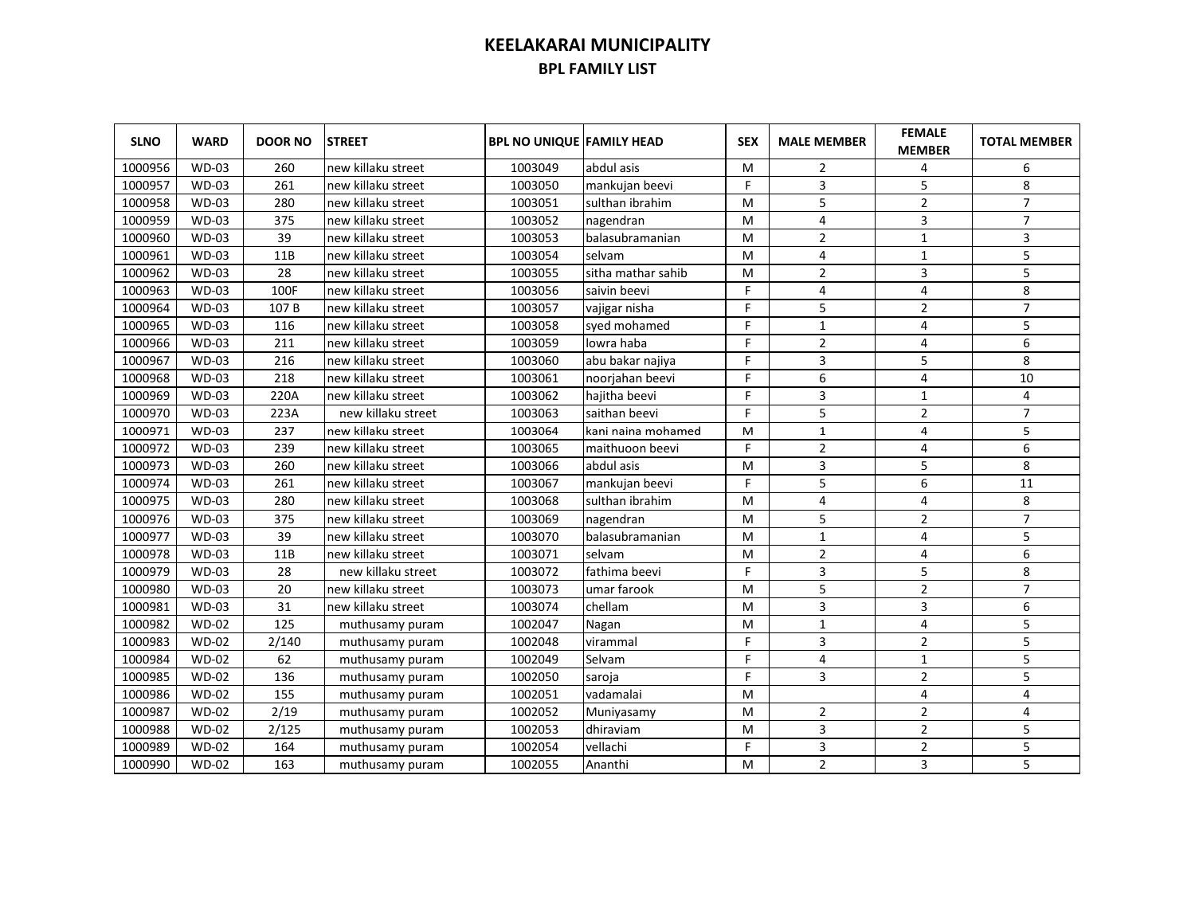| <b>SLNO</b> | <b>WARD</b>  | <b>DOOR NO</b> | <b>STREET</b>      | <b>BPL NO UNIQUE FAMILY HEAD</b> |                    | <b>SEX</b> | <b>MALE MEMBER</b> | <b>FEMALE</b><br><b>MEMBER</b> | <b>TOTAL MEMBER</b> |
|-------------|--------------|----------------|--------------------|----------------------------------|--------------------|------------|--------------------|--------------------------------|---------------------|
| 1000956     | <b>WD-03</b> | 260            | new killaku street | 1003049                          | abdul asis         | м          | $\overline{2}$     | 4                              | 6                   |
| 1000957     | <b>WD-03</b> | 261            | new killaku street | 1003050                          | mankujan beevi     | F          | 3                  | 5                              | 8                   |
| 1000958     | <b>WD-03</b> | 280            | new killaku street | 1003051                          | sulthan ibrahim    | M          | 5                  | $\overline{2}$                 | $\overline{7}$      |
| 1000959     | <b>WD-03</b> | 375            | new killaku street | 1003052                          | nagendran          | M          | 4                  | 3                              | $\overline{7}$      |
| 1000960     | <b>WD-03</b> | 39             | new killaku street | 1003053                          | balasubramanian    | м          | $\overline{2}$     | $\mathbf 1$                    | 3                   |
| 1000961     | <b>WD-03</b> | 11B            | new killaku street | 1003054                          | selvam             | м          | $\overline{4}$     | $\mathbf{1}$                   | 5                   |
| 1000962     | <b>WD-03</b> | 28             | new killaku street | 1003055                          | sitha mathar sahib | м          | $\overline{2}$     | 3                              | 5                   |
| 1000963     | <b>WD-03</b> | 100F           | new killaku street | 1003056                          | saivin beevi       | F          | 4                  | 4                              | 8                   |
| 1000964     | <b>WD-03</b> | 107 B          | new killaku street | 1003057                          | vajigar nisha      | F          | 5                  | $\overline{2}$                 | $\overline{7}$      |
| 1000965     | <b>WD-03</b> | 116            | new killaku street | 1003058                          | syed mohamed       | F          | $\mathbf{1}$       | 4                              | 5                   |
| 1000966     | <b>WD-03</b> | 211            | new killaku street | 1003059                          | lowra haba         | F          | $\overline{2}$     | 4                              | 6                   |
| 1000967     | <b>WD-03</b> | 216            | new killaku street | 1003060                          | abu bakar najiya   | F.         | 3                  | 5                              | 8                   |
| 1000968     | <b>WD-03</b> | 218            | new killaku street | 1003061                          | noorjahan beevi    | F.         | 6                  | 4                              | 10                  |
| 1000969     | <b>WD-03</b> | 220A           | new killaku street | 1003062                          | hajitha beevi      | F          | 3                  | $\mathbf{1}$                   | 4                   |
| 1000970     | <b>WD-03</b> | 223A           | new killaku street | 1003063                          | saithan beevi      | F.         | 5                  | $\overline{2}$                 | $\overline{7}$      |
| 1000971     | <b>WD-03</b> | 237            | new killaku street | 1003064                          | kani naina mohamed | M          | $\mathbf{1}$       | 4                              | 5                   |
| 1000972     | <b>WD-03</b> | 239            | new killaku street | 1003065                          | maithuoon beevi    | F          | $\overline{2}$     | 4                              | 6                   |
| 1000973     | <b>WD-03</b> | 260            | new killaku street | 1003066                          | abdul asis         | M          | 3                  | 5                              | 8                   |
| 1000974     | <b>WD-03</b> | 261            | new killaku street | 1003067                          | mankujan beevi     | F          | 5                  | 6                              | 11                  |
| 1000975     | <b>WD-03</b> | 280            | new killaku street | 1003068                          | sulthan ibrahim    | M          | 4                  | 4                              | 8                   |
| 1000976     | $WD-03$      | 375            | new killaku street | 1003069                          | nagendran          | M          | 5                  | 2                              | $\overline{7}$      |
| 1000977     | <b>WD-03</b> | 39             | new killaku street | 1003070                          | balasubramanian    | M          | 1                  | 4                              | 5                   |
| 1000978     | <b>WD-03</b> | 11B            | new killaku street | 1003071                          | selvam             | M          | $\overline{2}$     | 4                              | 6                   |
| 1000979     | <b>WD-03</b> | 28             | new killaku street | 1003072                          | fathima beevi      | F          | 3                  | 5                              | 8                   |
| 1000980     | <b>WD-03</b> | 20             | new killaku street | 1003073                          | umar farook        | M          | 5                  | $\overline{2}$                 | $\overline{7}$      |
| 1000981     | <b>WD-03</b> | 31             | new killaku street | 1003074                          | chellam            | M          | 3                  | 3                              | 6                   |
| 1000982     | <b>WD-02</b> | 125            | muthusamy puram    | 1002047                          | Nagan              | M          | $1\,$              | 4                              | 5                   |
| 1000983     | <b>WD-02</b> | 2/140          | muthusamy puram    | 1002048                          | virammal           | F          | 3                  | $\overline{2}$                 | 5                   |
| 1000984     | <b>WD-02</b> | 62             | muthusamy puram    | 1002049                          | Selvam             | F          | 4                  | $\mathbf{1}$                   | 5                   |
| 1000985     | $WD-02$      | 136            | muthusamy puram    | 1002050                          | saroja             | F.         | 3                  | $\overline{2}$                 | 5                   |
| 1000986     | $WD-02$      | 155            | muthusamy puram    | 1002051                          | vadamalai          | M          |                    | 4                              | 4                   |
| 1000987     | <b>WD-02</b> | 2/19           | muthusamy puram    | 1002052                          | Muniyasamy         | M          | 2                  | 2                              | 4                   |
| 1000988     | <b>WD-02</b> | 2/125          | muthusamy puram    | 1002053                          | dhiraviam          | M          | 3                  | $\overline{2}$                 | 5                   |
| 1000989     | <b>WD-02</b> | 164            | muthusamy puram    | 1002054                          | vellachi           | F          | 3                  | $\overline{2}$                 | 5                   |
| 1000990     | <b>WD-02</b> | 163            | muthusamy puram    | 1002055                          | Ananthi            | M          | $\overline{2}$     | 3                              | 5                   |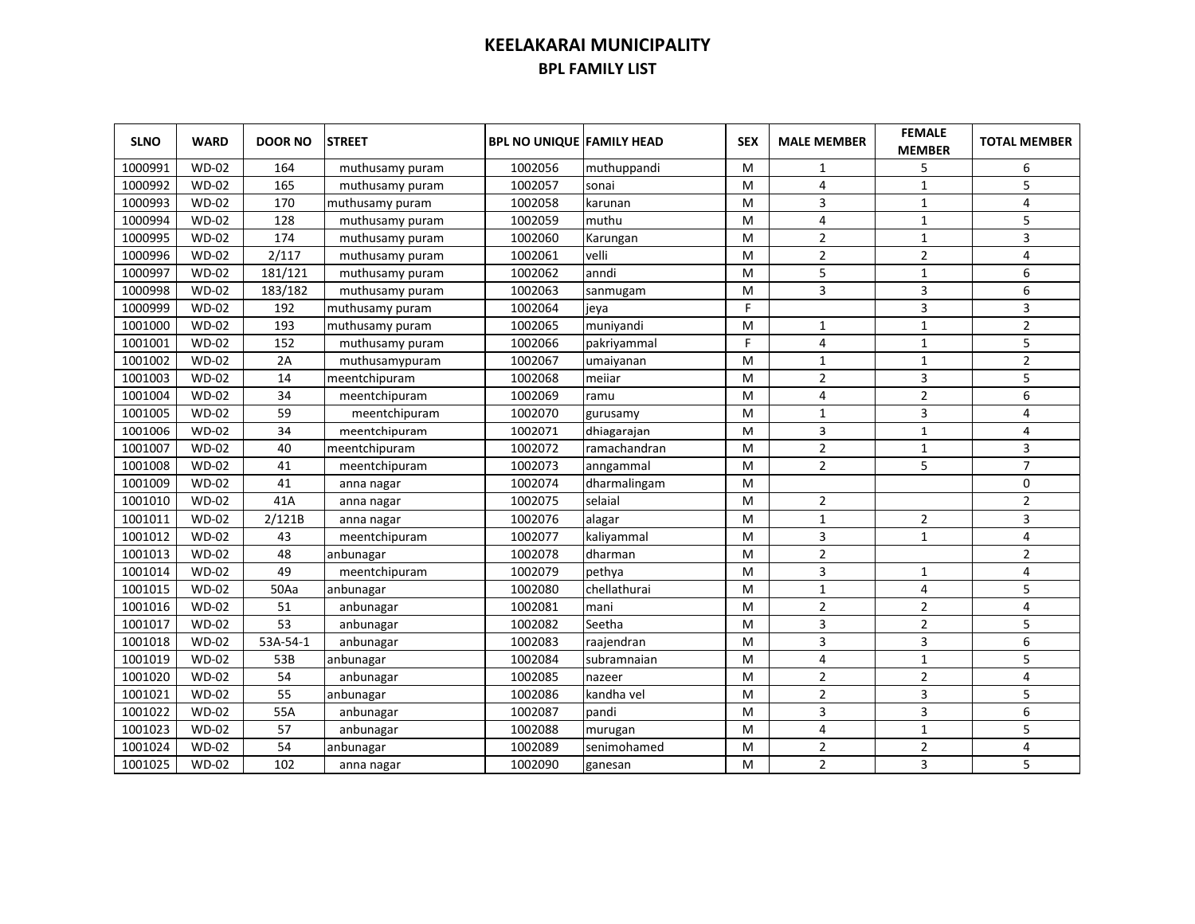| <b>SLNO</b> | <b>WARD</b>  | <b>DOOR NO</b> | <b>STREET</b>   | <b>BPL NO UNIQUE FAMILY HEAD</b> |              | <b>SEX</b> | <b>MALE MEMBER</b> | <b>FEMALE</b><br><b>MEMBER</b> | <b>TOTAL MEMBER</b> |
|-------------|--------------|----------------|-----------------|----------------------------------|--------------|------------|--------------------|--------------------------------|---------------------|
| 1000991     | <b>WD-02</b> | 164            | muthusamy puram | 1002056                          | muthuppandi  | м          | 1                  | 5                              | 6                   |
| 1000992     | <b>WD-02</b> | 165            | muthusamy puram | 1002057                          | sonai        | M          | 4                  | $\mathbf{1}$                   | 5                   |
| 1000993     | <b>WD-02</b> | 170            | muthusamy puram | 1002058                          | karunan      | M          | 3                  | $\mathbf{1}$                   | 4                   |
| 1000994     | <b>WD-02</b> | 128            | muthusamy puram | 1002059                          | muthu        | M          | 4                  | $\mathbf{1}$                   | 5                   |
| 1000995     | $WD-02$      | 174            | muthusamy puram | 1002060                          | Karungan     | M          | $\overline{2}$     | $\mathbf{1}$                   | $\overline{3}$      |
| 1000996     | <b>WD-02</b> | 2/117          | muthusamy puram | 1002061                          | velli        | м          | $\overline{2}$     | $\overline{2}$                 | 4                   |
| 1000997     | <b>WD-02</b> | 181/121        | muthusamy puram | 1002062                          | anndi        | M          | 5                  | $\mathbf{1}$                   | 6                   |
| 1000998     | <b>WD-02</b> | 183/182        | muthusamy puram | 1002063                          | sanmugam     | M          | $\overline{3}$     | 3                              | 6                   |
| 1000999     | $WD-02$      | 192            | muthusamy puram | 1002064                          | ieva         | F.         |                    | 3                              | 3                   |
| 1001000     | <b>WD-02</b> | 193            | muthusamy puram | 1002065                          | muniyandi    | M          | $\mathbf{1}$       | $\mathbf{1}$                   | $\overline{2}$      |
| 1001001     | $WD-02$      | 152            | muthusamy puram | 1002066                          | pakriyammal  | F          | 4                  | $\mathbf{1}$                   | 5                   |
| 1001002     | <b>WD-02</b> | 2A             | muthusamypuram  | 1002067                          | umaiyanan    | M          | $\mathbf{1}$       | $\mathbf{1}$                   | $\overline{2}$      |
| 1001003     | <b>WD-02</b> | 14             | meentchipuram   | 1002068                          | meiiar       | M          | $\overline{2}$     | 3                              | 5                   |
| 1001004     | <b>WD-02</b> | 34             | meentchipuram   | 1002069                          | ramu         | M          | 4                  | $\overline{2}$                 | 6                   |
| 1001005     | <b>WD-02</b> | 59             | meentchipuram   | 1002070                          | gurusamy     | M          | $\mathbf{1}$       | 3                              | 4                   |
| 1001006     | $WD-02$      | 34             | meentchipuram   | 1002071                          | dhiagarajan  | M          | 3                  | $\mathbf 1$                    | 4                   |
| 1001007     | <b>WD-02</b> | 40             | meentchipuram   | 1002072                          | ramachandran | M          | $\overline{2}$     | $\mathbf{1}$                   | 3                   |
| 1001008     | <b>WD-02</b> | 41             | meentchipuram   | 1002073                          | anngammal    | м          | $\overline{2}$     | 5                              | $\overline{7}$      |
| 1001009     | <b>WD-02</b> | 41             | anna nagar      | 1002074                          | dharmalingam | M          |                    |                                | 0                   |
| 1001010     | <b>WD-02</b> | 41A            | anna nagar      | 1002075                          | selaial      | M          | $\overline{2}$     |                                | $\overline{2}$      |
| 1001011     | <b>WD-02</b> | 2/121B         | anna nagar      | 1002076                          | alagar       | м          | $\mathbf{1}$       | 2                              | 3                   |
| 1001012     | <b>WD-02</b> | 43             | meentchipuram   | 1002077                          | kaliyammal   | M          | 3                  | $\mathbf{1}$                   | 4                   |
| 1001013     | <b>WD-02</b> | 48             | anbunagar       | 1002078                          | dharman      | M          | $\overline{2}$     |                                | $\overline{2}$      |
| 1001014     | <b>WD-02</b> | 49             | meentchipuram   | 1002079                          | pethya       | M          | 3                  | $\mathbf{1}$                   | 4                   |
| 1001015     | <b>WD-02</b> | 50Aa           | anbunagar       | 1002080                          | chellathurai | M          | $\mathbf{1}$       | 4                              | 5                   |
| 1001016     | <b>WD-02</b> | 51             | anbunagar       | 1002081                          | mani         | M          | $\overline{2}$     | $\overline{2}$                 | 4                   |
| 1001017     | <b>WD-02</b> | 53             | anbunagar       | 1002082                          | Seetha       | M          | 3                  | $\overline{2}$                 | 5                   |
| 1001018     | <b>WD-02</b> | 53A-54-1       | anbunagar       | 1002083                          | raajendran   | M          | 3                  | 3                              | 6                   |
| 1001019     | <b>WD-02</b> | 53B            | anbunagar       | 1002084                          | subramnaian  | M          | 4                  | $\mathbf{1}$                   | 5                   |
| 1001020     | <b>WD-02</b> | 54             | anbunagar       | 1002085                          | nazeer       | M          | $\overline{2}$     | $\overline{2}$                 | 4                   |
| 1001021     | <b>WD-02</b> | 55             | anbunagar       | 1002086                          | kandha vel   | M          | $\overline{2}$     | 3                              | 5                   |
| 1001022     | $WD-02$      | 55A            | anbunagar       | 1002087                          | pandi        | M          | 3                  | 3                              | 6                   |
| 1001023     | <b>WD-02</b> | 57             | anbunagar       | 1002088                          | murugan      | M          | 4                  | $\mathbf{1}$                   | 5                   |
| 1001024     | <b>WD-02</b> | 54             | anbunagar       | 1002089                          | senimohamed  | M          | $\overline{2}$     | $\overline{2}$                 | 4                   |
| 1001025     | <b>WD-02</b> | 102            | anna nagar      | 1002090                          | ganesan      | M          | $\overline{2}$     | 3                              | 5                   |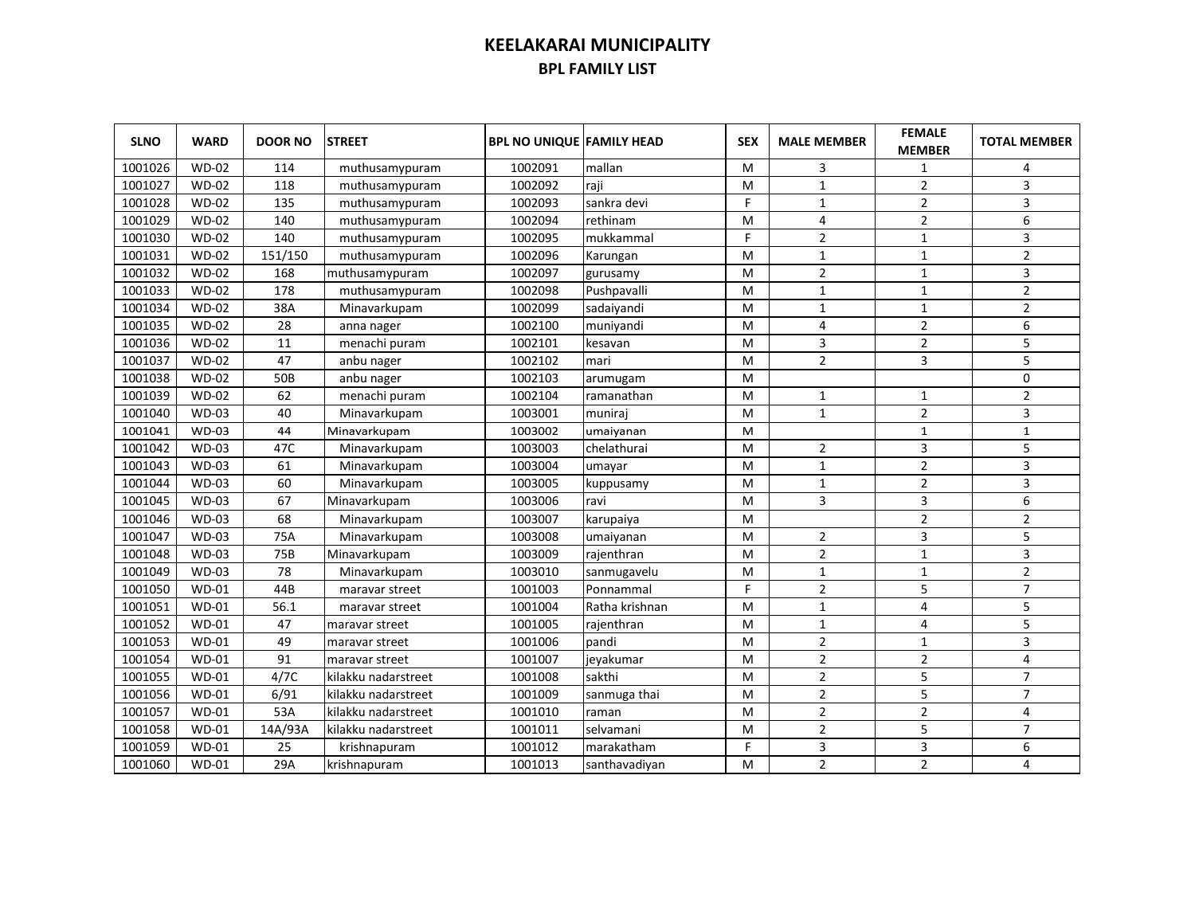| <b>SLNO</b> | <b>WARD</b>  | <b>DOOR NO</b> | <b>STREET</b>       | <b>BPL NO UNIQUE FAMILY HEAD</b> |                | <b>SEX</b> | <b>MALE MEMBER</b> | <b>FEMALE</b><br><b>MEMBER</b> | <b>TOTAL MEMBER</b> |
|-------------|--------------|----------------|---------------------|----------------------------------|----------------|------------|--------------------|--------------------------------|---------------------|
| 1001026     | $WD-02$      | 114            | muthusamypuram      | 1002091                          | mallan         | M          | 3                  | 1                              | 4                   |
| 1001027     | <b>WD-02</b> | 118            | muthusamypuram      | 1002092                          | raji           | M          | $1\,$              | $\overline{2}$                 | 3                   |
| 1001028     | <b>WD-02</b> | 135            | muthusamypuram      | 1002093                          | sankra devi    | F.         | $\mathbf{1}$       | $\overline{2}$                 | 3                   |
| 1001029     | <b>WD-02</b> | 140            | muthusamypuram      | 1002094                          | rethinam       | M          | 4                  | $\overline{2}$                 | 6                   |
| 1001030     | $WD-02$      | 140            | muthusamypuram      | 1002095                          | mukkammal      | F.         | $\overline{2}$     | $\mathbf{1}$                   | 3                   |
| 1001031     | <b>WD-02</b> | 151/150        | muthusamypuram      | 1002096                          | Karungan       | M          | $\mathbf{1}$       | $\mathbf 1$                    | $\overline{2}$      |
| 1001032     | $WD-02$      | 168            | muthusamypuram      | 1002097                          | gurusamy       | м          | $\overline{2}$     | $\mathbf{1}$                   | 3                   |
| 1001033     | <b>WD-02</b> | 178            | muthusamypuram      | 1002098                          | Pushpavalli    | M          | $\mathbf{1}$       | $\mathbf{1}$                   | $\overline{2}$      |
| 1001034     | <b>WD-02</b> | 38A            | Minavarkupam        | 1002099                          | sadaiyandi     | M          | $\mathbf{1}$       | $\mathbf{1}$                   | $\overline{2}$      |
| 1001035     | <b>WD-02</b> | 28             | anna nager          | 1002100                          | muniyandi      | M          | 4                  | $\overline{2}$                 | 6                   |
| 1001036     | <b>WD-02</b> | 11             | menachi puram       | 1002101                          | kesavan        | M          | 3                  | $\overline{2}$                 | 5                   |
| 1001037     | <b>WD-02</b> | 47             | anbu nager          | 1002102                          | mari           | M          | $\overline{2}$     | 3                              | 5                   |
| 1001038     | <b>WD-02</b> | 50B            | anbu nager          | 1002103                          | arumugam       | M          |                    |                                | 0                   |
| 1001039     | <b>WD-02</b> | 62             | menachi puram       | 1002104                          | ramanathan     | M          | 1                  | 1                              | $\overline{2}$      |
| 1001040     | <b>WD-03</b> | 40             | Minavarkupam        | 1003001                          | muniraj        | M          | $\mathbf{1}$       | $\overline{2}$                 | 3                   |
| 1001041     | <b>WD-03</b> | 44             | Minavarkupam        | 1003002                          | umaiyanan      | M          |                    | $1\,$                          | $\mathbf{1}$        |
| 1001042     | <b>WD-03</b> | 47C            | Minavarkupam        | 1003003                          | chelathurai    | M          | $\overline{2}$     | 3                              | 5                   |
| 1001043     | <b>WD-03</b> | 61             | Minavarkupam        | 1003004                          | umayar         | м          | $\mathbf{1}$       | $\overline{2}$                 | 3                   |
| 1001044     | <b>WD-03</b> | 60             | Minavarkupam        | 1003005                          | kuppusamy      | M          | $\mathbf{1}$       | $\overline{2}$                 | 3                   |
| 1001045     | <b>WD-03</b> | 67             | Minavarkupam        | 1003006                          | ravi           | M          | 3                  | 3                              | 6                   |
| 1001046     | <b>WD-03</b> | 68             | Minavarkupam        | 1003007                          | karupaiya      | M          |                    | $\overline{2}$                 | $\overline{2}$      |
| 1001047     | <b>WD-03</b> | 75A            | Minavarkupam        | 1003008                          | umaiyanan      | M          | $\overline{2}$     | 3                              | 5                   |
| 1001048     | <b>WD-03</b> | 75B            | Minavarkupam        | 1003009                          | rajenthran     | M          | $\overline{2}$     | $\mathbf{1}$                   | 3                   |
| 1001049     | <b>WD-03</b> | 78             | Minavarkupam        | 1003010                          | sanmugavelu    | M          | $\mathbf{1}$       | $\mathbf{1}$                   | $\overline{2}$      |
| 1001050     | <b>WD-01</b> | 44B            | maravar street      | 1001003                          | Ponnammal      | F          | $\overline{2}$     | 5                              | $\overline{7}$      |
| 1001051     | <b>WD-01</b> | 56.1           | maravar street      | 1001004                          | Ratha krishnan | M          | $\mathbf{1}$       | 4                              | 5                   |
| 1001052     | $WD-01$      | 47             | maravar street      | 1001005                          | rajenthran     | M          | $1\,$              | 4                              | 5                   |
| 1001053     | $WD-01$      | 49             | maravar street      | 1001006                          | pandi          | M          | $\overline{2}$     | $1\,$                          | 3                   |
| 1001054     | $WD-01$      | 91             | maravar street      | 1001007                          | jeyakumar      | M          | $\overline{2}$     | $\overline{2}$                 | 4                   |
| 1001055     | $WD-01$      | 4/7C           | kilakku nadarstreet | 1001008                          | sakthi         | M          | $\overline{2}$     | 5                              | $\overline{7}$      |
| 1001056     | $WD-01$      | 6/91           | kilakku nadarstreet | 1001009                          | sanmuga thai   | M          | $\overline{2}$     | 5                              | $\overline{7}$      |
| 1001057     | $WD-01$      | 53A            | kilakku nadarstreet | 1001010                          | raman          | M          | $\overline{2}$     | $\overline{2}$                 | 4                   |
| 1001058     | $WD-01$      | 14A/93A        | kilakku nadarstreet | 1001011                          | selvamani      | м          | $\overline{2}$     | 5                              | $\overline{7}$      |
| 1001059     | $WD-01$      | 25             | krishnapuram        | 1001012                          | marakatham     | F          | 3                  | 3                              | 6                   |
| 1001060     | $WD-01$      | 29A            | krishnapuram        | 1001013                          | santhavadiyan  | M          | $\overline{2}$     | $\overline{2}$                 | 4                   |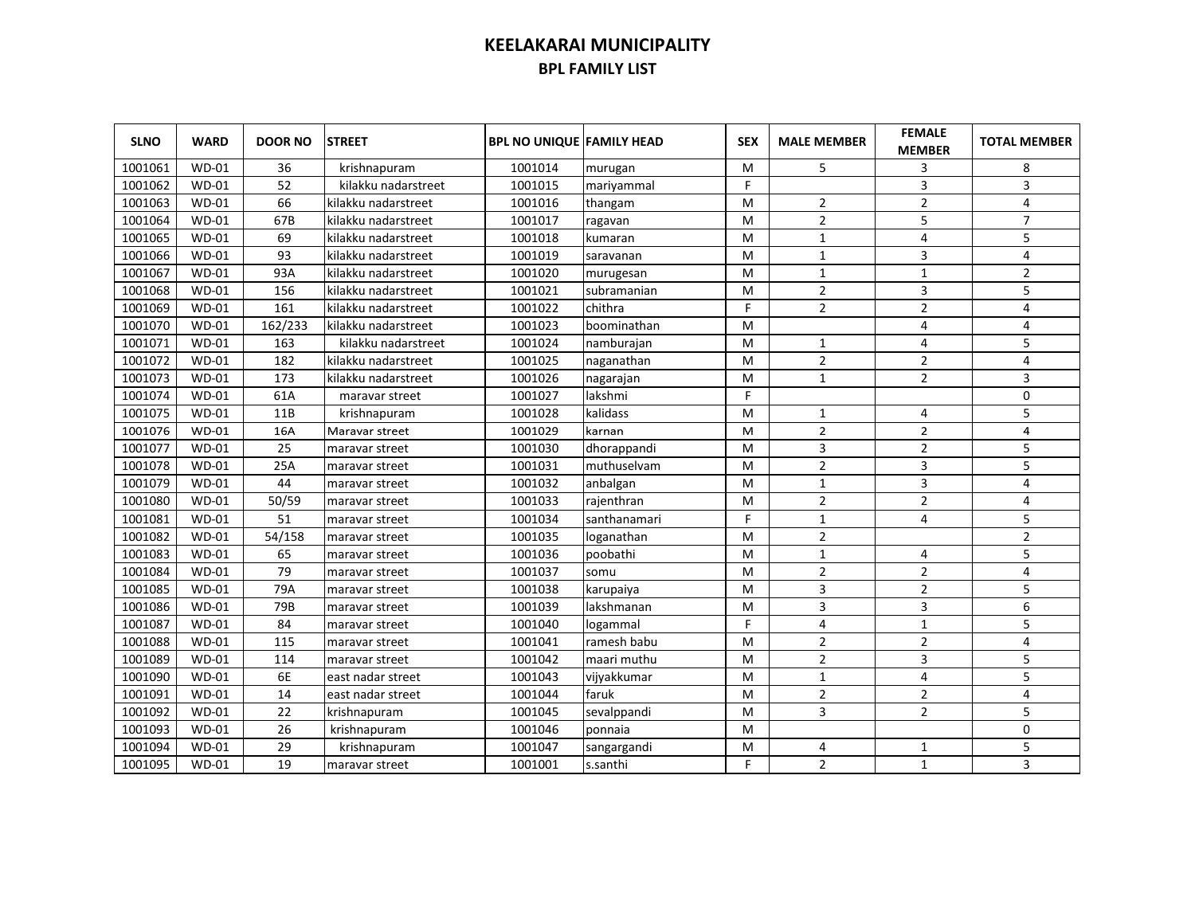| <b>SLNO</b> | <b>WARD</b>  | <b>DOOR NO</b> | <b>STREET</b>       | <b>BPL NO UNIQUE FAMILY HEAD</b> |              | <b>SEX</b> | <b>MALE MEMBER</b> | <b>FEMALE</b><br><b>MEMBER</b> | <b>TOTAL MEMBER</b> |
|-------------|--------------|----------------|---------------------|----------------------------------|--------------|------------|--------------------|--------------------------------|---------------------|
| 1001061     | <b>WD-01</b> | 36             | krishnapuram        | 1001014                          | murugan      | M          | 5                  | 3                              | 8                   |
| 1001062     | $WD-01$      | 52             | kilakku nadarstreet | 1001015                          | mariyammal   | F          |                    | 3                              | 3                   |
| 1001063     | $WD-01$      | 66             | kilakku nadarstreet | 1001016                          | thangam      | M          | $\overline{2}$     | $\overline{2}$                 | 4                   |
| 1001064     | $WD-01$      | 67B            | kilakku nadarstreet | 1001017                          | ragavan      | M          | $\overline{2}$     | 5                              | $\overline{7}$      |
| 1001065     | $WD-01$      | 69             | kilakku nadarstreet | 1001018                          | kumaran      | M          | $\mathbf{1}$       | $\overline{4}$                 | 5                   |
| 1001066     | $WD-01$      | 93             | kilakku nadarstreet | 1001019                          | saravanan    | м          | $\mathbf{1}$       | 3                              | 4                   |
| 1001067     | $WD-01$      | 93A            | kilakku nadarstreet | 1001020                          | murugesan    | м          | $\mathbf{1}$       | $\mathbf 1$                    | $\overline{2}$      |
| 1001068     | $WD-01$      | 156            | kilakku nadarstreet | 1001021                          | subramanian  | M          | $\overline{2}$     | 3                              | 5                   |
| 1001069     | $WD-01$      | 161            | kilakku nadarstreet | 1001022                          | chithra      | F.         | $\overline{2}$     | $\overline{2}$                 | 4                   |
| 1001070     | $WD-01$      | 162/233        | kilakku nadarstreet | 1001023                          | boominathan  | М          |                    | 4                              | 4                   |
| 1001071     | $WD-01$      | 163            | kilakku nadarstreet | 1001024                          | namburajan   | M          | $\mathbf{1}$       | 4                              | 5                   |
| 1001072     | $WD-01$      | 182            | kilakku nadarstreet | 1001025                          | naganathan   | M          | $\overline{2}$     | $\overline{2}$                 | 4                   |
| 1001073     | $WD-01$      | 173            | kilakku nadarstreet | 1001026                          | nagarajan    | м          | $\mathbf{1}$       | $\overline{2}$                 | 3                   |
| 1001074     | $WD-01$      | 61A            | maravar street      | 1001027                          | lakshmi      | F          |                    |                                | $\mathbf 0$         |
| 1001075     | $WD-01$      | 11B            | krishnapuram        | 1001028                          | kalidass     | M          | $\mathbf{1}$       | 4                              | 5                   |
| 1001076     | $WD-01$      | 16A            | Maravar street      | 1001029                          | karnan       | M          | $\overline{2}$     | $\overline{2}$                 | 4                   |
| 1001077     | $WD-01$      | 25             | maravar street      | 1001030                          | dhorappandi  | M          | 3                  | $\overline{2}$                 | 5                   |
| 1001078     | $WD-01$      | 25A            | maravar street      | 1001031                          | muthuselvam  | м          | $\mathbf{2}$       | 3                              | 5                   |
| 1001079     | $WD-01$      | 44             | maravar street      | 1001032                          | anbalgan     | M          | $\mathbf{1}$       | 3                              | 4                   |
| 1001080     | $WD-01$      | 50/59          | maravar street      | 1001033                          | rajenthran   | M          | $\overline{2}$     | $\overline{2}$                 | 4                   |
| 1001081     | $WD-01$      | 51             | maravar street      | 1001034                          | santhanamari | F.         | $\mathbf{1}$       | 4                              | 5                   |
| 1001082     | $WD-01$      | 54/158         | maravar street      | 1001035                          | loganathan   | M          | $\overline{2}$     |                                | $\overline{2}$      |
| 1001083     | <b>WD-01</b> | 65             | maravar street      | 1001036                          | poobathi     | M          | $\mathbf{1}$       | 4                              | 5                   |
| 1001084     | $WD-01$      | 79             | maravar street      | 1001037                          | somu         | M          | $\overline{2}$     | $\overline{2}$                 | 4                   |
| 1001085     | $WD-01$      | 79A            | maravar street      | 1001038                          | karupaiya    | M          | 3                  | $\overline{2}$                 | 5                   |
| 1001086     | $WD-01$      | 79B            | maravar street      | 1001039                          | lakshmanan   | M          | 3                  | 3                              | 6                   |
| 1001087     | $WD-01$      | 84             | maravar street      | 1001040                          | logammal     | F          | 4                  | $1\,$                          | 5                   |
| 1001088     | $WD-01$      | 115            | maravar street      | 1001041                          | ramesh babu  | M          | $\overline{2}$     | $\overline{2}$                 | 4                   |
| 1001089     | $WD-01$      | 114            | maravar street      | 1001042                          | maari muthu  | M          | $\overline{2}$     | 3                              | 5                   |
| 1001090     | $WD-01$      | 6E             | east nadar street   | 1001043                          | vijyakkumar  | M          | $\mathbf{1}$       | 4                              | 5                   |
| 1001091     | $WD-01$      | 14             | east nadar street   | 1001044                          | faruk        | M          | $\overline{2}$     | $\overline{2}$                 | 4                   |
| 1001092     | $WD-01$      | 22             | krishnapuram        | 1001045                          | sevalppandi  | M          | 3                  | 2                              | 5                   |
| 1001093     | $WD-01$      | 26             | krishnapuram        | 1001046                          | ponnaia      | M          |                    |                                | $\mathbf 0$         |
| 1001094     | $WD-01$      | 29             | krishnapuram        | 1001047                          | sangargandi  | M          | 4                  | 1                              | 5                   |
| 1001095     | <b>WD-01</b> | 19             | maravar street      | 1001001                          | s.santhi     | F.         | $\overline{2}$     | $\mathbf{1}$                   | 3                   |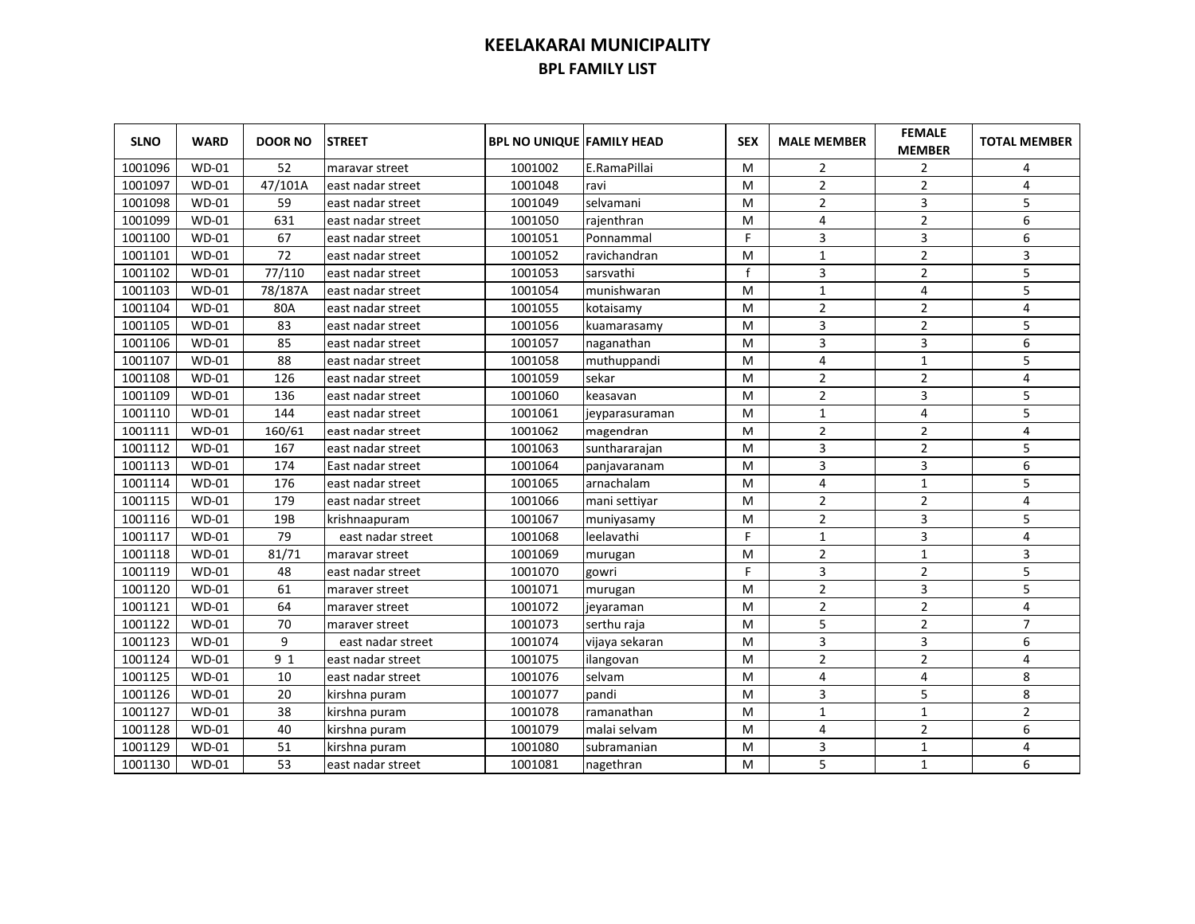| <b>SLNO</b> | <b>WARD</b>  | <b>DOOR NO</b> | <b>STREET</b>     | <b>BPL NO UNIQUE FAMILY HEAD</b> |                | <b>SEX</b> | <b>MALE MEMBER</b> | <b>FEMALE</b><br><b>MEMBER</b> | <b>TOTAL MEMBER</b> |
|-------------|--------------|----------------|-------------------|----------------------------------|----------------|------------|--------------------|--------------------------------|---------------------|
| 1001096     | <b>WD-01</b> | 52             | maravar street    | 1001002                          | E.RamaPillai   | м          | 2                  | 2                              | 4                   |
| 1001097     | $WD-01$      | 47/101A        | east nadar street | 1001048                          | ravi           | M          | 2                  | $\overline{2}$                 | 4                   |
| 1001098     | $WD-01$      | 59             | east nadar street | 1001049                          | selvamani      | M          | 2                  | 3                              | 5                   |
| 1001099     | $WD-01$      | 631            | east nadar street | 1001050                          | rajenthran     | M          | 4                  | $\mathbf 2$                    | 6                   |
| 1001100     | $WD-01$      | 67             | east nadar street | 1001051                          | Ponnammal      | F          | 3                  | 3                              | 6                   |
| 1001101     | $WD-01$      | 72             | east nadar street | 1001052                          | ravichandran   | M          | $\mathbf{1}$       | $\overline{2}$                 | 3                   |
| 1001102     | <b>WD-01</b> | 77/110         | east nadar street | 1001053                          | sarsvathi      | f          | 3                  | $\overline{2}$                 | 5                   |
| 1001103     | <b>WD-01</b> | 78/187A        | east nadar street | 1001054                          | munishwaran    | M          | $\mathbf{1}$       | 4                              | 5                   |
| 1001104     | <b>WD-01</b> | 80A            | east nadar street | 1001055                          | kotaisamy      | M          | $\overline{2}$     | $\overline{2}$                 | 4                   |
| 1001105     | <b>WD-01</b> | 83             | east nadar street | 1001056                          | kuamarasamy    | м          | 3                  | $\overline{2}$                 | 5                   |
| 1001106     | <b>WD-01</b> | 85             | east nadar street | 1001057                          | naganathan     | M          | 3                  | 3                              | 6                   |
| 1001107     | $WD-01$      | 88             | east nadar street | 1001058                          | muthuppandi    | м          | 4                  | $\mathbf 1$                    | 5                   |
| 1001108     | WD-01        | 126            | east nadar street | 1001059                          | sekar          | м          | $\overline{2}$     | $\overline{2}$                 | $\overline{4}$      |
| 1001109     | <b>WD-01</b> | 136            | east nadar street | 1001060                          | keasavan       | м          | $\overline{2}$     | 3                              | 5                   |
| 1001110     | $WD-01$      | 144            | east nadar street | 1001061                          | jeyparasuraman | м          | $\mathbf{1}$       | 4                              | 5                   |
| 1001111     | <b>WD-01</b> | 160/61         | east nadar street | 1001062                          | magendran      | M          | $\overline{2}$     | $\overline{2}$                 | 4                   |
| 1001112     | <b>WD-01</b> | 167            | east nadar street | 1001063                          | sunthararajan  | M          | 3                  | $\overline{2}$                 | 5                   |
| 1001113     | <b>WD-01</b> | 174            | East nadar street | 1001064                          | panjavaranam   | M          | 3                  | 3                              | 6                   |
| 1001114     | <b>WD-01</b> | 176            | east nadar street | 1001065                          | arnachalam     | M          | 4                  | $\mathbf{1}$                   | 5                   |
| 1001115     | $WD-01$      | 179            | east nadar street | 1001066                          | mani settiyar  | M          | $\overline{2}$     | $\overline{2}$                 | 4                   |
| 1001116     | $WD-01$      | 19B            | krishnaapuram     | 1001067                          | muniyasamy     | M          | $\overline{2}$     | 3                              | 5                   |
| 1001117     | $WD-01$      | 79             | east nadar street | 1001068                          | leelavathi     | F.         | 1                  | 3                              | 4                   |
| 1001118     | $WD-01$      | 81/71          | maravar street    | 1001069                          | murugan        | M          | $\overline{2}$     | $\mathbf{1}$                   | 3                   |
| 1001119     | $WD-01$      | 48             | east nadar street | 1001070                          | gowri          | F          | 3                  | $\overline{2}$                 | 5                   |
| 1001120     | $WD-01$      | 61             | maraver street    | 1001071                          | murugan        | M          | $\overline{2}$     | 3                              | 5                   |
| 1001121     | $WD-01$      | 64             | maraver street    | 1001072                          | jeyaraman      | M          | $\overline{2}$     | $\overline{2}$                 | 4                   |
| 1001122     | $WD-01$      | 70             | maraver street    | 1001073                          | serthu raja    | M          | 5                  | $\overline{2}$                 | $\overline{7}$      |
| 1001123     | $WD-01$      | 9              | east nadar street | 1001074                          | vijaya sekaran | M          | 3                  | 3                              | 6                   |
| 1001124     | $WD-01$      | 9 1            | east nadar street | 1001075                          | ilangovan      | M          | $\overline{2}$     | $\overline{2}$                 | 4                   |
| 1001125     | $WD-01$      | 10             | east nadar street | 1001076                          | selvam         | M          | 4                  | 4                              | 8                   |
| 1001126     | $WD-01$      | 20             | kirshna puram     | 1001077                          | pandi          | M          | 3                  | 5                              | 8                   |
| 1001127     | <b>WD-01</b> | 38             | kirshna puram     | 1001078                          | ramanathan     | M          | 1                  | $\mathbf{1}$                   | $\overline{2}$      |
| 1001128     | $WD-01$      | 40             | kirshna puram     | 1001079                          | malai selvam   | M          | 4                  | $\overline{2}$                 | 6                   |
| 1001129     | $WD-01$      | 51             | kirshna puram     | 1001080                          | subramanian    | M          | 3                  | $\mathbf{1}$                   | 4                   |
| 1001130     | <b>WD-01</b> | 53             | east nadar street | 1001081                          | nagethran      | M          | 5                  | 1                              | 6                   |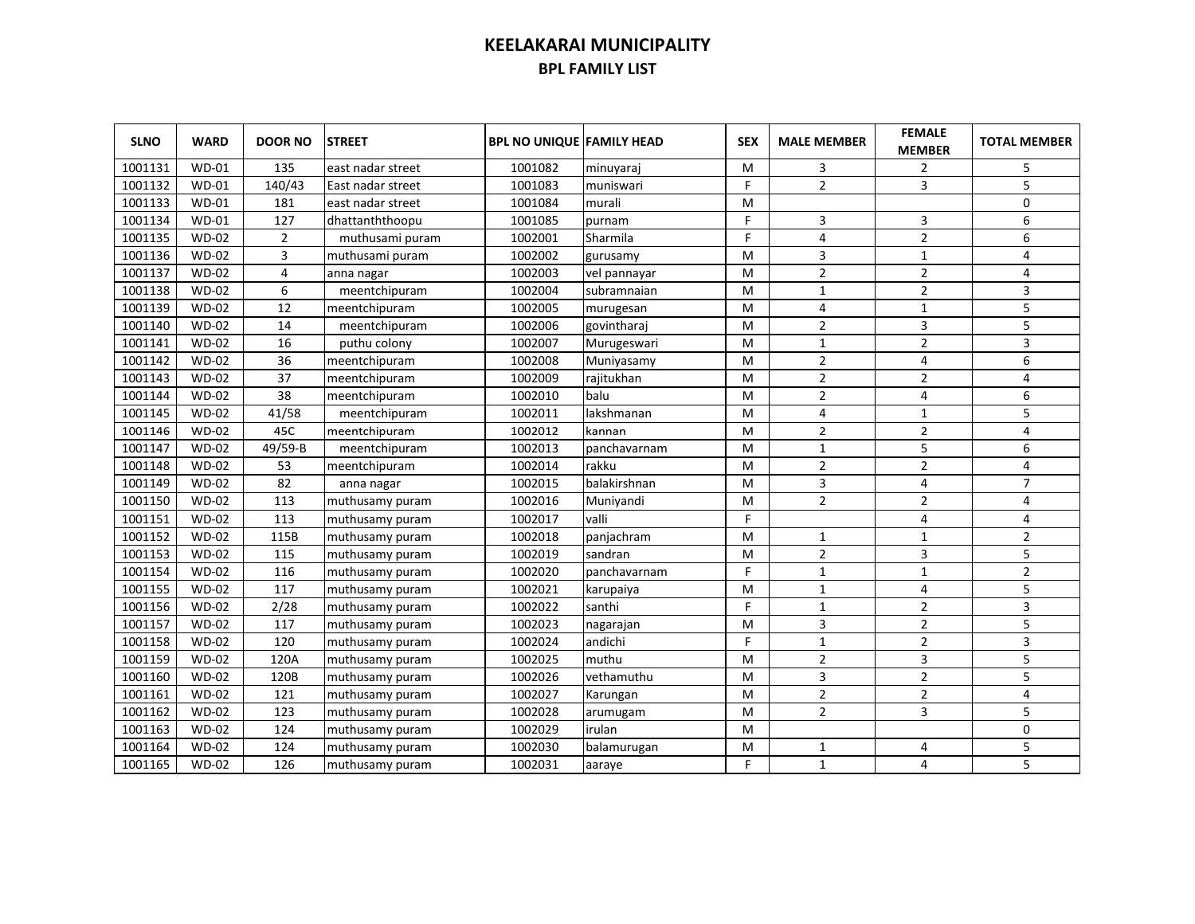| <b>SLNO</b> | <b>WARD</b>  | <b>DOOR NO</b> | <b>STREET</b>     | <b>BPL NO UNIQUE FAMILY HEAD</b> |              | <b>SEX</b> | <b>MALE MEMBER</b> | <b>FEMALE</b><br><b>MEMBER</b> | <b>TOTAL MEMBER</b> |
|-------------|--------------|----------------|-------------------|----------------------------------|--------------|------------|--------------------|--------------------------------|---------------------|
| 1001131     | <b>WD-01</b> | 135            | east nadar street | 1001082                          | minuyaraj    | M          | 3                  | $\overline{2}$                 | 5                   |
| 1001132     | <b>WD-01</b> | 140/43         | East nadar street | 1001083                          | muniswari    | F          | $\overline{2}$     | 3                              | 5                   |
| 1001133     | <b>WD-01</b> | 181            | east nadar street | 1001084                          | murali       | M          |                    |                                | 0                   |
| 1001134     | <b>WD-01</b> | 127            | dhattanththoopu   | 1001085                          | purnam       | F          | 3                  | 3                              | 6                   |
| 1001135     | <b>WD-02</b> | $\overline{2}$ | muthusami puram   | 1002001                          | Sharmila     | F.         | $\overline{4}$     | $\overline{2}$                 | 6                   |
| 1001136     | <b>WD-02</b> | 3              | muthusami puram   | 1002002                          | gurusamy     | M          | 3                  | $\mathbf 1$                    | 4                   |
| 1001137     | <b>WD-02</b> | 4              | anna nagar        | 1002003                          | vel pannayar | м          | $\overline{2}$     | $\overline{2}$                 | 4                   |
| 1001138     | <b>WD-02</b> | 6              | meentchipuram     | 1002004                          | subramnaian  | м          | $\mathbf{1}$       | $\overline{2}$                 | 3                   |
| 1001139     | <b>WD-02</b> | 12             | meentchipuram     | 1002005                          | murugesan    | м          | $\overline{4}$     | $\mathbf{1}$                   | 5                   |
| 1001140     | <b>WD-02</b> | 14             | meentchipuram     | 1002006                          | govintharaj  | M          | $\overline{2}$     | 3                              | 5                   |
| 1001141     | <b>WD-02</b> | 16             | puthu colony      | 1002007                          | Murugeswari  | M          | $\mathbf{1}$       | $\overline{2}$                 | 3                   |
| 1001142     | <b>WD-02</b> | 36             | meentchipuram     | 1002008                          | Muniyasamy   | M          | $\overline{2}$     | 4                              | 6                   |
| 1001143     | $WD-02$      | 37             | meentchipuram     | 1002009                          | rajitukhan   | M          | $\overline{2}$     | $\overline{2}$                 | 4                   |
| 1001144     | <b>WD-02</b> | 38             | meentchipuram     | 1002010                          | balu         | M          | $\overline{2}$     | 4                              | 6                   |
| 1001145     | $WD-02$      | 41/58          | meentchipuram     | 1002011                          | lakshmanan   | M          | $\overline{4}$     | $\mathbf{1}$                   | 5                   |
| 1001146     | $WD-02$      | 45C            | meentchipuram     | 1002012                          | kannan       | M          | $\overline{2}$     | $\overline{2}$                 | 4                   |
| 1001147     | <b>WD-02</b> | 49/59-B        | meentchipuram     | 1002013                          | panchavarnam | м          | $\mathbf{1}$       | 5                              | 6                   |
| 1001148     | <b>WD-02</b> | 53             | meentchipuram     | 1002014                          | rakku        | M          | $\overline{2}$     | $\overline{2}$                 | 4                   |
| 1001149     | $WD-02$      | 82             | anna nagar        | 1002015                          | balakirshnan | M          | 3                  | 4                              | $\overline{7}$      |
| 1001150     | $WD-02$      | 113            | muthusamy puram   | 1002016                          | Munivandi    | M          | $\overline{2}$     | $\overline{2}$                 | 4                   |
| 1001151     | $WD-02$      | 113            | muthusamy puram   | 1002017                          | valli        | F          |                    | 4                              | 4                   |
| 1001152     | $WD-02$      | 115B           | muthusamy puram   | 1002018                          | panjachram   | M          | 1                  | 1                              | $\overline{2}$      |
| 1001153     | $WD-02$      | 115            | muthusamy puram   | 1002019                          | sandran      | M          | $\overline{2}$     | 3                              | 5                   |
| 1001154     | $WD-02$      | 116            | muthusamy puram   | 1002020                          | panchavarnam | F          | $\mathbf{1}$       | $\mathbf{1}$                   | $\overline{2}$      |
| 1001155     | <b>WD-02</b> | 117            | muthusamy puram   | 1002021                          | karupaiya    | M          | $\mathbf{1}$       | 4                              | 5                   |
| 1001156     | $WD-02$      | 2/28           | muthusamy puram   | 1002022                          | santhi       | F.         | $\mathbf{1}$       | $\overline{2}$                 | $\overline{3}$      |
| 1001157     | <b>WD-02</b> | 117            | muthusamy puram   | 1002023                          | nagarajan    | M          | $\overline{3}$     | $\overline{2}$                 | 5                   |
| 1001158     | <b>WD-02</b> | 120            | muthusamy puram   | 1002024                          | andichi      | F.         | $\mathbf{1}$       | $\overline{2}$                 | $\overline{3}$      |
| 1001159     | <b>WD-02</b> | 120A           | muthusamy puram   | 1002025                          | muthu        | M          | $\overline{2}$     | 3                              | 5                   |
| 1001160     | $WD-02$      | 120B           | muthusamy puram   | 1002026                          | vethamuthu   | M          | 3                  | $\overline{2}$                 | 5                   |
| 1001161     | $WD-02$      | 121            | muthusamy puram   | 1002027                          | Karungan     | M          | $\overline{2}$     | $\overline{2}$                 | 4                   |
| 1001162     | $WD-02$      | 123            | muthusamy puram   | 1002028                          | arumugam     | M          | $\overline{2}$     | 3                              | 5                   |
| 1001163     | <b>WD-02</b> | 124            | muthusamy puram   | 1002029                          | irulan       | M          |                    |                                | 0                   |
| 1001164     | <b>WD-02</b> | 124            | muthusamy puram   | 1002030                          | balamurugan  | M          | 1                  | 4                              | 5                   |
| 1001165     | <b>WD-02</b> | 126            | muthusamy puram   | 1002031                          | aaraye       | F.         | $\mathbf{1}$       | 4                              | 5                   |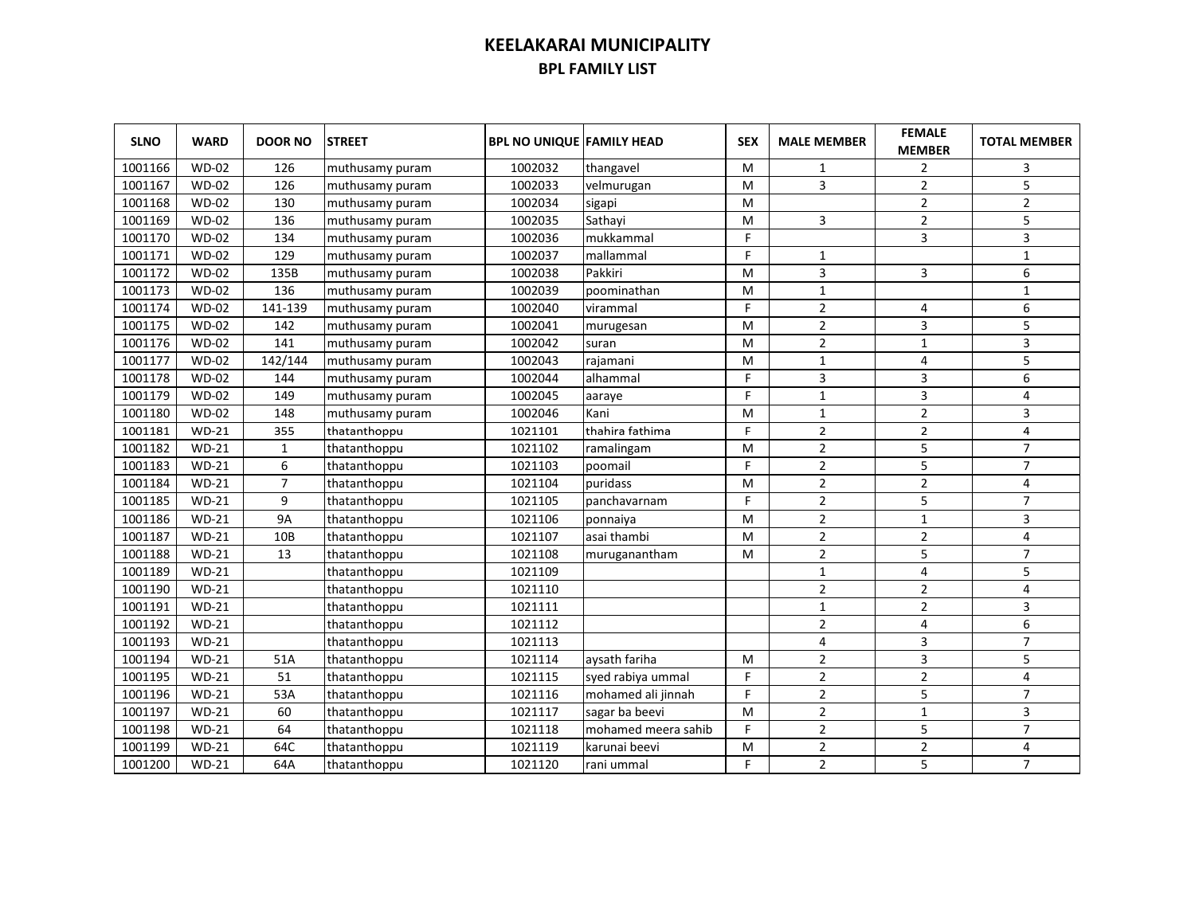| <b>SLNO</b> | <b>WARD</b>  | <b>DOOR NO</b> | <b>STREET</b>   | <b>BPL NO UNIQUE FAMILY HEAD</b> |                     | <b>SEX</b> | <b>MALE MEMBER</b>      | <b>FEMALE</b><br><b>MEMBER</b> | <b>TOTAL MEMBER</b> |
|-------------|--------------|----------------|-----------------|----------------------------------|---------------------|------------|-------------------------|--------------------------------|---------------------|
| 1001166     | $WD-02$      | 126            | muthusamy puram | 1002032                          | thangavel           | м          | 1                       | 2                              | 3                   |
| 1001167     | $WD-02$      | 126            | muthusamy puram | 1002033                          | velmurugan          | м          | 3                       | $\overline{2}$                 | 5                   |
| 1001168     | $WD-02$      | 130            | muthusamy puram | 1002034                          | sigapi              | м          |                         | $\overline{2}$                 | $\overline{2}$      |
| 1001169     | <b>WD-02</b> | 136            | muthusamy puram | 1002035                          | Sathayi             | м          | 3                       | $\overline{2}$                 | 5                   |
| 1001170     | <b>WD-02</b> | 134            | muthusamy puram | 1002036                          | mukkammal           | F          |                         | 3                              | 3                   |
| 1001171     | <b>WD-02</b> | 129            | muthusamy puram | 1002037                          | mallammal           | F          | 1                       |                                | $1\,$               |
| 1001172     | <b>WD-02</b> | 135B           | muthusamy puram | 1002038                          | Pakkiri             | м          | 3                       | 3                              | 6                   |
| 1001173     | <b>WD-02</b> | 136            | muthusamy puram | 1002039                          | poominathan         | м          | $\mathbf{1}$            |                                | $\mathbf{1}$        |
| 1001174     | <b>WD-02</b> | 141-139        | muthusamy puram | 1002040                          | virammal            | F          | $\overline{2}$          | 4                              | 6                   |
| 1001175     | <b>WD-02</b> | 142            | muthusamy puram | 1002041                          | murugesan           | м          | $\overline{2}$          | 3                              | 5                   |
| 1001176     | <b>WD-02</b> | 141            | muthusamy puram | 1002042                          | suran               | м          | $\overline{2}$          | $\mathbf 1$                    | 3                   |
| 1001177     | <b>WD-02</b> | 142/144        | muthusamy puram | 1002043                          | rajamani            | M          | $\mathbf{1}$            | 4                              | 5                   |
| 1001178     | <b>WD-02</b> | 144            | muthusamy puram | 1002044                          | alhammal            | F          | 3                       | 3                              | 6                   |
| 1001179     | <b>WD-02</b> | 149            | muthusamy puram | 1002045                          | aaraye              | F          | $\mathbf{1}$            | 3                              | 4                   |
| 1001180     | $WD-02$      | 148            | muthusamy puram | 1002046                          | Kani                | м          | $\mathbf{1}$            | $\overline{2}$                 | 3                   |
| 1001181     | $WD-21$      | 355            | thatanthoppu    | 1021101                          | thahira fathima     | F          | $\overline{2}$          | $\overline{2}$                 | 4                   |
| 1001182     | $WD-21$      | $\mathbf{1}$   | thatanthoppu    | 1021102                          | ramalingam          | м          | $\overline{2}$          | 5                              | $\overline{7}$      |
| 1001183     | $WD-21$      | 6              | thatanthoppu    | 1021103                          | poomail             | F          | $\overline{2}$          | 5                              | $\overline{7}$      |
| 1001184     | $WD-21$      | $\overline{7}$ | thatanthoppu    | 1021104                          | puridass            | M          | $\overline{2}$          | $\overline{2}$                 | 4                   |
| 1001185     | $WD-21$      | 9              | thatanthoppu    | 1021105                          | panchavarnam        | F          | $\overline{2}$          | 5                              | $\overline{7}$      |
| 1001186     | $WD-21$      | <b>9A</b>      | thatanthoppu    | 1021106                          | ponnaiya            | M          | $\overline{2}$          | $\mathbf{1}$                   | 3                   |
| 1001187     | $WD-21$      | 10B            | thatanthoppu    | 1021107                          | asai thambi         | M          | $\overline{2}$          | $\overline{2}$                 | 4                   |
| 1001188     | $WD-21$      | 13             | thatanthoppu    | 1021108                          | muruganantham       | M          | $\overline{2}$          | 5                              | 7                   |
| 1001189     | $WD-21$      |                | thatanthoppu    | 1021109                          |                     |            | $\mathbf{1}$            | $\overline{4}$                 | 5                   |
| 1001190     | $WD-21$      |                | thatanthoppu    | 1021110                          |                     |            | $\overline{2}$          | $\overline{2}$                 | 4                   |
| 1001191     | $WD-21$      |                | thatanthoppu    | 1021111                          |                     |            | $\mathbf{1}$            | $\overline{2}$                 | 3                   |
| 1001192     | $WD-21$      |                | thatanthoppu    | 1021112                          |                     |            | $\overline{2}$          | 4                              | 6                   |
| 1001193     | $WD-21$      |                | thatanthoppu    | 1021113                          |                     |            | 4                       | $\overline{3}$                 | $\overline{7}$      |
| 1001194     | $WD-21$      | 51A            | thatanthoppu    | 1021114                          | aysath fariha       | M          | $\overline{2}$          | 3                              | 5                   |
| 1001195     | $WD-21$      | 51             | thatanthoppu    | 1021115                          | syed rabiya ummal   | F          | $\overline{\mathbf{c}}$ | $\overline{2}$                 | 4                   |
| 1001196     | $WD-21$      | 53A            | thatanthoppu    | 1021116                          | mohamed ali jinnah  | F          | $\overline{2}$          | 5                              | $\overline{7}$      |
| 1001197     | $WD-21$      | 60             | thatanthoppu    | 1021117                          | sagar ba beevi      | M          | $\overline{2}$          | $\mathbf{1}$                   | 3                   |
| 1001198     | $WD-21$      | 64             | thatanthoppu    | 1021118                          | mohamed meera sahib | F          | $\overline{2}$          | 5                              | $\overline{7}$      |
| 1001199     | $WD-21$      | 64C            | thatanthoppu    | 1021119                          | karunai beevi       | M          | $\overline{2}$          | $\overline{2}$                 | 4                   |
| 1001200     | $WD-21$      | 64A            | thatanthoppu    | 1021120                          | rani ummal          | F          | $\overline{2}$          | 5                              | $\overline{7}$      |